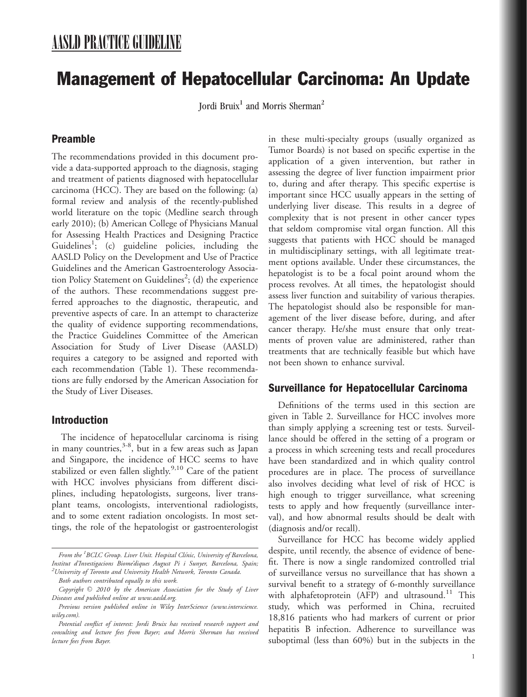# Management of Hepatocellular Carcinoma: An Update

Jordi Bruix<sup>1</sup> and Morris Sherman<sup>2</sup>

# Preamble

The recommendations provided in this document provide a data-supported approach to the diagnosis, staging and treatment of patients diagnosed with hepatocellular carcinoma (HCC). They are based on the following: (a) formal review and analysis of the recently-published world literature on the topic (Medline search through early 2010); (b) American College of Physicians Manual for Assessing Health Practices and Designing Practice Guidelines<sup>1</sup>; (c) guideline policies, including the AASLD Policy on the Development and Use of Practice Guidelines and the American Gastroenterology Association Policy Statement on Guidelines<sup>2</sup>; (d) the experience of the authors. These recommendations suggest preferred approaches to the diagnostic, therapeutic, and preventive aspects of care. In an attempt to characterize the quality of evidence supporting recommendations, the Practice Guidelines Committee of the American Association for Study of Liver Disease (AASLD) requires a category to be assigned and reported with each recommendation (Table 1). These recommendations are fully endorsed by the American Association for the Study of Liver Diseases.

# Introduction

The incidence of hepatocellular carcinoma is rising in many countries,  $3-8$ , but in a few areas such as Japan and Singapore, the incidence of HCC seems to have stabilized or even fallen slightly.<sup>9,10</sup> Care of the patient with HCC involves physicians from different disciplines, including hepatologists, surgeons, liver transplant teams, oncologists, interventional radiologists, and to some extent radiation oncologists. In most settings, the role of the hepatologist or gastroenterologist in these multi-specialty groups (usually organized as Tumor Boards) is not based on specific expertise in the application of a given intervention, but rather in assessing the degree of liver function impairment prior to, during and after therapy. This specific expertise is important since HCC usually appears in the setting of underlying liver disease. This results in a degree of complexity that is not present in other cancer types that seldom compromise vital organ function. All this suggests that patients with HCC should be managed in multidisciplinary settings, with all legitimate treatment options available. Under these circumstances, the hepatologist is to be a focal point around whom the process revolves. At all times, the hepatologist should assess liver function and suitability of various therapies. The hepatologist should also be responsible for management of the liver disease before, during, and after cancer therapy. He/she must ensure that only treatments of proven value are administered, rather than treatments that are technically feasible but which have not been shown to enhance survival.

# Surveillance for Hepatocellular Carcinoma

Definitions of the terms used in this section are given in Table 2. Surveillance for HCC involves more than simply applying a screening test or tests. Surveillance should be offered in the setting of a program or a process in which screening tests and recall procedures have been standardized and in which quality control procedures are in place. The process of surveillance also involves deciding what level of risk of HCC is high enough to trigger surveillance, what screening tests to apply and how frequently (surveillance interval), and how abnormal results should be dealt with (diagnosis and/or recall).

Surveillance for HCC has become widely applied despite, until recently, the absence of evidence of benefit. There is now a single randomized controlled trial of surveillance versus no surveillance that has shown a survival benefit to a strategy of 6-monthly surveillance with alphafetoprotein (AFP) and ultrasound.<sup>11</sup> This study, which was performed in China, recruited 18,816 patients who had markers of current or prior hepatitis B infection. Adherence to surveillance was suboptimal (less than 60%) but in the subjects in the

From the <sup>1</sup>BCLC Group. Liver Unit. Hospital Clínic, University of Barcelona, Institut d'Investigacions Biome'diques August Pi i Sunyer, Barcelona, Spain;  $^{2}$ University of Toronto and University Health Network, Toronto Canada.

Both authors contributed equally to this work.

Copyright  $\odot$  2010 by the American Association for the Study of Liver Diseases and published online at www.aasld.org.

Previous version published online in Wiley InterScience (www.interscience. wiley.com).

Potential conflict of interest: Jordi Bruix has received research support and consulting and lecture fees from Bayer; and Morris Sherman has received lecture fees from Bayer.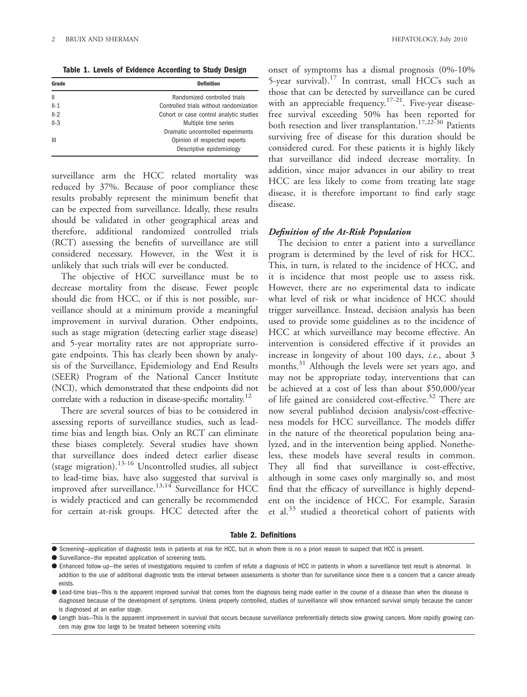Table 1. Levels of Evidence According to Study Design

| Grade  | <b>Definition</b>                       |  |
|--------|-----------------------------------------|--|
| Ш      | Randomized controlled trials            |  |
| $II-1$ | Controlled trials without randomization |  |
| $II-2$ | Cohort or case control analytic studies |  |
| $II-3$ | Multiple time series                    |  |
|        | Dramatic uncontrolled experiments       |  |
| Ш      | Opinion of respected experts            |  |
|        | Descriptive epidemiology                |  |

surveillance arm the HCC related mortality was reduced by 37%. Because of poor compliance these results probably represent the minimum benefit that can be expected from surveillance. Ideally, these results should be validated in other geographical areas and therefore, additional randomized controlled trials (RCT) assessing the benefits of surveillance are still considered necessary. However, in the West it is unlikely that such trials will ever be conducted.

The objective of HCC surveillance must be to decrease mortality from the disease. Fewer people should die from HCC, or if this is not possible, surveillance should at a minimum provide a meaningful improvement in survival duration. Other endpoints, such as stage migration (detecting earlier stage disease) and 5-year mortality rates are not appropriate surrogate endpoints. This has clearly been shown by analysis of the Surveillance, Epidemiology and End Results (SEER) Program of the National Cancer Institute (NCI), which demonstrated that these endpoints did not correlate with a reduction in disease-specific mortality.<sup>12</sup>

There are several sources of bias to be considered in assessing reports of surveillance studies, such as leadtime bias and length bias. Only an RCT can eliminate these biases completely. Several studies have shown that surveillance does indeed detect earlier disease (stage migration).<sup>13-16</sup> Uncontrolled studies, all subject to lead-time bias, have also suggested that survival is improved after surveillance.<sup>13,14</sup> Surveillance for HCC is widely practiced and can generally be recommended for certain at-risk groups. HCC detected after the

onset of symptoms has a dismal prognosis (0%-10% 5-year survival).<sup>17</sup> In contrast, small HCC's such as those that can be detected by surveillance can be cured with an appreciable frequency.<sup>17-21</sup>. Five-year diseasefree survival exceeding 50% has been reported for both resection and liver transplantation.<sup>17,22-30</sup> Patients surviving free of disease for this duration should be considered cured. For these patients it is highly likely that surveillance did indeed decrease mortality. In addition, since major advances in our ability to treat HCC are less likely to come from treating late stage disease, it is therefore important to find early stage disease.

# Definition of the At-Risk Population

The decision to enter a patient into a surveillance program is determined by the level of risk for HCC. This, in turn, is related to the incidence of HCC, and it is incidence that most people use to assess risk. However, there are no experimental data to indicate what level of risk or what incidence of HCC should trigger surveillance. Instead, decision analysis has been used to provide some guidelines as to the incidence of HCC at which surveillance may become effective. An intervention is considered effective if it provides an increase in longevity of about 100 days, i.e., about 3 months.<sup>31</sup> Although the levels were set years ago, and may not be appropriate today, interventions that can be achieved at a cost of less than about \$50,000/year of life gained are considered cost-effective.<sup>32</sup> There are now several published decision analysis/cost-effectiveness models for HCC surveillance. The models differ in the nature of the theoretical population being analyzed, and in the intervention being applied. Nonetheless, these models have several results in common. They all find that surveillance is cost-effective, although in some cases only marginally so, and most find that the efficacy of surveillance is highly dependent on the incidence of HCC. For example, Sarasin et al.<sup>33</sup> studied a theoretical cohort of patients with

Table 2. Definitions

l Screening—application of diagnostic tests in patients at risk for HCC, but in whom there is no a priori reason to suspect that HCC is present.

<sup>●</sup> Surveillance—the repeated application of screening tests.

l Enhanced follow-up—the series of investigations required to confirm of refute a diagnosis of HCC in patients in whom a surveillance test result is abnormal. In addition to the use of additional diagnostic tests the interval between assessments is shorter than for surveillance since there is a concern that a cancer already exists.

l Lead-time bias—This is the apparent improved survival that comes from the diagnosis being made earlier in the course of a disease than when the disease is diagnosed because of the development of symptoms. Unless properly controlled, studies of surveillance will show enhanced survival simply because the cancer is diagnosed at an earlier stage.

l Length bias—This is the apparent improvement in survival that occurs because surveillance preferentially detects slow growing cancers. More rapidly growing cancers may grow too large to be treated between screening visits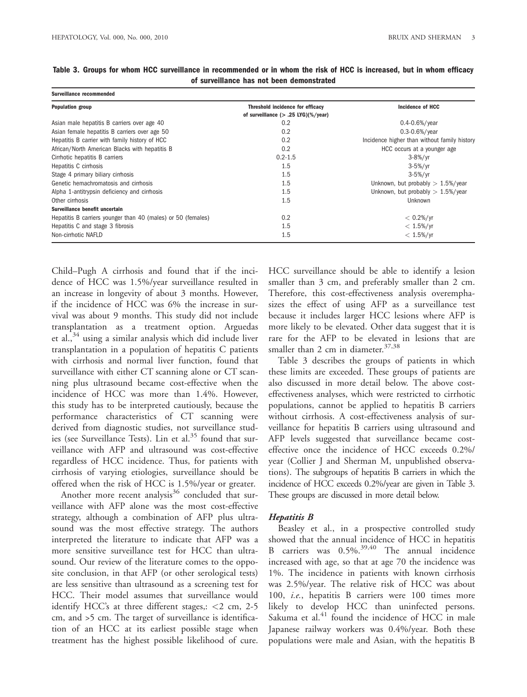| Surveillance recommended                                     |                                                                               |                                              |  |
|--------------------------------------------------------------|-------------------------------------------------------------------------------|----------------------------------------------|--|
| Population group                                             | Threshold incidence for efficacy<br>of surveillance $(> .25$ LYG) $(\%/year)$ | Incidence of HCC                             |  |
| Asian male hepatitis B carriers over age 40                  | 0.2                                                                           | $0.4 - 0.6\%$ /year                          |  |
| Asian female hepatitis B carriers over age 50                | 0.2                                                                           | $0.3 - 0.6\%$ /year                          |  |
| Hepatitis B carrier with family history of HCC               | 0.2                                                                           | Incidence higher than without family history |  |
| African/North American Blacks with hepatitis B               | 0.2                                                                           | HCC occurs at a younger age                  |  |
| Cirrhotic hepatitis B carriers                               | $0.2 - 1.5$                                                                   | $3 - 8\% / \text{yr}$                        |  |
| Hepatitis C cirrhosis                                        | 1.5                                                                           | 3-5%/yr                                      |  |
| Stage 4 primary biliary cirrhosis                            | 1.5                                                                           | $3-5%/yr$                                    |  |
| Genetic hemachromatosis and cirrhosis                        | 1.5                                                                           | Unknown, but probably $> 1.5\%$ /year        |  |
| Alpha 1-antitrypsin deficiency and cirrhosis                 | 1.5                                                                           | Unknown, but probably $> 1.5\%$ /year        |  |
| Other cirrhosis                                              | 1.5                                                                           | Unknown                                      |  |
| Surveillance benefit uncertain                               |                                                                               |                                              |  |
| Hepatitis B carriers younger than 40 (males) or 50 (females) | 0.2                                                                           | $< 0.2\%/yr$                                 |  |
| Hepatitis C and stage 3 fibrosis                             | 1.5                                                                           | $< 1.5\%$ /yr                                |  |
| Non-cirrhotic NAFLD                                          | 1.5                                                                           | $< 1.5\%/yr$                                 |  |

#### Table 3. Groups for whom HCC surveillance in recommended or in whom the risk of HCC is increased, but in whom efficacy of surveillance has not been demonstrated

Child–Pugh A cirrhosis and found that if the incidence of HCC was 1.5%/year surveillance resulted in an increase in longevity of about 3 months. However, if the incidence of HCC was 6% the increase in survival was about 9 months. This study did not include transplantation as a treatment option. Arguedas et al.,<sup>34</sup> using a similar analysis which did include liver transplantation in a population of hepatitis C patients with cirrhosis and normal liver function, found that surveillance with either CT scanning alone or CT scanning plus ultrasound became cost-effective when the incidence of HCC was more than 1.4%. However, this study has to be interpreted cautiously, because the performance characteristics of CT scanning were derived from diagnostic studies, not surveillance studies (see Surveillance Tests). Lin et al. $35$  found that surveillance with AFP and ultrasound was cost-effective regardless of HCC incidence. Thus, for patients with cirrhosis of varying etiologies, surveillance should be offered when the risk of HCC is 1.5%/year or greater.

Another more recent analysis $36$  concluded that surveillance with AFP alone was the most cost-effective strategy, although a combination of AFP plus ultrasound was the most effective strategy. The authors interpreted the literature to indicate that AFP was a more sensitive surveillance test for HCC than ultrasound. Our review of the literature comes to the opposite conclusion, in that AFP (or other serological tests) are less sensitive than ultrasound as a screening test for HCC. Their model assumes that surveillance would identify HCC's at three different stages,:  $<$ 2 cm, 2-5 cm, and >5 cm. The target of surveillance is identification of an HCC at its earliest possible stage when treatment has the highest possible likelihood of cure. HCC surveillance should be able to identify a lesion smaller than 3 cm, and preferably smaller than 2 cm. Therefore, this cost-effectiveness analysis overemphasizes the effect of using AFP as a surveillance test because it includes larger HCC lesions where AFP is more likely to be elevated. Other data suggest that it is rare for the AFP to be elevated in lesions that are smaller than 2 cm in diameter. $37,38$ 

Table 3 describes the groups of patients in which these limits are exceeded. These groups of patients are also discussed in more detail below. The above costeffectiveness analyses, which were restricted to cirrhotic populations, cannot be applied to hepatitis B carriers without cirrhosis. A cost-effectiveness analysis of surveillance for hepatitis B carriers using ultrasound and AFP levels suggested that surveillance became costeffective once the incidence of HCC exceeds 0.2%/ year (Collier J and Sherman M, unpublished observations). The subgroups of hepatitis B carriers in which the incidence of HCC exceeds 0.2%/year are given in Table 3. These groups are discussed in more detail below.

# Hepatitis B

Beasley et al., in a prospective controlled study showed that the annual incidence of HCC in hepatitis B carriers was 0.5%.<sup>39,40</sup> The annual incidence increased with age, so that at age 70 the incidence was 1%. The incidence in patients with known cirrhosis was 2.5%/year. The relative risk of HCC was about 100, *i.e.*, hepatitis B carriers were 100 times more likely to develop HCC than uninfected persons. Sakuma et al. $41$  found the incidence of HCC in male Japanese railway workers was 0.4%/year. Both these populations were male and Asian, with the hepatitis B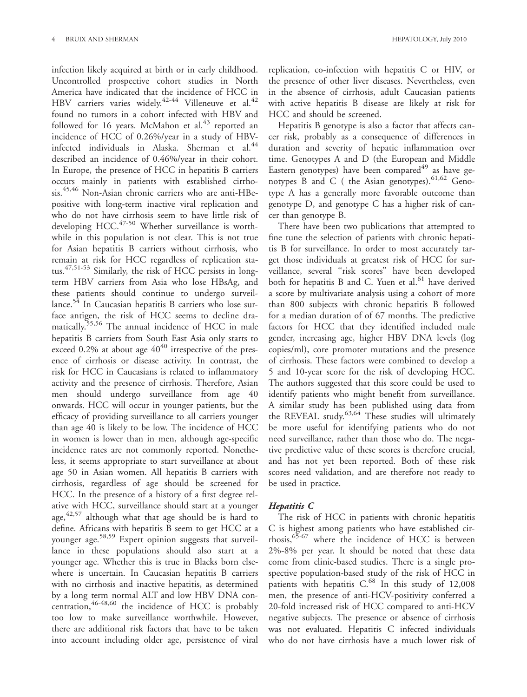infection likely acquired at birth or in early childhood. Uncontrolled prospective cohort studies in North America have indicated that the incidence of HCC in HBV carriers varies widely.<sup>42-44</sup> Villeneuve et al.<sup>42</sup> found no tumors in a cohort infected with HBV and followed for 16 years. McMahon et al. $43$  reported an incidence of HCC of 0.26%/year in a study of HBVinfected individuals in Alaska. Sherman et al.<sup>44</sup> described an incidence of 0.46%/year in their cohort. In Europe, the presence of HCC in hepatitis B carriers occurs mainly in patients with established cirrhosis.45,46 Non-Asian chronic carriers who are anti-HBepositive with long-term inactive viral replication and who do not have cirrhosis seem to have little risk of developing HCC.<sup>47-50</sup> Whether surveillance is worthwhile in this population is not clear. This is not true for Asian hepatitis B carriers without cirrhosis, who remain at risk for HCC regardless of replication status.<sup>47,51-53</sup> Similarly, the risk of HCC persists in longterm HBV carriers from Asia who lose HBsAg, and these patients should continue to undergo surveillance.<sup>54</sup> In Caucasian hepatitis B carriers who lose surface antigen, the risk of HCC seems to decline dramatically.<sup>55,56</sup> The annual incidence of HCC in male hepatitis B carriers from South East Asia only starts to exceed 0.2% at about age  $40^{40}$  irrespective of the presence of cirrhosis or disease activity. In contrast, the risk for HCC in Caucasians is related to inflammatory activity and the presence of cirrhosis. Therefore, Asian men should undergo surveillance from age 40 onwards. HCC will occur in younger patients, but the efficacy of providing surveillance to all carriers younger than age 40 is likely to be low. The incidence of HCC in women is lower than in men, although age-specific incidence rates are not commonly reported. Nonetheless, it seems appropriate to start surveillance at about age 50 in Asian women. All hepatitis B carriers with cirrhosis, regardless of age should be screened for HCC. In the presence of a history of a first degree relative with HCC, surveillance should start at a younger age, $42,57$  although what that age should be is hard to define. Africans with hepatitis B seem to get HCC at a younger age.<sup>58,59</sup> Expert opinion suggests that surveillance in these populations should also start at a younger age. Whether this is true in Blacks born elsewhere is uncertain. In Caucasian hepatitis B carriers with no cirrhosis and inactive hepatitis, as determined by a long term normal ALT and low HBV DNA concentration,  $46-48,60$  the incidence of HCC is probably too low to make surveillance worthwhile. However, there are additional risk factors that have to be taken into account including older age, persistence of viral

replication, co-infection with hepatitis C or HIV, or the presence of other liver diseases. Nevertheless, even in the absence of cirrhosis, adult Caucasian patients with active hepatitis B disease are likely at risk for HCC and should be screened.

Hepatitis B genotype is also a factor that affects cancer risk, probably as a consequence of differences in duration and severity of hepatic inflammation over time. Genotypes A and D (the European and Middle Eastern genotypes) have been compared $49$  as have genotypes B and C ( the Asian genotypes).<sup>61,62</sup> Genotype A has a generally more favorable outcome than genotype D, and genotype C has a higher risk of cancer than genotype B.

There have been two publications that attempted to fine tune the selection of patients with chronic hepatitis B for surveillance. In order to most accurately target those individuals at greatest risk of HCC for surveillance, several ''risk scores'' have been developed both for hepatitis B and C. Yuen et al. $61$  have derived a score by multivariate analysis using a cohort of more than 800 subjects with chronic hepatitis B followed for a median duration of of 67 months. The predictive factors for HCC that they identified included male gender, increasing age, higher HBV DNA levels (log copies/ml), core promoter mutations and the presence of cirrhosis. These factors were combined to develop a 5 and 10-year score for the risk of developing HCC. The authors suggested that this score could be used to identify patients who might benefit from surveillance. A similar study has been published using data from the REVEAL study.63,64 These studies will ultimately be more useful for identifying patients who do not need surveillance, rather than those who do. The negative predictive value of these scores is therefore crucial, and has not yet been reported. Both of these risk scores need validation, and are therefore not ready to be used in practice.

# Hepatitis C

The risk of HCC in patients with chronic hepatitis C is highest among patients who have established cirrhosis,65-67 where the incidence of HCC is between 2%-8% per year. It should be noted that these data come from clinic-based studies. There is a single prospective population-based study of the risk of HCC in patients with hepatitis  $C<sup>68</sup>$  In this study of 12,008 men, the presence of anti-HCV-positivity conferred a 20-fold increased risk of HCC compared to anti-HCV negative subjects. The presence or absence of cirrhosis was not evaluated. Hepatitis C infected individuals who do not have cirrhosis have a much lower risk of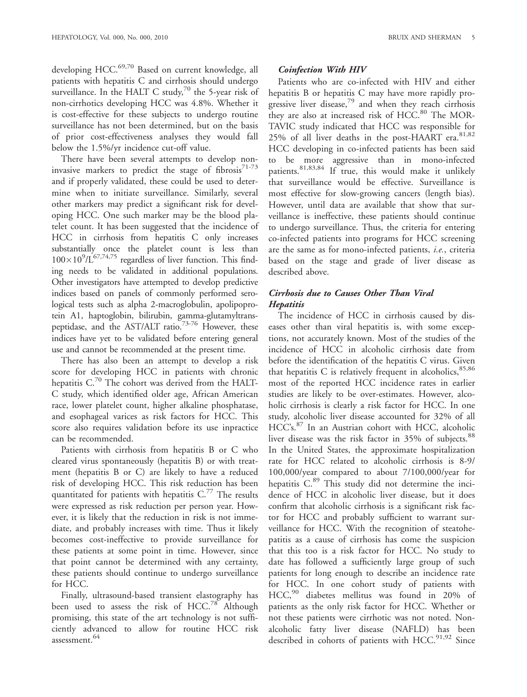developing HCC.<sup>69,70</sup> Based on current knowledge, all patients with hepatitis C and cirrhosis should undergo surveillance. In the HALT C study,<sup>70</sup> the 5-year risk of non-cirrhotics developing HCC was 4.8%. Whether it is cost-effective for these subjects to undergo routine surveillance has not been determined, but on the basis of prior cost-effectiveness analyses they would fall below the 1.5%/yr incidence cut-off value.

There have been several attempts to develop noninvasive markers to predict the stage of fibrosis<sup>71-73</sup> and if properly validated, these could be used to determine when to initiate surveillance. Similarly, several other markers may predict a significant risk for developing HCC. One such marker may be the blood platelet count. It has been suggested that the incidence of HCC in cirrhosis from hepatitis C only increases substantially once the platelet count is less than  $100\times10^{9}$ /L<sup>67,74,75</sup> regardless of liver function. This finding needs to be validated in additional populations. Other investigators have attempted to develop predictive indices based on panels of commonly performed serological tests such as alpha 2-macroglobulin, apolipoprotein A1, haptoglobin, bilirubin, gamma-glutamyltranspeptidase, and the AST/ALT ratio.<sup>73-76</sup> However, these indices have yet to be validated before entering general use and cannot be recommended at the present time.

There has also been an attempt to develop a risk score for developing HCC in patients with chronic hepatitis C.<sup>70</sup> The cohort was derived from the HALT-C study, which identified older age, African American race, lower platelet count, higher alkaline phosphatase, and esophageal varices as risk factors for HCC. This score also requires validation before its use inpractice can be recommended.

Patients with cirrhosis from hepatitis B or C who cleared virus spontaneously (hepatitis B) or with treatment (hepatitis B or C) are likely to have a reduced risk of developing HCC. This risk reduction has been quantitated for patients with hepatitis  $C<sup>77</sup>$  The results were expressed as risk reduction per person year. However, it is likely that the reduction in risk is not immediate, and probably increases with time. Thus it likely becomes cost-ineffective to provide surveillance for these patients at some point in time. However, since that point cannot be determined with any certainty, these patients should continue to undergo surveillance for HCC.

Finally, ultrasound-based transient elastography has been used to assess the risk of HCC.<sup>78</sup> Although promising, this state of the art technology is not sufficiently advanced to allow for routine HCC risk assessment.<sup>64</sup>

# Coinfection With HIV

Patients who are co-infected with HIV and either hepatitis B or hepatitis C may have more rapidly progressive liver disease,<sup>79</sup> and when they reach cirrhosis they are also at increased risk of HCC.<sup>80</sup> The MOR-TAVIC study indicated that HCC was responsible for 25% of all liver deaths in the post-HAART era.<sup>81,82</sup> HCC developing in co-infected patients has been said to be more aggressive than in mono-infected patients. 81,83,84 If true, this would make it unlikely that surveillance would be effective. Surveillance is most effective for slow-growing cancers (length bias). However, until data are available that show that surveillance is ineffective, these patients should continue to undergo surveillance. Thus, the criteria for entering co-infected patients into programs for HCC screening are the same as for mono-infected patients, i.e., criteria based on the stage and grade of liver disease as described above.

# Cirrhosis due to Causes Other Than Viral Hepatitis

The incidence of HCC in cirrhosis caused by diseases other than viral hepatitis is, with some exceptions, not accurately known. Most of the studies of the incidence of HCC in alcoholic cirrhosis date from before the identification of the hepatitis C virus. Given that hepatitis C is relatively frequent in alcoholics,  $85,86$ most of the reported HCC incidence rates in earlier studies are likely to be over-estimates. However, alcoholic cirrhosis is clearly a risk factor for HCC. In one study, alcoholic liver disease accounted for 32% of all HCC's.<sup>87</sup> In an Austrian cohort with HCC, alcoholic liver disease was the risk factor in 35% of subjects.<sup>88</sup> In the United States, the approximate hospitalization rate for HCC related to alcoholic cirrhosis is 8-9/ 100,000/year compared to about 7/100,000/year for hepatitis  $C<sup>89</sup>$  This study did not determine the incidence of HCC in alcoholic liver disease, but it does confirm that alcoholic cirrhosis is a significant risk factor for HCC and probably sufficient to warrant surveillance for HCC. With the recognition of steatohepatitis as a cause of cirrhosis has come the suspicion that this too is a risk factor for HCC. No study to date has followed a sufficiently large group of such patients for long enough to describe an incidence rate for HCC. In one cohort study of patients with HCC,<sup>90</sup> diabetes mellitus was found in 20% of patients as the only risk factor for HCC. Whether or not these patients were cirrhotic was not noted. Nonalcoholic fatty liver disease (NAFLD) has been described in cohorts of patients with HCC. $91,92$  Since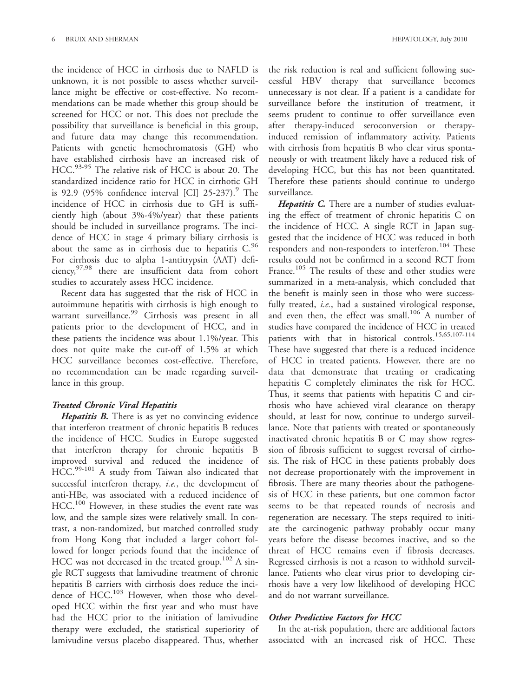the incidence of HCC in cirrhosis due to NAFLD is unknown, it is not possible to assess whether surveillance might be effective or cost-effective. No recommendations can be made whether this group should be screened for HCC or not. This does not preclude the possibility that surveillance is beneficial in this group, and future data may change this recommendation. Patients with genetic hemochromatosis (GH) who have established cirrhosis have an increased risk of HCC.93-95 The relative risk of HCC is about 20. The standardized incidence ratio for HCC in cirrhotic GH is 92.9 (95% confidence interval [CI] 25-237). <sup>9</sup> The incidence of HCC in cirrhosis due to GH is sufficiently high (about 3%-4%/year) that these patients should be included in surveillance programs. The incidence of HCC in stage 4 primary biliary cirrhosis is about the same as in cirrhosis due to hepatitis  $C^{96}$ For cirrhosis due to alpha 1-antitrypsin (AAT) deficiency,  $97,98$  there are insufficient data from cohort studies to accurately assess HCC incidence.

Recent data has suggested that the risk of HCC in autoimmune hepatitis with cirrhosis is high enough to warrant surveillance.<sup>99</sup> Cirrhosis was present in all patients prior to the development of HCC, and in these patients the incidence was about 1.1%/year. This does not quite make the cut-off of 1.5% at which HCC surveillance becomes cost-effective. Therefore, no recommendation can be made regarding surveillance in this group.

# Treated Chronic Viral Hepatitis

Hepatitis B. There is as yet no convincing evidence that interferon treatment of chronic hepatitis B reduces the incidence of HCC. Studies in Europe suggested that interferon therapy for chronic hepatitis B improved survival and reduced the incidence of HCC.<sup>99-101</sup> A study from Taiwan also indicated that successful interferon therapy, i.e., the development of anti-HBe, was associated with a reduced incidence of HCC.<sup>100</sup> However, in these studies the event rate was low, and the sample sizes were relatively small. In contrast, a non-randomized, but matched controlled study from Hong Kong that included a larger cohort followed for longer periods found that the incidence of HCC was not decreased in the treated group.<sup>102</sup> A single RCT suggests that lamivudine treatment of chronic hepatitis B carriers with cirrhosis does reduce the incidence of HCC.<sup>103</sup> However, when those who developed HCC within the first year and who must have had the HCC prior to the initiation of lamivudine therapy were excluded, the statistical superiority of lamivudine versus placebo disappeared. Thus, whether

the risk reduction is real and sufficient following successful HBV therapy that surveillance becomes unnecessary is not clear. If a patient is a candidate for surveillance before the institution of treatment, it seems prudent to continue to offer surveillance even after therapy-induced seroconversion or therapyinduced remission of inflammatory activity. Patients with cirrhosis from hepatitis B who clear virus spontaneously or with treatment likely have a reduced risk of developing HCC, but this has not been quantitated. Therefore these patients should continue to undergo surveillance.

Hepatitis C. There are a number of studies evaluating the effect of treatment of chronic hepatitis C on the incidence of HCC. A single RCT in Japan suggested that the incidence of HCC was reduced in both responders and non-responders to interferon.<sup>104</sup> These results could not be confirmed in a second RCT from France.<sup>105</sup> The results of these and other studies were summarized in a meta-analysis, which concluded that the benefit is mainly seen in those who were successfully treated, *i.e.*, had a sustained virological response, and even then, the effect was small.<sup>106</sup> A number of studies have compared the incidence of HCC in treated patients with that in historical controls.<sup>15,65,107-114</sup> These have suggested that there is a reduced incidence of HCC in treated patients. However, there are no data that demonstrate that treating or eradicating hepatitis C completely eliminates the risk for HCC. Thus, it seems that patients with hepatitis C and cirrhosis who have achieved viral clearance on therapy should, at least for now, continue to undergo surveillance. Note that patients with treated or spontaneously inactivated chronic hepatitis B or C may show regression of fibrosis sufficient to suggest reversal of cirrhosis. The risk of HCC in these patients probably does not decrease proportionately with the improvement in fibrosis. There are many theories about the pathogenesis of HCC in these patients, but one common factor seems to be that repeated rounds of necrosis and regeneration are necessary. The steps required to initiate the carcinogenic pathway probably occur many years before the disease becomes inactive, and so the threat of HCC remains even if fibrosis decreases. Regressed cirrhosis is not a reason to withhold surveillance. Patients who clear virus prior to developing cirrhosis have a very low likelihood of developing HCC and do not warrant surveillance.

# Other Predictive Factors for HCC

In the at-risk population, there are additional factors associated with an increased risk of HCC. These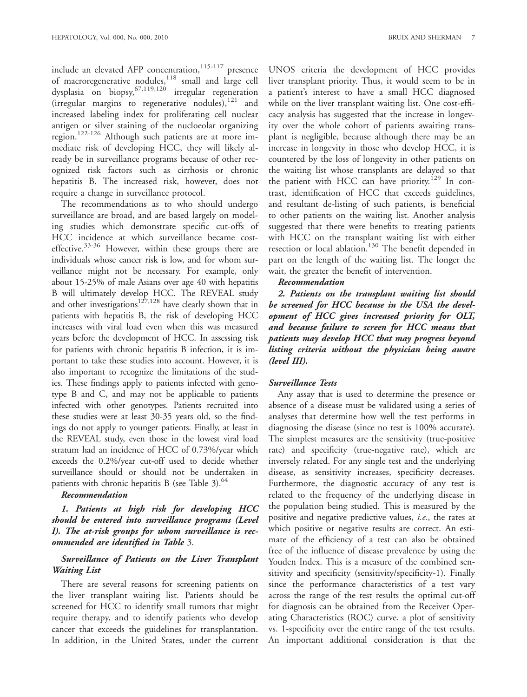include an elevated AFP concentration, $115-117$  presence of macroregenerative nodules, 118 small and large cell dysplasia on biopsy,67,119,120 irregular regeneration (irregular margins to regenerative nodules), $121$  and increased labeling index for proliferating cell nuclear antigen or silver staining of the nucloeolar organizing region.122-126 Although such patients are at more immediate risk of developing HCC, they will likely already be in surveillance programs because of other recognized risk factors such as cirrhosis or chronic hepatitis B. The increased risk, however, does not require a change in surveillance protocol.

The recommendations as to who should undergo surveillance are broad, and are based largely on modeling studies which demonstrate specific cut-offs of HCC incidence at which surveillance became costeffective.<sup>33-36</sup> However, within these groups there are individuals whose cancer risk is low, and for whom surveillance might not be necessary. For example, only about 15-25% of male Asians over age 40 with hepatitis B will ultimately develop HCC. The REVEAL study and other investigations<sup>127,128</sup> have clearly shown that in patients with hepatitis B, the risk of developing HCC increases with viral load even when this was measured years before the development of HCC. In assessing risk for patients with chronic hepatitis B infection, it is important to take these studies into account. However, it is also important to recognize the limitations of the studies. These findings apply to patients infected with genotype B and C, and may not be applicable to patients infected with other genotypes. Patients recruited into these studies were at least 30-35 years old, so the findings do not apply to younger patients. Finally, at least in the REVEAL study, even those in the lowest viral load stratum had an incidence of HCC of 0.73%/year which exceeds the 0.2%/year cut-off used to decide whether surveillance should or should not be undertaken in patients with chronic hepatitis B (see Table  $3$ ).<sup>64</sup>

# Recommendation

1. Patients at high risk for developing HCC should be entered into surveillance programs (Level I). The at-risk groups for whom surveillance is recommended are identified in Table 3.

# Surveillance of Patients on the Liver Transplant Waiting List

There are several reasons for screening patients on the liver transplant waiting list. Patients should be screened for HCC to identify small tumors that might require therapy, and to identify patients who develop cancer that exceeds the guidelines for transplantation. In addition, in the United States, under the current

UNOS criteria the development of HCC provides liver transplant priority. Thus, it would seem to be in a patient's interest to have a small HCC diagnosed while on the liver transplant waiting list. One cost-efficacy analysis has suggested that the increase in longevity over the whole cohort of patients awaiting transplant is negligible, because although there may be an increase in longevity in those who develop HCC, it is countered by the loss of longevity in other patients on the waiting list whose transplants are delayed so that the patient with HCC can have priority.<sup>129</sup> In contrast, identification of HCC that exceeds guidelines, and resultant de-listing of such patients, is beneficial to other patients on the waiting list. Another analysis suggested that there were benefits to treating patients with HCC on the transplant waiting list with either resection or local ablation.<sup>130</sup> The benefit depended in part on the length of the waiting list. The longer the wait, the greater the benefit of intervention.

# Recommendation

2. Patients on the transplant waiting list should be screened for HCC because in the USA the development of HCC gives increased priority for OLT, and because failure to screen for HCC means that patients may develop HCC that may progress beyond listing criteria without the physician being aware (level III).

# Surveillance Tests

Any assay that is used to determine the presence or absence of a disease must be validated using a series of analyses that determine how well the test performs in diagnosing the disease (since no test is 100% accurate). The simplest measures are the sensitivity (true-positive rate) and specificity (true-negative rate), which are inversely related. For any single test and the underlying disease, as sensitivity increases, specificity decreases. Furthermore, the diagnostic accuracy of any test is related to the frequency of the underlying disease in the population being studied. This is measured by the positive and negative predictive values, i.e., the rates at which positive or negative results are correct. An estimate of the efficiency of a test can also be obtained free of the influence of disease prevalence by using the Youden Index. This is a measure of the combined sensitivity and specificity (sensitivity/specificity-1). Finally since the performance characteristics of a test vary across the range of the test results the optimal cut-off for diagnosis can be obtained from the Receiver Operating Characteristics (ROC) curve, a plot of sensitivity vs. 1-specificity over the entire range of the test results. An important additional consideration is that the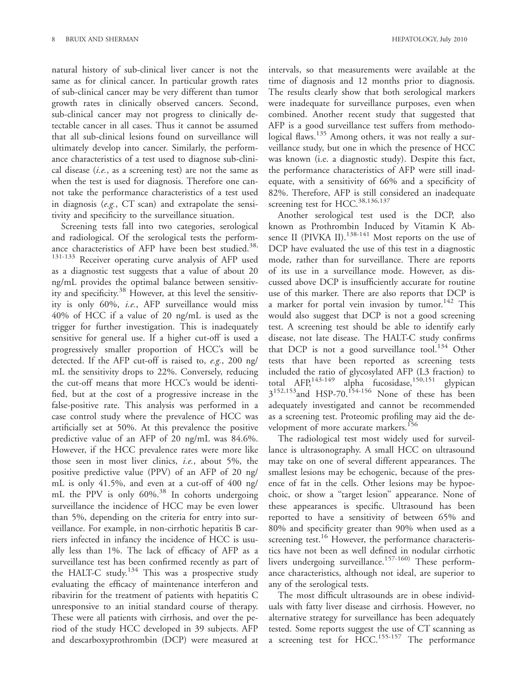natural history of sub-clinical liver cancer is not the same as for clinical cancer. In particular growth rates of sub-clinical cancer may be very different than tumor growth rates in clinically observed cancers. Second, sub-clinical cancer may not progress to clinically detectable cancer in all cases. Thus it cannot be assumed that all sub-clinical lesions found on surveillance will ultimately develop into cancer. Similarly, the performance characteristics of a test used to diagnose sub-clinical disease  $(i.e.,$  as a screening test) are not the same as when the test is used for diagnosis. Therefore one cannot take the performance characteristics of a test used in diagnosis (e.g., CT scan) and extrapolate the sensitivity and specificity to the surveillance situation.

Screening tests fall into two categories, serological and radiological. Of the serological tests the performance characteristics of AFP have been best studied.<sup>38,</sup> 131-133 Receiver operating curve analysis of AFP used as a diagnostic test suggests that a value of about 20 ng/mL provides the optimal balance between sensitivity and specificity.<sup>38</sup> However, at this level the sensitivity is only 60%, i.e., AFP surveillance would miss 40% of HCC if a value of 20 ng/mL is used as the trigger for further investigation. This is inadequately sensitive for general use. If a higher cut-off is used a progressively smaller proportion of HCC's will be detected. If the AFP cut-off is raised to, e.g., 200 ng/ mL the sensitivity drops to 22%. Conversely, reducing the cut-off means that more HCC's would be identified, but at the cost of a progressive increase in the false-positive rate. This analysis was performed in a case control study where the prevalence of HCC was artificially set at 50%. At this prevalence the positive predictive value of an AFP of 20 ng/mL was 84.6%. However, if the HCC prevalence rates were more like those seen in most liver clinics, i.e., about 5%, the positive predictive value (PPV) of an AFP of 20 ng/ mL is only 41.5%, and even at a cut-off of 400 ng/ mL the PPV is only  $60\%$ .<sup>38</sup> In cohorts undergoing surveillance the incidence of HCC may be even lower than 5%, depending on the criteria for entry into surveillance. For example, in non-cirrhotic hepatitis B carriers infected in infancy the incidence of HCC is usually less than 1%. The lack of efficacy of AFP as a surveillance test has been confirmed recently as part of the HALT-C study.<sup>134</sup> This was a prospective study evaluating the efficacy of maintenance interferon and ribavirin for the treatment of patients with hepatitis C unresponsive to an initial standard course of therapy. These were all patients with cirrhosis, and over the period of the study HCC developed in 39 subjects. AFP and descarboxyprothrombin (DCP) were measured at

intervals, so that measurements were available at the time of diagnosis and 12 months prior to diagnosis. The results clearly show that both serological markers were inadequate for surveillance purposes, even when combined. Another recent study that suggested that AFP is a good surveillance test suffers from methodological flaws.<sup>135</sup> Among others, it was not really a surveillance study, but one in which the presence of HCC was known (i.e. a diagnostic study). Despite this fact, the performance characteristics of AFP were still inadequate, with a sensitivity of 66% and a specificity of 82%. Therefore, AFP is still considered an inadequate screening test for HCC.<sup>38,136,137</sup>

Another serological test used is the DCP, also known as Prothrombin Induced by Vitamin K Absence II (PIVKA II).<sup>138-141</sup> Most reports on the use of DCP have evaluated the use of this test in a diagnostic mode, rather than for surveillance. There are reports of its use in a surveillance mode. However, as discussed above DCP is insufficiently accurate for routine use of this marker. There are also reports that DCP is a marker for portal vein invasion by tumor.<sup>142</sup> This would also suggest that DCP is not a good screening test. A screening test should be able to identify early disease, not late disease. The HALT-C study confirms that DCP is not a good surveillance tool.<sup>134</sup> Other tests that have been reported as screening tests included the ratio of glycosylated AFP (L3 fraction) to total AFP,<sup>143-149</sup> alpha fucosidase,<sup>150,151</sup> glypican  $3^{152,153}$  and HSP-70.<sup>154-156</sup> None of these has been adequately investigated and cannot be recommended as a screening test. Proteomic profiling may aid the development of more accurate markers.<sup>156</sup>

The radiological test most widely used for surveillance is ultrasonography. A small HCC on ultrasound may take on one of several different appearances. The smallest lesions may be echogenic, because of the presence of fat in the cells. Other lesions may be hypoechoic, or show a ''target lesion'' appearance. None of these appearances is specific. Ultrasound has been reported to have a sensitivity of between 65% and 80% and specificity greater than 90% when used as a screening test.<sup>16</sup> However, the performance characteristics have not been as well defined in nodular cirrhotic livers undergoing surveillance.<sup>157-160)</sup> These performance characteristics, although not ideal, are superior to any of the serological tests.

The most difficult ultrasounds are in obese individuals with fatty liver disease and cirrhosis. However, no alternative strategy for surveillance has been adequately tested. Some reports suggest the use of CT scanning as a screening test for HCC.<sup>155-157</sup> The performance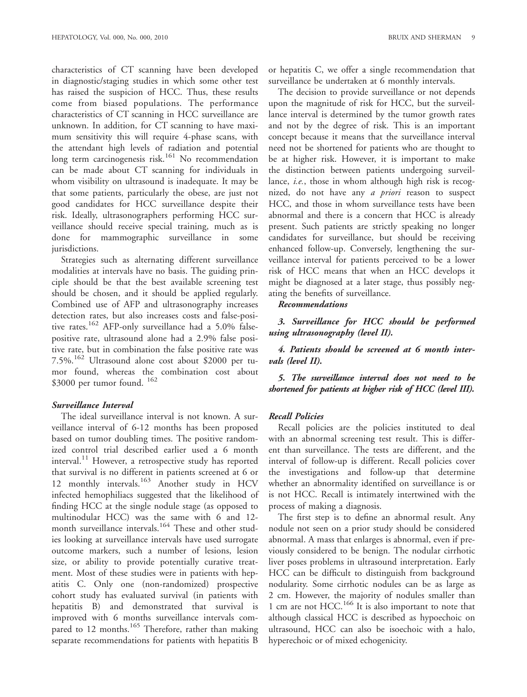characteristics of CT scanning have been developed in diagnostic/staging studies in which some other test has raised the suspicion of HCC. Thus, these results come from biased populations. The performance characteristics of CT scanning in HCC surveillance are unknown. In addition, for CT scanning to have maximum sensitivity this will require 4-phase scans, with the attendant high levels of radiation and potential long term carcinogenesis risk.<sup>161</sup> No recommendation can be made about CT scanning for individuals in whom visibility on ultrasound is inadequate. It may be that some patients, particularly the obese, are just not good candidates for HCC surveillance despite their risk. Ideally, ultrasonographers performing HCC surveillance should receive special training, much as is done for mammographic surveillance in some jurisdictions.

Strategies such as alternating different surveillance modalities at intervals have no basis. The guiding principle should be that the best available screening test should be chosen, and it should be applied regularly. Combined use of AFP and ultrasonography increases detection rates, but also increases costs and false-positive rates.<sup>162</sup> AFP-only surveillance had a 5.0% falsepositive rate, ultrasound alone had a 2.9% false positive rate, but in combination the false positive rate was 7.5%.<sup>162</sup> Ultrasound alone cost about \$2000 per tumor found, whereas the combination cost about \$3000 per tumor found. <sup>162</sup>

#### Surveillance Interval

The ideal surveillance interval is not known. A surveillance interval of 6-12 months has been proposed based on tumor doubling times. The positive randomized control trial described earlier used a 6 month interval.<sup>11</sup> However, a retrospective study has reported that survival is no different in patients screened at 6 or 12 monthly intervals.<sup>163</sup> Another study in HCV infected hemophiliacs suggested that the likelihood of finding HCC at the single nodule stage (as opposed to multinodular HCC) was the same with 6 and 12 month surveillance intervals.<sup>164</sup> These and other studies looking at surveillance intervals have used surrogate outcome markers, such a number of lesions, lesion size, or ability to provide potentially curative treatment. Most of these studies were in patients with hepatitis C. Only one (non-randomized) prospective cohort study has evaluated survival (in patients with hepatitis B) and demonstrated that survival is improved with 6 months surveillance intervals compared to 12 months.<sup>165</sup> Therefore, rather than making separate recommendations for patients with hepatitis B

or hepatitis C, we offer a single recommendation that surveillance be undertaken at 6 monthly intervals.

The decision to provide surveillance or not depends upon the magnitude of risk for HCC, but the surveillance interval is determined by the tumor growth rates and not by the degree of risk. This is an important concept because it means that the surveillance interval need not be shortened for patients who are thought to be at higher risk. However, it is important to make the distinction between patients undergoing surveillance, i.e., those in whom although high risk is recognized, do not have any *a priori* reason to suspect HCC, and those in whom surveillance tests have been abnormal and there is a concern that HCC is already present. Such patients are strictly speaking no longer candidates for surveillance, but should be receiving enhanced follow-up. Conversely, lengthening the surveillance interval for patients perceived to be a lower risk of HCC means that when an HCC develops it might be diagnosed at a later stage, thus possibly negating the benefits of surveillance.

Recommendations

3. Surveillance for HCC should be performed using ultrasonography (level II).

4. Patients should be screened at 6 month intervals (level II).

5. The surveillance interval does not need to be shortened for patients at higher risk of HCC (level III).

# Recall Policies

Recall policies are the policies instituted to deal with an abnormal screening test result. This is different than surveillance. The tests are different, and the interval of follow-up is different. Recall policies cover the investigations and follow-up that determine whether an abnormality identified on surveillance is or is not HCC. Recall is intimately intertwined with the process of making a diagnosis.

The first step is to define an abnormal result. Any nodule not seen on a prior study should be considered abnormal. A mass that enlarges is abnormal, even if previously considered to be benign. The nodular cirrhotic liver poses problems in ultrasound interpretation. Early HCC can be difficult to distinguish from background nodularity. Some cirrhotic nodules can be as large as 2 cm. However, the majority of nodules smaller than 1 cm are not HCC.<sup>166</sup> It is also important to note that although classical HCC is described as hypoechoic on ultrasound, HCC can also be isoechoic with a halo, hyperechoic or of mixed echogenicity.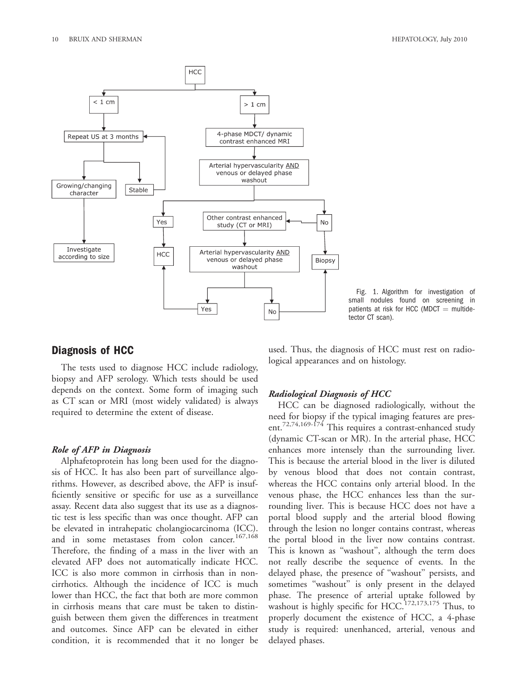

Fig. 1. Algorithm for investigation of small nodules found on screening in patients at risk for HCC (MDCT  $=$  multidetector CT scan).

# Diagnosis of HCC

The tests used to diagnose HCC include radiology, biopsy and AFP serology. Which tests should be used depends on the context. Some form of imaging such as CT scan or MRI (most widely validated) is always required to determine the extent of disease.

#### Role of AFP in Diagnosis

Alphafetoprotein has long been used for the diagnosis of HCC. It has also been part of surveillance algorithms. However, as described above, the AFP is insufficiently sensitive or specific for use as a surveillance assay. Recent data also suggest that its use as a diagnostic test is less specific than was once thought. AFP can be elevated in intrahepatic cholangiocarcinoma (ICC). and in some metastases from colon cancer.<sup>167,168</sup> Therefore, the finding of a mass in the liver with an elevated AFP does not automatically indicate HCC. ICC is also more common in cirrhosis than in noncirrhotics. Although the incidence of ICC is much lower than HCC, the fact that both are more common in cirrhosis means that care must be taken to distinguish between them given the differences in treatment and outcomes. Since AFP can be elevated in either condition, it is recommended that it no longer be used. Thus, the diagnosis of HCC must rest on radiological appearances and on histology.

#### Radiological Diagnosis of HCC

HCC can be diagnosed radiologically, without the need for biopsy if the typical imaging features are present.<sup>72,74,169-174</sup> This requires a contrast-enhanced study (dynamic CT-scan or MR). In the arterial phase, HCC enhances more intensely than the surrounding liver. This is because the arterial blood in the liver is diluted by venous blood that does not contain contrast, whereas the HCC contains only arterial blood. In the venous phase, the HCC enhances less than the surrounding liver. This is because HCC does not have a portal blood supply and the arterial blood flowing through the lesion no longer contains contrast, whereas the portal blood in the liver now contains contrast. This is known as ''washout'', although the term does not really describe the sequence of events. In the delayed phase, the presence of ''washout'' persists, and sometimes "washout" is only present in the delayed phase. The presence of arterial uptake followed by washout is highly specific for  $HCC$ .<sup>172,173,175</sup> Thus, to properly document the existence of HCC, a 4-phase study is required: unenhanced, arterial, venous and delayed phases.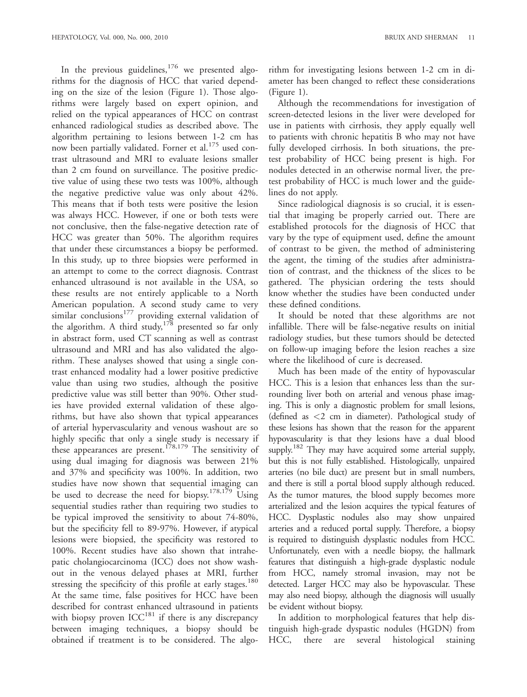In the previous guidelines,  $176$  we presented algorithms for the diagnosis of HCC that varied depending on the size of the lesion (Figure 1). Those algorithms were largely based on expert opinion, and relied on the typical appearances of HCC on contrast enhanced radiological studies as described above. The algorithm pertaining to lesions between 1-2 cm has now been partially validated. Forner et al.<sup>175</sup> used contrast ultrasound and MRI to evaluate lesions smaller than 2 cm found on surveillance. The positive predictive value of using these two tests was 100%, although the negative predictive value was only about 42%. This means that if both tests were positive the lesion was always HCC. However, if one or both tests were not conclusive, then the false-negative detection rate of HCC was greater than 50%. The algorithm requires that under these circumstances a biopsy be performed. In this study, up to three biopsies were performed in an attempt to come to the correct diagnosis. Contrast enhanced ultrasound is not available in the USA, so these results are not entirely applicable to a North American population. A second study came to very similar conclusions<sup>177</sup> providing external validation of the algorithm. A third study,  $178$  presented so far only in abstract form, used CT scanning as well as contrast ultrasound and MRI and has also validated the algorithm. These analyses showed that using a single contrast enhanced modality had a lower positive predictive value than using two studies, although the positive predictive value was still better than 90%. Other studies have provided external validation of these algorithms, but have also shown that typical appearances of arterial hypervascularity and venous washout are so highly specific that only a single study is necessary if these appearances are present.<sup>178,179</sup> The sensitivity of using dual imaging for diagnosis was between 21% and 37% and specificity was 100%. In addition, two studies have now shown that sequential imaging can be used to decrease the need for biopsy.<sup>178,179</sup> Using sequential studies rather than requiring two studies to be typical improved the sensitivity to about 74-80%, but the specificity fell to 89-97%. However, if atypical lesions were biopsied, the specificity was restored to 100%. Recent studies have also shown that intrahepatic cholangiocarcinoma (ICC) does not show washout in the venous delayed phases at MRI, further stressing the specificity of this profile at early stages.<sup>180</sup> At the same time, false positives for HCC have been described for contrast enhanced ultrasound in patients with biopsy proven  $ICC^{181}$  if there is any discrepancy between imaging techniques, a biopsy should be obtained if treatment is to be considered. The algo-

rithm for investigating lesions between 1-2 cm in diameter has been changed to reflect these considerations (Figure 1).

Although the recommendations for investigation of screen-detected lesions in the liver were developed for use in patients with cirrhosis, they apply equally well to patients with chronic hepatitis B who may not have fully developed cirrhosis. In both situations, the pretest probability of HCC being present is high. For nodules detected in an otherwise normal liver, the pretest probability of HCC is much lower and the guidelines do not apply.

Since radiological diagnosis is so crucial, it is essential that imaging be properly carried out. There are established protocols for the diagnosis of HCC that vary by the type of equipment used, define the amount of contrast to be given, the method of administering the agent, the timing of the studies after administration of contrast, and the thickness of the slices to be gathered. The physician ordering the tests should know whether the studies have been conducted under these defined conditions.

It should be noted that these algorithms are not infallible. There will be false-negative results on initial radiology studies, but these tumors should be detected on follow-up imaging before the lesion reaches a size where the likelihood of cure is decreased.

Much has been made of the entity of hypovascular HCC. This is a lesion that enhances less than the surrounding liver both on arterial and venous phase imaging. This is only a diagnostic problem for small lesions, (defined as <2 cm in diameter). Pathological study of these lesions has shown that the reason for the apparent hypovascularity is that they lesions have a dual blood supply.<sup>182</sup> They may have acquired some arterial supply, but this is not fully established. Histologically, unpaired arteries (no bile duct) are present but in small numbers, and there is still a portal blood supply although reduced. As the tumor matures, the blood supply becomes more arterialized and the lesion acquires the typical features of HCC. Dysplastic nodules also may show unpaired arteries and a reduced portal supply. Therefore, a biopsy is required to distinguish dysplastic nodules from HCC. Unfortunately, even with a needle biopsy, the hallmark features that distinguish a high-grade dysplastic nodule from HCC, namely stromal invasion, may not be detected. Larger HCC may also be hypovascular. These may also need biopsy, although the diagnosis will usually be evident without biopsy.

In addition to morphological features that help distinguish high-grade dyspastic nodules (HGDN) from HCC, there are several histological staining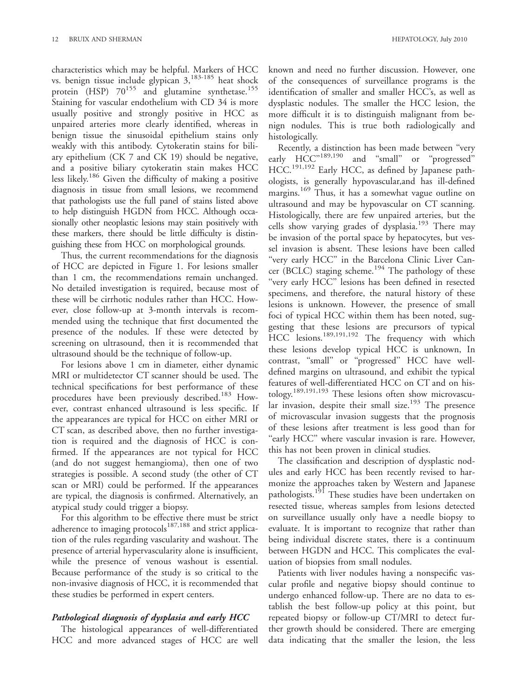characteristics which may be helpful. Markers of HCC vs. benign tissue include glypican  $3,^{183-185}$  heat shock protein  $(HSP)$  70<sup>155</sup> and glutamine synthetase.<sup>155</sup> Staining for vascular endothelium with CD 34 is more usually positive and strongly positive in HCC as unpaired arteries more clearly identified, whereas in benign tissue the sinusoidal epithelium stains only weakly with this antibody. Cytokeratin stains for biliary epithelium (CK 7 and CK 19) should be negative, and a positive biliary cytokeratin stain makes HCC less likely.<sup>186</sup> Given the difficulty of making a positive diagnosis in tissue from small lesions, we recommend that pathologists use the full panel of stains listed above to help distinguish HGDN from HCC. Although occasionally other neoplastic lesions may stain positively with these markers, there should be little difficulty is distinguishing these from HCC on morphological grounds.

Thus, the current recommendations for the diagnosis of HCC are depicted in Figure 1. For lesions smaller than 1 cm, the recommendations remain unchanged. No detailed investigation is required, because most of these will be cirrhotic nodules rather than HCC. However, close follow-up at 3-month intervals is recommended using the technique that first documented the presence of the nodules. If these were detected by screening on ultrasound, then it is recommended that ultrasound should be the technique of follow-up.

For lesions above 1 cm in diameter, either dynamic MRI or multidetector CT scanner should be used. The technical specifications for best performance of these procedures have been previously described.<sup>183</sup> However, contrast enhanced ultrasound is less specific. If the appearances are typical for HCC on either MRI or CT scan, as described above, then no further investigation is required and the diagnosis of HCC is confirmed. If the appearances are not typical for HCC (and do not suggest hemangioma), then one of two strategies is possible. A second study (the other of CT scan or MRI) could be performed. If the appearances are typical, the diagnosis is confirmed. Alternatively, an atypical study could trigger a biopsy.

For this algorithm to be effective there must be strict adherence to imaging protocols<sup>187,188</sup> and strict application of the rules regarding vascularity and washout. The presence of arterial hypervascularity alone is insufficient, while the presence of venous washout is essential. Because performance of the study is so critical to the non-invasive diagnosis of HCC, it is recommended that these studies be performed in expert centers.

# Pathological diagnosis of dysplasia and early HCC

The histological appearances of well-differentiated HCC and more advanced stages of HCC are well known and need no further discussion. However, one of the consequences of surveillance programs is the identification of smaller and smaller HCC's, as well as dysplastic nodules. The smaller the HCC lesion, the more difficult it is to distinguish malignant from benign nodules. This is true both radiologically and histologically.

Recently, a distinction has been made between ''very early HCC"<sup>189,190</sup> and "small" or "progressed" HCC.<sup>191,192</sup> Early HCC, as defined by Japanese pathologists, is generally hypovascular,and has ill-defined margins.<sup>169</sup> Thus, it has a somewhat vague outline on ultrasound and may be hypovascular on CT scanning. Histologically, there are few unpaired arteries, but the cells show varying grades of dysplasia.<sup>193</sup> There may be invasion of the portal space by hepatocytes, but vessel invasion is absent. These lesions have been called "very early HCC" in the Barcelona Clinic Liver Cancer (BCLC) staging scheme.<sup>194</sup> The pathology of these ''very early HCC'' lesions has been defined in resected specimens, and therefore, the natural history of these lesions is unknown. However, the presence of small foci of typical HCC within them has been noted, suggesting that these lesions are precursors of typical HCC lesions.<sup>189,191,192</sup> The frequency with which these lesions develop typical HCC is unknown, In contrast, ''small'' or ''progressed'' HCC have welldefined margins on ultrasound, and exhibit the typical features of well-differentiated HCC on CT and on histology.<sup>189,191,193</sup> These lesions often show microvascular invasion, despite their small size.<sup>193</sup> The presence of microvascular invasion suggests that the prognosis of these lesions after treatment is less good than for "early HCC" where vascular invasion is rare. However, this has not been proven in clinical studies.

The classification and description of dysplastic nodules and early HCC has been recently revised to harmonize the approaches taken by Western and Japanese pathologists.<sup>191</sup> These studies have been undertaken on resected tissue, whereas samples from lesions detected on surveillance usually only have a needle biopsy to evaluate. It is important to recognize that rather than being individual discrete states, there is a continuum between HGDN and HCC. This complicates the evaluation of biopsies from small nodules.

Patients with liver nodules having a nonspecific vascular profile and negative biopsy should continue to undergo enhanced follow-up. There are no data to establish the best follow-up policy at this point, but repeated biopsy or follow-up CT/MRI to detect further growth should be considered. There are emerging data indicating that the smaller the lesion, the less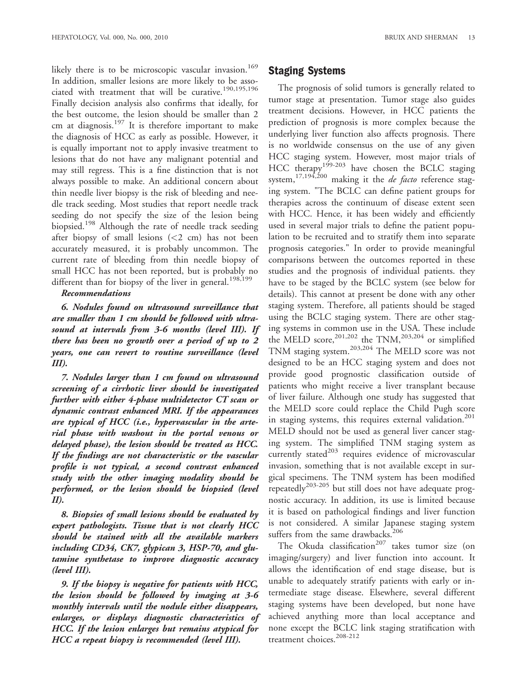likely there is to be microscopic vascular invasion.<sup>169</sup> In addition, smaller lesions are more likely to be associated with treatment that will be curative.<sup>190,195,196</sup> Finally decision analysis also confirms that ideally, for the best outcome, the lesion should be smaller than 2 cm at diagnosis.<sup>197</sup> It is therefore important to make the diagnosis of HCC as early as possible. However, it is equally important not to apply invasive treatment to lesions that do not have any malignant potential and may still regress. This is a fine distinction that is not always possible to make. An additional concern about thin needle liver biopsy is the risk of bleeding and needle track seeding. Most studies that report needle track seeding do not specify the size of the lesion being biopsied.<sup>198</sup> Although the rate of needle track seeding after biopsy of small lesions  $( $2 \text{ cm}$ )$  has not been accurately measured, it is probably uncommon. The current rate of bleeding from thin needle biopsy of small HCC has not been reported, but is probably no different than for biopsy of the liver in general.<sup>198,199</sup>

#### Recommendations

6. Nodules found on ultrasound surveillance that are smaller than 1 cm should be followed with ultrasound at intervals from 3-6 months (level III). If there has been no growth over a period of up to 2 years, one can revert to routine surveillance (level III).

7. Nodules larger than 1 cm found on ultrasound screening of a cirrhotic liver should be investigated further with either 4-phase multidetector CT scan or dynamic contrast enhanced MRI. If the appearances are typical of HCC (i.e., hypervascular in the arterial phase with washout in the portal venous or delayed phase), the lesion should be treated as HCC. If the findings are not characteristic or the vascular profile is not typical, a second contrast enhanced study with the other imaging modality should be performed, or the lesion should be biopsied (level II).

8. Biopsies of small lesions should be evaluated by expert pathologists. Tissue that is not clearly HCC should be stained with all the available markers including CD34, CK7, glypican 3, HSP-70, and glutamine synthetase to improve diagnostic accuracy (level III).

9. If the biopsy is negative for patients with HCC, the lesion should be followed by imaging at 3-6 monthly intervals until the nodule either disappears, enlarges, or displays diagnostic characteristics of HCC. If the lesion enlarges but remains atypical for HCC a repeat biopsy is recommended (level III).

# Staging Systems

The prognosis of solid tumors is generally related to tumor stage at presentation. Tumor stage also guides treatment decisions. However, in HCC patients the prediction of prognosis is more complex because the underlying liver function also affects prognosis. There is no worldwide consensus on the use of any given HCC staging system. However, most major trials of HCC therapy<sup>199-203</sup> have chosen the BCLC staging system, $17,194,200$  making it the *de facto* reference staging system. "The BCLC can define patient groups for therapies across the continuum of disease extent seen with HCC. Hence, it has been widely and efficiently used in several major trials to define the patient population to be recruited and to stratify them into separate prognosis categories." In order to provide meaningful comparisons between the outcomes reported in these studies and the prognosis of individual patients. they have to be staged by the BCLC system (see below for details). This cannot at present be done with any other staging system. Therefore, all patients should be staged using the BCLC staging system. There are other staging systems in common use in the USA. These include the MELD score,  $201,202$  the TNM,  $203,204$  or simplified TNM staging system.203,204 The MELD score was not designed to be an HCC staging system and does not provide good prognostic classification outside of patients who might receive a liver transplant because of liver failure. Although one study has suggested that the MELD score could replace the Child Pugh score in staging systems, this requires external validation.<sup>201</sup> MELD should not be used as general liver cancer staging system. The simplified TNM staging system as currently stated $^{203}$  requires evidence of microvascular invasion, something that is not available except in surgical specimens. The TNM system has been modified repeatedly203-205 but still does not have adequate prognostic accuracy. In addition, its use is limited because it is based on pathological findings and liver function is not considered. A similar Japanese staging system suffers from the same drawbacks.<sup>206</sup>

The Okuda classification<sup>207</sup> takes tumor size (on imaging/surgery) and liver function into account. It allows the identification of end stage disease, but is unable to adequately stratify patients with early or intermediate stage disease. Elsewhere, several different staging systems have been developed, but none have achieved anything more than local acceptance and none except the BCLC link staging stratification with treatment choices.<sup>208-212</sup>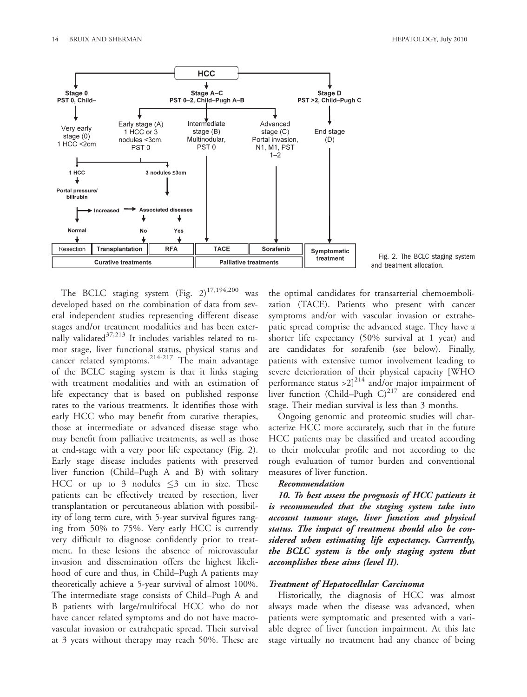

Fig. 2. The BCLC staging system and treatment allocation.

The BCLC staging system (Fig.  $2)^{17,194,200}$  was developed based on the combination of data from several independent studies representing different disease stages and/or treatment modalities and has been externally validated $37,213$  It includes variables related to tumor stage, liver functional status, physical status and cancer related symptoms.214-217 The main advantage of the BCLC staging system is that it links staging with treatment modalities and with an estimation of life expectancy that is based on published response rates to the various treatments. It identifies those with early HCC who may benefit from curative therapies, those at intermediate or advanced disease stage who may benefit from palliative treatments, as well as those at end-stage with a very poor life expectancy (Fig. 2). Early stage disease includes patients with preserved liver function (Child–Pugh A and B) with solitary HCC or up to 3 nodules  $\leq$ 3 cm in size. These patients can be effectively treated by resection, liver transplantation or percutaneous ablation with possibility of long term cure, with 5-year survival figures ranging from 50% to 75%. Very early HCC is currently very difficult to diagnose confidently prior to treatment. In these lesions the absence of microvascular invasion and dissemination offers the highest likelihood of cure and thus, in Child–Pugh A patients may theoretically achieve a 5-year survival of almost 100%. The intermediate stage consists of Child–Pugh A and B patients with large/multifocal HCC who do not have cancer related symptoms and do not have macrovascular invasion or extrahepatic spread. Their survival at 3 years without therapy may reach 50%. These are

the optimal candidates for transarterial chemoembolization (TACE). Patients who present with cancer symptoms and/or with vascular invasion or extrahepatic spread comprise the advanced stage. They have a shorter life expectancy (50% survival at 1 year) and are candidates for sorafenib (see below). Finally, patients with extensive tumor involvement leading to severe deterioration of their physical capacity [WHO performance status >2 $]^{214}$  and/or major impairment of liver function (Child–Pugh  $C)^{217}$  are considered end stage. Their median survival is less than 3 months.

Ongoing genomic and proteomic studies will characterize HCC more accurately, such that in the future HCC patients may be classified and treated according to their molecular profile and not according to the rough evaluation of tumor burden and conventional measures of liver function.

#### Recommendation

10. To best assess the prognosis of HCC patients it is recommended that the staging system take into account tumour stage, liver function and physical status. The impact of treatment should also be considered when estimating life expectancy. Currently, the BCLC system is the only staging system that accomplishes these aims (level II).

#### Treatment of Hepatocellular Carcinoma

Historically, the diagnosis of HCC was almost always made when the disease was advanced, when patients were symptomatic and presented with a variable degree of liver function impairment. At this late stage virtually no treatment had any chance of being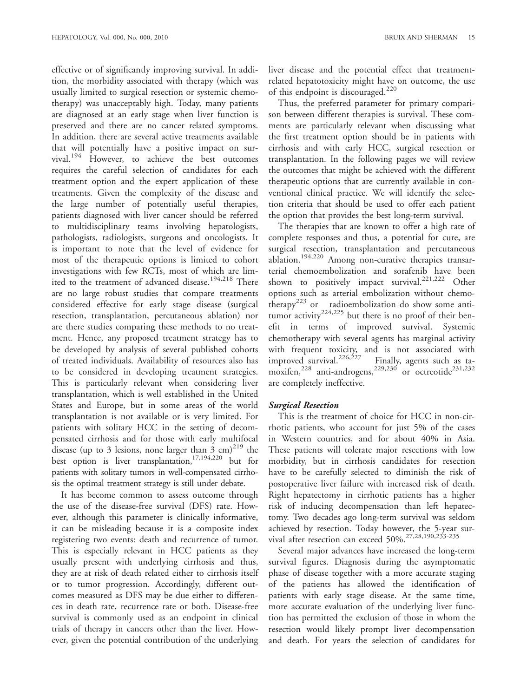effective or of significantly improving survival. In addition, the morbidity associated with therapy (which was usually limited to surgical resection or systemic chemotherapy) was unacceptably high. Today, many patients are diagnosed at an early stage when liver function is preserved and there are no cancer related symptoms. In addition, there are several active treatments available that will potentially have a positive impact on survival.<sup>194</sup> However, to achieve the best outcomes requires the careful selection of candidates for each treatment option and the expert application of these treatments. Given the complexity of the disease and the large number of potentially useful therapies, patients diagnosed with liver cancer should be referred to multidisciplinary teams involving hepatologists, pathologists, radiologists, surgeons and oncologists. It is important to note that the level of evidence for most of the therapeutic options is limited to cohort investigations with few RCTs, most of which are limited to the treatment of advanced disease.<sup>194,218</sup> There are no large robust studies that compare treatments considered effective for early stage disease (surgical resection, transplantation, percutaneous ablation) nor are there studies comparing these methods to no treatment. Hence, any proposed treatment strategy has to be developed by analysis of several published cohorts of treated individuals. Availability of resources also has to be considered in developing treatment strategies. This is particularly relevant when considering liver transplantation, which is well established in the United States and Europe, but in some areas of the world transplantation is not available or is very limited. For patients with solitary HCC in the setting of decompensated cirrhosis and for those with early multifocal disease (up to 3 lesions, none larger than 3 cm)<sup>219</sup> the best option is liver transplantation,  $17,194,220$  but for patients with solitary tumors in well-compensated cirrhosis the optimal treatment strategy is still under debate.

It has become common to assess outcome through the use of the disease-free survival (DFS) rate. However, although this parameter is clinically informative, it can be misleading because it is a composite index registering two events: death and recurrence of tumor. This is especially relevant in HCC patients as they usually present with underlying cirrhosis and thus, they are at risk of death related either to cirrhosis itself or to tumor progression. Accordingly, different outcomes measured as DFS may be due either to differences in death rate, recurrence rate or both. Disease-free survival is commonly used as an endpoint in clinical trials of therapy in cancers other than the liver. However, given the potential contribution of the underlying

liver disease and the potential effect that treatmentrelated hepatotoxicity might have on outcome, the use of this endpoint is discouraged.<sup>220</sup>

Thus, the preferred parameter for primary comparison between different therapies is survival. These comments are particularly relevant when discussing what the first treatment option should be in patients with cirrhosis and with early HCC, surgical resection or transplantation. In the following pages we will review the outcomes that might be achieved with the different therapeutic options that are currently available in conventional clinical practice. We will identify the selection criteria that should be used to offer each patient the option that provides the best long-term survival.

The therapies that are known to offer a high rate of complete responses and thus, a potential for cure, are surgical resection, transplantation and percutaneous ablation.<sup>194,220</sup> Among non-curative therapies transarterial chemoembolization and sorafenib have been shown to positively impact survival.<sup>221,222</sup> Other options such as arterial embolization without chemotherapy<sup>223</sup> or radioembolization do show some antitumor activity<sup>224,225</sup> but there is no proof of their benefit in terms of improved survival. Systemic chemotherapy with several agents has marginal activity with frequent toxicity, and is not associated with<br>improved survival.<sup>226,227</sup> Finally, agents such as taimproved survival.<sup>226,227</sup> Finally, agents such as tamoxifen,<sup>228</sup> anti-androgens,<sup>229,230</sup> or octreotide<sup>231,232</sup> are completely ineffective.

# Surgical Resection

This is the treatment of choice for HCC in non-cirrhotic patients, who account for just 5% of the cases in Western countries, and for about 40% in Asia. These patients will tolerate major resections with low morbidity, but in cirrhosis candidates for resection have to be carefully selected to diminish the risk of postoperative liver failure with increased risk of death. Right hepatectomy in cirrhotic patients has a higher risk of inducing decompensation than left hepatectomy. Two decades ago long-term survival was seldom achieved by resection. Today however, the 5-year survival after resection can exceed 50%.27,28,190,233-235

Several major advances have increased the long-term survival figures. Diagnosis during the asymptomatic phase of disease together with a more accurate staging of the patients has allowed the identification of patients with early stage disease. At the same time, more accurate evaluation of the underlying liver function has permitted the exclusion of those in whom the resection would likely prompt liver decompensation and death. For years the selection of candidates for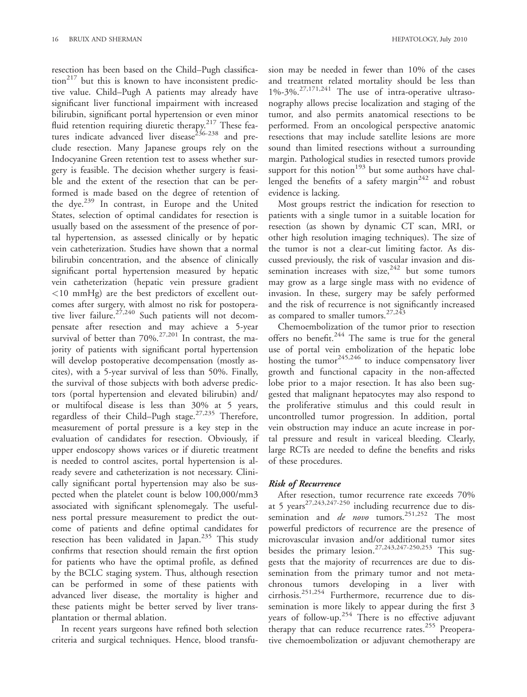16 BRUIX AND SHERMAN **HEPATOLOGY, July 2010** 

resection has been based on the Child–Pugh classifica- $\arctan^{217}$  but this is known to have inconsistent predictive value. Child–Pugh A patients may already have significant liver functional impairment with increased bilirubin, significant portal hypertension or even minor fluid retention requiring diuretic therapy.<sup>217</sup> These features indicate advanced liver disease<sup>236-238</sup> and preclude resection. Many Japanese groups rely on the Indocyanine Green retention test to assess whether surgery is feasible. The decision whether surgery is feasible and the extent of the resection that can be performed is made based on the degree of retention of the dye.<sup>239</sup> In contrast, in Europe and the United States, selection of optimal candidates for resection is usually based on the assessment of the presence of portal hypertension, as assessed clinically or by hepatic vein catheterization. Studies have shown that a normal bilirubin concentration, and the absence of clinically significant portal hypertension measured by hepatic vein catheterization (hepatic vein pressure gradient <10 mmHg) are the best predictors of excellent outcomes after surgery, with almost no risk for postoperative liver failure.<sup>27,240</sup> Such patients will not decompensate after resection and may achieve a 5-year survival of better than  $70\%$ .<sup>27,201</sup> In contrast, the majority of patients with significant portal hypertension will develop postoperative decompensation (mostly ascites), with a 5-year survival of less than 50%. Finally, the survival of those subjects with both adverse predictors (portal hypertension and elevated bilirubin) and/ or multifocal disease is less than 30% at 5 years, regardless of their Child–Pugh stage.<sup>27,235</sup> Therefore, measurement of portal pressure is a key step in the evaluation of candidates for resection. Obviously, if upper endoscopy shows varices or if diuretic treatment is needed to control ascites, portal hypertension is already severe and catheterization is not necessary. Clinically significant portal hypertension may also be suspected when the platelet count is below 100,000/mm3 associated with significant splenomegaly. The usefulness portal pressure measurement to predict the outcome of patients and define optimal candidates for resection has been validated in Japan.<sup>235</sup> This study confirms that resection should remain the first option for patients who have the optimal profile, as defined by the BCLC staging system. Thus, although resection can be performed in some of these patients with advanced liver disease, the mortality is higher and these patients might be better served by liver transplantation or thermal ablation.

In recent years surgeons have refined both selection criteria and surgical techniques. Hence, blood transfusion may be needed in fewer than 10% of the cases and treatment related mortality should be less than  $1\% - 3\%$ .<sup>27,171,241</sup> The use of intra-operative ultrasonography allows precise localization and staging of the tumor, and also permits anatomical resections to be performed. From an oncological perspective anatomic resections that may include satellite lesions are more sound than limited resections without a surrounding margin. Pathological studies in resected tumors provide support for this notion<sup>193</sup> but some authors have challenged the benefits of a safety margin $242$  and robust evidence is lacking.

Most groups restrict the indication for resection to patients with a single tumor in a suitable location for resection (as shown by dynamic CT scan, MRI, or other high resolution imaging techniques). The size of the tumor is not a clear-cut limiting factor. As discussed previously, the risk of vascular invasion and dissemination increases with size,  $242$  but some tumors may grow as a large single mass with no evidence of invasion. In these, surgery may be safely performed and the risk of recurrence is not significantly increased as compared to smaller tumors.  $27,243$ 

Chemoembolization of the tumor prior to resection offers no benefit.<sup>244</sup> The same is true for the general use of portal vein embolization of the hepatic lobe hosting the tumor<sup>245,246</sup> to induce compensatory liver growth and functional capacity in the non-affected lobe prior to a major resection. It has also been suggested that malignant hepatocytes may also respond to the proliferative stimulus and this could result in uncontrolled tumor progression. In addition, portal vein obstruction may induce an acute increase in portal pressure and result in variceal bleeding. Clearly, large RCTs are needed to define the benefits and risks of these procedures.

# Risk of Recurrence

After resection, tumor recurrence rate exceeds 70% at 5 years<sup>27,243,247-250</sup> including recurrence due to dissemination and *de novo* tumors.<sup>251,252</sup> The most powerful predictors of recurrence are the presence of microvascular invasion and/or additional tumor sites besides the primary lesion.<sup>27,243,247-250,253</sup> This suggests that the majority of recurrences are due to dissemination from the primary tumor and not metachronous tumors developing in a liver with cirrhosis.251,254 Furthermore, recurrence due to dissemination is more likely to appear during the first 3 years of follow-up.<sup>254</sup> There is no effective adjuvant therapy that can reduce recurrence rates.<sup>255</sup> Preoperative chemoembolization or adjuvant chemotherapy are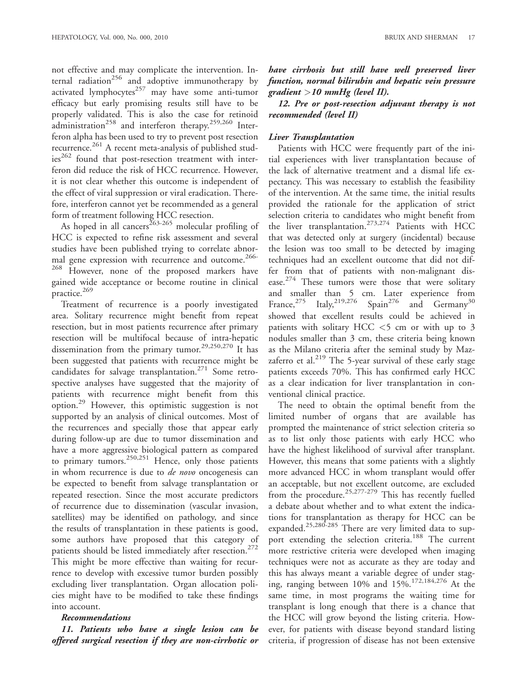not effective and may complicate the intervention. Internal radiation<sup>256</sup> and adoptive immunotherapy by activated lymphocytes<sup>257</sup> may have some anti-tumor efficacy but early promising results still have to be properly validated. This is also the case for retinoid administration<sup>258</sup> and interferon therapy.<sup>259,260</sup> Interferon alpha has been used to try to prevent post resection recurrence. <sup>261</sup> A recent meta-analysis of published studies<sup>262</sup> found that post-resection treatment with interferon did reduce the risk of HCC recurrence. However, it is not clear whether this outcome is independent of the effect of viral suppression or viral eradication. Therefore, interferon cannot yet be recommended as a general form of treatment following HCC resection.

As hoped in all cancers<sup>263-265</sup> molecular profiling of HCC is expected to refine risk assessment and several studies have been published trying to correlate abnormal gene expression with recurrence and outcome.<sup>266-</sup> However, none of the proposed markers have gained wide acceptance or become routine in clinical practice.<sup>269</sup>

Treatment of recurrence is a poorly investigated area. Solitary recurrence might benefit from repeat resection, but in most patients recurrence after primary resection will be multifocal because of intra-hepatic dissemination from the primary tumor.<sup>29,250,270</sup> It has been suggested that patients with recurrence might be candidates for salvage transplantation.<sup>271</sup> Some retrospective analyses have suggested that the majority of patients with recurrence might benefit from this option.<sup>29</sup> However, this optimistic suggestion is not supported by an analysis of clinical outcomes. Most of the recurrences and specially those that appear early during follow-up are due to tumor dissemination and have a more aggressive biological pattern as compared to primary tumors.<sup>250,251</sup> Hence, only those patients in whom recurrence is due to *de novo* oncogenesis can be expected to benefit from salvage transplantation or repeated resection. Since the most accurate predictors of recurrence due to dissemination (vascular invasion, satellites) may be identified on pathology, and since the results of transplantation in these patients is good, some authors have proposed that this category of patients should be listed immediately after resection.<sup>272</sup> This might be more effective than waiting for recurrence to develop with excessive tumor burden possibly excluding liver transplantation. Organ allocation policies might have to be modified to take these findings into account.

#### Recommendations

11. Patients who have a single lesion can be offered surgical resection if they are non-cirrhotic or

have cirrhosis but still have well preserved liver function, normal bilirubin and hepatic vein pressure gradient >10 mmHg (level II).

12. Pre or post-resection adjuvant therapy is not recommended (level II)

#### Liver Transplantation

Patients with HCC were frequently part of the initial experiences with liver transplantation because of the lack of alternative treatment and a dismal life expectancy. This was necessary to establish the feasibility of the intervention. At the same time, the initial results provided the rationale for the application of strict selection criteria to candidates who might benefit from the liver transplantation.273,274 Patients with HCC that was detected only at surgery (incidental) because the lesion was too small to be detected by imaging techniques had an excellent outcome that did not differ from that of patients with non-malignant disease. $274$  These tumors were those that were solitary and smaller than 5 cm. Later experience from France,  $275$  Italy,  $219,276$  Spain<sup>276</sup> and Germany<sup>30</sup> showed that excellent results could be achieved in patients with solitary HCC  $<$  5 cm or with up to 3 nodules smaller than 3 cm, these criteria being known as the Milano criteria after the seminal study by Mazzaferro et al. $219$  The 5-year survival of these early stage patients exceeds 70%. This has confirmed early HCC as a clear indication for liver transplantation in conventional clinical practice.

The need to obtain the optimal benefit from the limited number of organs that are available has prompted the maintenance of strict selection criteria so as to list only those patients with early HCC who have the highest likelihood of survival after transplant. However, this means that some patients with a slightly more advanced HCC in whom transplant would offer an acceptable, but not excellent outcome, are excluded from the procedure.<sup>25,277-279</sup> This has recently fuelled a debate about whether and to what extent the indications for transplantation as therapy for HCC can be expanded.<sup>25,280-285</sup> There are very limited data to support extending the selection criteria.<sup>188</sup> The current more restrictive criteria were developed when imaging techniques were not as accurate as they are today and this has always meant a variable degree of under staging, ranging between 10% and 15%.172,184,276 At the same time, in most programs the waiting time for transplant is long enough that there is a chance that the HCC will grow beyond the listing criteria. However, for patients with disease beyond standard listing criteria, if progression of disease has not been extensive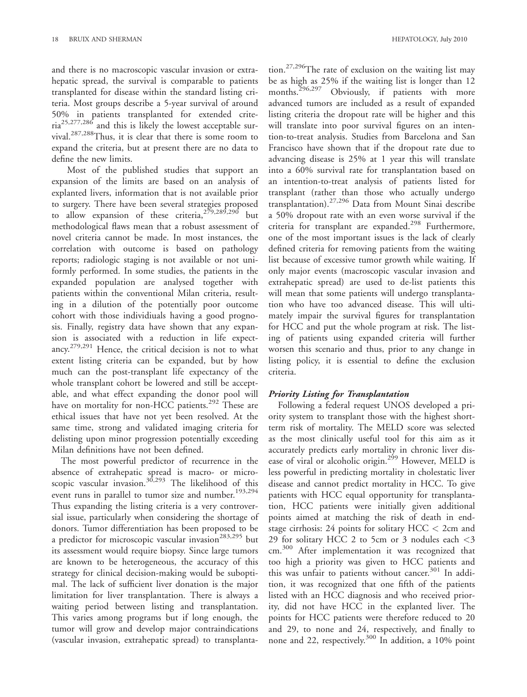and there is no macroscopic vascular invasion or extrahepatic spread, the survival is comparable to patients transplanted for disease within the standard listing criteria. Most groups describe a 5-year survival of around 50% in patients transplanted for extended criteria25,277,286 and this is likely the lowest acceptable survival.287,288Thus, it is clear that there is some room to expand the criteria, but at present there are no data to define the new limits.

Most of the published studies that support an expansion of the limits are based on an analysis of explanted livers, information that is not available prior to surgery. There have been several strategies proposed to allow expansion of these criteria,  $279,289,290$  but methodological flaws mean that a robust assessment of novel criteria cannot be made. In most instances, the correlation with outcome is based on pathology reports; radiologic staging is not available or not uniformly performed. In some studies, the patients in the expanded population are analysed together with patients within the conventional Milan criteria, resulting in a dilution of the potentially poor outcome cohort with those individiuals having a good prognosis. Finally, registry data have shown that any expansion is associated with a reduction in life expectancy.<sup>279,291</sup> Hence, the critical decision is not to what extent listing criteria can be expanded, but by how much can the post-transplant life expectancy of the whole transplant cohort be lowered and still be acceptable, and what effect expanding the donor pool will have on mortality for non-HCC patients.<sup>292</sup> These are ethical issues that have not yet been resolved. At the same time, strong and validated imaging criteria for delisting upon minor progression potentially exceeding Milan definitions have not been defined.

The most powerful predictor of recurrence in the absence of extrahepatic spread is macro- or microscopic vascular invasion. $30,293$  The likelihood of this event runs in parallel to tumor size and number.<sup>193,294</sup> Thus expanding the listing criteria is a very controversial issue, particularly when considering the shortage of donors. Tumor differentiation has been proposed to be a predictor for microscopic vascular invasion<sup>283,295</sup> but its assessment would require biopsy. Since large tumors are known to be heterogeneous, the accuracy of this strategy for clinical decision-making would be suboptimal. The lack of sufficient liver donation is the major limitation for liver transplantation. There is always a waiting period between listing and transplantation. This varies among programs but if long enough, the tumor will grow and develop major contraindications (vascular invasion, extrahepatic spread) to transplanta-

tion.<sup>27,296</sup>The rate of exclusion on the waiting list may be as high as 25% if the waiting list is longer than 12 months.<sup>296,297</sup> Obviously, if patients with more advanced tumors are included as a result of expanded listing criteria the dropout rate will be higher and this will translate into poor survival figures on an intention-to-treat analysis. Studies from Barcelona and San Francisco have shown that if the dropout rate due to advancing disease is 25% at 1 year this will translate into a 60% survival rate for transplantation based on an intention-to-treat analysis of patients listed for transplant (rather than those who actually undergo transplantation).27,296 Data from Mount Sinai describe a 50% dropout rate with an even worse survival if the criteria for transplant are expanded.<sup>298</sup> Furthermore, one of the most important issues is the lack of clearly defined criteria for removing patients from the waiting list because of excessive tumor growth while waiting. If only major events (macroscopic vascular invasion and extrahepatic spread) are used to de-list patients this will mean that some patients will undergo transplantation who have too advanced disease. This will ultimately impair the survival figures for transplantation for HCC and put the whole program at risk. The listing of patients using expanded criteria will further worsen this scenario and thus, prior to any change in listing policy, it is essential to define the exclusion criteria.

# Priority Listing for Transplantation

Following a federal request UNOS developed a priority system to transplant those with the highest shortterm risk of mortality. The MELD score was selected as the most clinically useful tool for this aim as it accurately predicts early mortality in chronic liver disease of viral or alcoholic origin.<sup>299</sup> However, MELD is less powerful in predicting mortality in cholestatic liver disease and cannot predict mortality in HCC. To give patients with HCC equal opportunity for transplantation, HCC patients were initially given additional points aimed at matching the risk of death in endstage cirrhosis: 24 points for solitary HCC < 2cm and 29 for solitary HCC 2 to 5cm or 3 nodules each <3 cm.<sup>300</sup> After implementation it was recognized that too high a priority was given to HCC patients and this was unfair to patients without cancer.<sup>301</sup> In addition, it was recognized that one fifth of the patients listed with an HCC diagnosis and who received priority, did not have HCC in the explanted liver. The points for HCC patients were therefore reduced to 20 and 29, to none and 24, respectively, and finally to none and 22, respectively.<sup>300</sup> In addition, a 10% point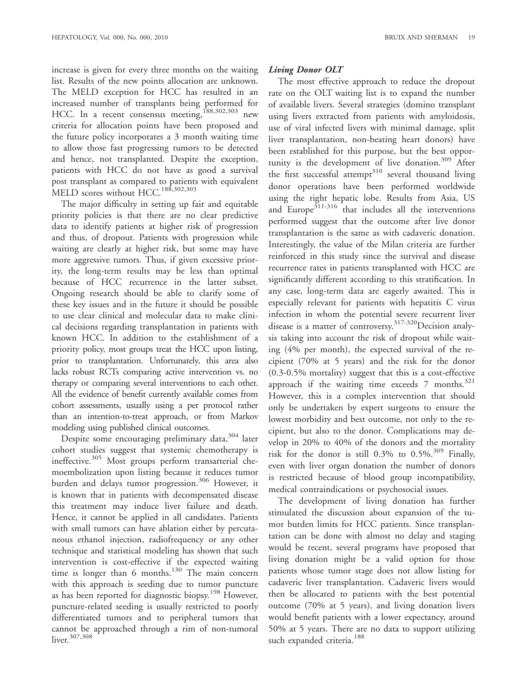increase is given for every three months on the waiting list. Results of the new points allocation are unknown. The MELD exception for HCC has resulted in an increased number of transplants being performed for HCC. In a recent consensus meeting,<sup>188,302,303</sup> new criteria for allocation points have been proposed and the future policy incorporates a 3 month waiting time to allow those fast progressing tumors to be detected and hence, not transplanted. Despite the exception, patients with HCC do not have as good a survival post transplant as compared to patients with equivalent MELD scores without HCC.<sup>188,302,303</sup>

The major difficulty in setting up fair and equitable priority policies is that there are no clear predictive data to identify patients at higher risk of progression and thus, of dropout. Patients with progression while waiting are clearly at higher risk, but some may have more aggressive tumors. Thus, if given excessive priority, the long-term results may be less than optimal because of HCC recurrence in the latter subset. Ongoing research should be able to clarify some of these key issues and in the future it should be possible to use clear clinical and molecular data to make clinical decisions regarding transplantation in patients with known HCC. In addition to the establishment of a priority policy, most groups treat the HCC upon listing, prior to transplantation. Unfortunately, this area also lacks robust RCTs comparing active intervention vs. no therapy or comparing several interventions to each other. All the evidence of benefit currently available comes from cohort assessments, usually using a per protocol rather than an intention-to-treat approach, or from Markov modeling using published clinical outcomes.

Despite some encouraging preliminary data,304 later cohort studies suggest that systemic chemotherapy is ineffective.<sup>305</sup> Most groups perform transarterial chemoembolization upon listing because it reduces tumor burden and delays tumor progression.<sup>306</sup> However, it is known that in patients with decompensated disease this treatment may induce liver failure and death. Hence, it cannot be applied in all candidates. Patients with small tumors can have ablation either by percutaneous ethanol injection, radiofrequency or any other technique and statistical modeling has shown that such intervention is cost-effective if the expected waiting time is longer than 6 months.<sup>130</sup> The main concern with this approach is seeding due to tumor puncture as has been reported for diagnostic biopsy.<sup>198</sup> However, puncture-related seeding is usually restricted to poorly differentiated tumors and to peripheral tumors that cannot be approached through a rim of non-tumoral liver.<sup>307,308</sup>

# Living Donor OLT

The most effective approach to reduce the dropout rate on the OLT waiting list is to expand the number of available livers. Several strategies (domino transplant using livers extracted from patients with amyloidosis, use of viral infected livers with minimal damage, split liver transplantation, non-beating heart donors) have been established for this purpose, but the best opportunity is the development of live donation.<sup>309</sup> After the first successful attempt $310$  several thousand living donor operations have been performed worldwide using the right hepatic lobe. Results from Asia, US and Europe<sup>311-316</sup> that includes all the interventions performed suggest that the outcome after live donor transplantation is the same as with cadaveric donation. Interestingly, the value of the Milan criteria are further reinforced in this study since the survival and disease recurrence rates in patients transplanted with HCC are significantly different according to this stratification. In any case, long-term data are eagerly awaited. This is especially relevant for patients with hepatitis C virus infection in whom the potential severe recurrent liver disease is a matter of controversy.<sup>317-320</sup>Decision analysis taking into account the risk of dropout while waiting (4% per month), the expected survival of the recipient (70% at 5 years) and the risk for the donor (0.3-0.5% mortality) suggest that this is a cost-effective approach if the waiting time exceeds  $7$  months.<sup>321</sup> However, this is a complex intervention that should only be undertaken by expert surgeons to ensure the lowest morbidity and best outcome, not only to the recipient, but also to the donor. Complications may develop in 20% to 40% of the donors and the mortality risk for the donor is still  $0.3\%$  to  $0.5\%$ .<sup>309</sup> Finally, even with liver organ donation the number of donors is restricted because of blood group incompatibility, medical contraindications or psychosocial issues.

The development of living donation has further stimulated the discussion about expansion of the tumor burden limits for HCC patients. Since transplantation can be done with almost no delay and staging would be recent, several programs have proposed that living donation might be a valid option for those patients whose tumor stage does not allow listing for cadaveric liver transplantation. Cadaveric livers would then be allocated to patients with the best potential outcome (70% at 5 years), and living donation livers would benefit patients with a lower expectancy, around 50% at 5 years. There are no data to support utilizing such expanded criteria.<sup>188</sup>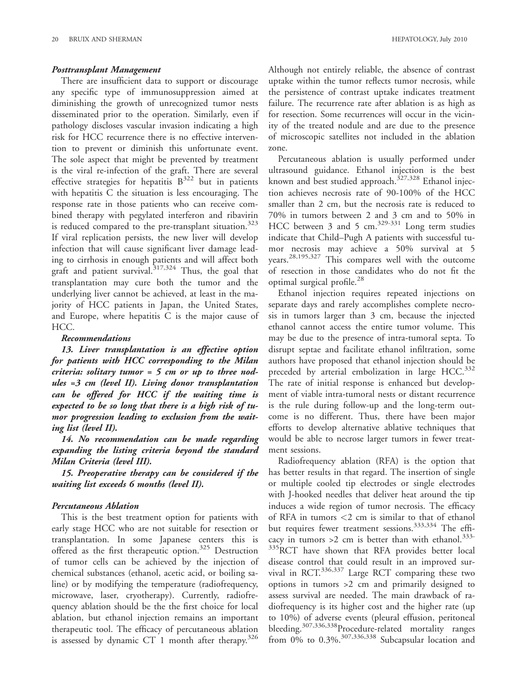# Posttransplant Management

There are insufficient data to support or discourage any specific type of immunosuppression aimed at diminishing the growth of unrecognized tumor nests disseminated prior to the operation. Similarly, even if pathology discloses vascular invasion indicating a high risk for HCC recurrence there is no effective intervention to prevent or diminish this unfortunate event. The sole aspect that might be prevented by treatment is the viral re-infection of the graft. There are several effective strategies for hepatitis  $B^{322}$  but in patients with hepatitis C the situation is less encouraging. The response rate in those patients who can receive combined therapy with pegylated interferon and ribavirin is reduced compared to the pre-transplant situation.<sup>323</sup> If viral replication persists, the new liver will develop infection that will cause significant liver damage leading to cirrhosis in enough patients and will affect both graft and patient survival.<sup>317,324</sup> Thus, the goal that transplantation may cure both the tumor and the underlying liver cannot be achieved, at least in the majority of HCC patients in Japan, the United States, and Europe, where hepatitis C is the major cause of HCC.

#### Recommendations

13. Liver transplantation is an effective option for patients with HCC corresponding to the Milan criteria: solitary tumor = 5 cm or up to three nodules =3 cm (level II). Living donor transplantation can be offered for HCC if the waiting time is expected to be so long that there is a high risk of tumor progression leading to exclusion from the waiting list (level II).

14. No recommendation can be made regarding expanding the listing criteria beyond the standard Milan Criteria (level III).

15. Preoperative therapy can be considered if the waiting list exceeds 6 months (level II).

#### Percutaneous Ablation

This is the best treatment option for patients with early stage HCC who are not suitable for resection or transplantation. In some Japanese centers this is offered as the first therapeutic option.<sup>325</sup> Destruction of tumor cells can be achieved by the injection of chemical substances (ethanol, acetic acid, or boiling saline) or by modifying the temperature (radiofrequency, microwave, laser, cryotherapy). Currently, radiofrequency ablation should be the the first choice for local ablation, but ethanol injection remains an important therapeutic tool. The efficacy of percutaneous ablation is assessed by dynamic CT 1 month after therapy. $326$ 

Although not entirely reliable, the absence of contrast uptake within the tumor reflects tumor necrosis, while the persistence of contrast uptake indicates treatment failure. The recurrence rate after ablation is as high as for resection. Some recurrences will occur in the vicinity of the treated nodule and are due to the presence of microscopic satellites not included in the ablation zone.

Percutaneous ablation is usually performed under ultrasound guidance. Ethanol injection is the best known and best studied approach.<sup>327,328</sup> Ethanol injection achieves necrosis rate of 90-100% of the HCC smaller than 2 cm, but the necrosis rate is reduced to 70% in tumors between 2 and 3 cm and to 50% in HCC between 3 and 5 cm.<sup>329-331</sup> Long term studies indicate that Child–Pugh A patients with successful tumor necrosis may achieve a 50% survival at 5 years.28,195,327 This compares well with the outcome of resection in those candidates who do not fit the optimal surgical profile.<sup>28</sup>

Ethanol injection requires repeated injections on separate days and rarely accomplishes complete necrosis in tumors larger than 3 cm, because the injected ethanol cannot access the entire tumor volume. This may be due to the presence of intra-tumoral septa. To disrupt septae and facilitate ethanol infiltration, some authors have proposed that ethanol injection should be preceded by arterial embolization in large HCC.<sup>332</sup> The rate of initial response is enhanced but development of viable intra-tumoral nests or distant recurrence is the rule during follow-up and the long-term outcome is no different. Thus, there have been major efforts to develop alternative ablative techniques that would be able to necrose larger tumors in fewer treatment sessions.

Radiofrequency ablation (RFA) is the option that has better results in that regard. The insertion of single or multiple cooled tip electrodes or single electrodes with J-hooked needles that deliver heat around the tip induces a wide region of tumor necrosis. The efficacy of RFA in tumors <2 cm is similar to that of ethanol but requires fewer treatment sessions.<sup>333,334</sup> The efficacy in tumors  $>2$  cm is better than with ethanol.<sup>333-</sup> 335RCT have shown that RFA provides better local disease control that could result in an improved survival in RCT.336,337 Large RCT comparing these two options in tumors >2 cm and primarily designed to assess survival are needed. The main drawback of radiofrequency is its higher cost and the higher rate (up to 10%) of adverse events (pleural effusion, peritoneal bleeding.<sup>307,336,338</sup>Procedure-related mortality ranges from  $0\%$  to  $0.3\%$ .<sup>307,336,338</sup> Subcapsular location and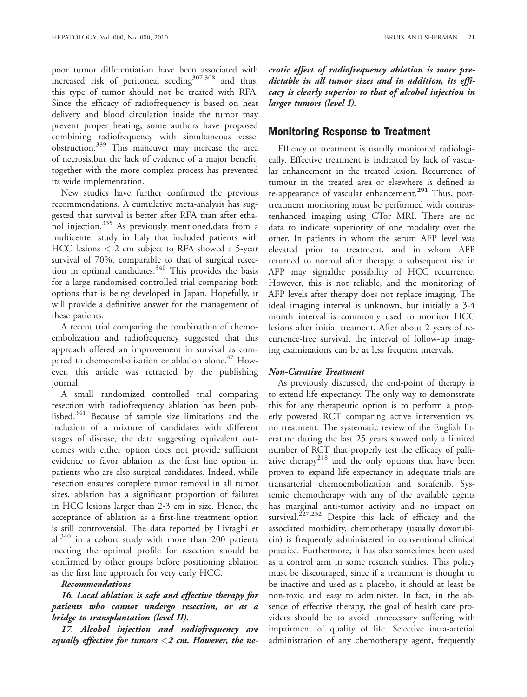poor tumor differentiation have been associated with increased risk of peritoneal seeding $307,308$  and thus, this type of tumor should not be treated with RFA. Since the efficacy of radiofrequency is based on heat delivery and blood circulation inside the tumor may prevent proper heating, some authors have proposed combining radiofrequency with simultaneous vessel obstruction.<sup>339</sup> This maneuver may increase the area of necrosis,but the lack of evidence of a major benefit, together with the more complex process has prevented its wide implementation.

New studies have further confirmed the previous recommendations. A cumulative meta-analysis has suggested that survival is better after RFA than after ethanol injection.<sup>335</sup> As previously mentioned,data from a multicenter study in Italy that included patients with HCC lesions < 2 cm subject to RFA showed a 5-year survival of 70%, comparable to that of surgical resection in optimal candidates. $340$  This provides the basis for a large randomised controlled trial comparing both options that is being developed in Japan. Hopefully, it will provide a definitive answer for the management of these patients.

A recent trial comparing the combination of chemoembolization and radiofrequency suggested that this approach offered an improvement in survival as compared to chemoembolization or ablation alone.<sup>47</sup> However, this article was retracted by the publishing journal.

A small randomized controlled trial comparing resection with radiofrequency ablation has been published. $341$  Because of sample size limitations and the inclusion of a mixture of candidates with different stages of disease, the data suggesting equivalent outcomes with either option does not provide sufficient evidence to favor ablation as the first line option in patients who are also surgical candidates. Indeed, while resection ensures complete tumor removal in all tumor sizes, ablation has a significant proportion of failures in HCC lesions larger than 2-3 cm in size. Hence, the acceptance of ablation as a first-line treatment option is still controversial. The data reported by Livraghi et al.<sup>340</sup> in a cohort study with more than 200 patients meeting the optimal profile for resection should be confirmed by other groups before positioning ablation as the first line approach for very early HCC.

# Recommendations

16. Local ablation is safe and effective therapy for patients who cannot undergo resection, or as a bridge to transplantation (level II).

17. Alcohol injection and radiofrequency are equally effective for tumors  $<$ 2 cm. However, the necrotic effect of radiofrequency ablation is more predictable in all tumor sizes and in addition, its efficacy is clearly superior to that of alcohol injection in larger tumors (level I).

# Monitoring Response to Treatment

Efficacy of treatment is usually monitored radiologically. Effective treatment is indicated by lack of vascular enhancement in the treated lesion. Recurrence of tumour in the treated area or elsewhere is defined as re-appearance of vascular enhancement.<sup>291</sup> Thus, posttreatment monitoring must be performed with contrastenhanced imaging using CTor MRI. There are no data to indicate superiority of one modality over the other. In patients in whom the serum AFP level was elevated prior to treatment, and in whom AFP returned to normal after therapy, a subsequent rise in AFP may signalthe possibility of HCC recurrence. However, this is not reliable, and the monitoring of AFP levels after therapy does not replace imaging. The ideal imaging interval is unknown, but initially a 3-4 month interval is commonly used to monitor HCC lesions after initial treament. After about 2 years of recurrence-free survival, the interval of follow-up imaging examinations can be at less frequent intervals.

# Non-Curative Treatment

As previously discussed, the end-point of therapy is to extend life expectancy. The only way to demonstrate this for any therapeutic option is to perform a properly powered RCT comparing active intervention vs. no treatment. The systematic review of the English literature during the last 25 years showed only a limited number of RCT that properly test the efficacy of palliative therapy<sup>218</sup> and the only options that have been proven to expand life expectancy in adequate trials are transarterial chemoembolization and sorafenib. Systemic chemotherapy with any of the available agents has marginal anti-tumor activity and no impact on survival. $227,232$  Despite this lack of efficacy and the associated morbidity, chemotherapy (usually doxorubicin) is frequently administered in conventional clinical practice. Furthermore, it has also sometimes been used as a control arm in some research studies. This policy must be discouraged, since if a treatment is thought to be inactive and used as a placebo, it should at least be non-toxic and easy to administer. In fact, in the absence of effective therapy, the goal of health care providers should be to avoid unnecessary suffering with impairment of quality of life. Selective intra-arterial administration of any chemotherapy agent, frequently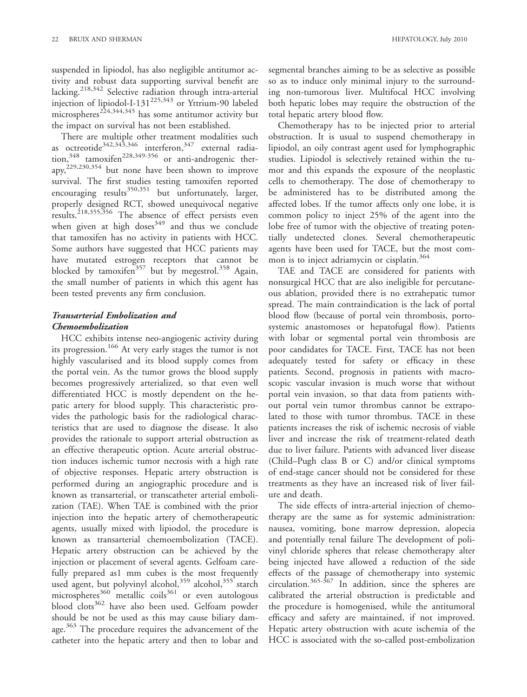suspended in lipiodol, has also negligible antitumor activity and robust data supporting survival benefit are lacking.<sup>218,342</sup> Selective radiation through intra-arterial injection of lipiodol-I-131225,343 or Yttrium-90 labeled microspheres<sup>224,344,345</sup> has some antitumor activity but the impact on survival has not been established.

There are multiple other treatment modalities such as octreotide $342,343,346$  interferon, $347$  external radiation,<sup>348</sup> tamoxifen<sup>228,349-356</sup> or anti-androgenic therapy,229,230,354 but none have been shown to improve survival. The first studies testing tamoxifen reported encouraging results $350,351$  but unfortunately, larger, properly designed RCT, showed unequivocal negative results.<sup>218,355,356</sup> The absence of effect persists even when given at high doses $349$  and thus we conclude that tamoxifen has no activity in patients with HCC. Some authors have suggested that HCC patients may have mutated estrogen receptors that cannot be blocked by tamoxifen<sup>357</sup> but by megestrol.<sup>358</sup> Again, the small number of patients in which this agent has been tested prevents any firm conclusion.

# Transarterial Embolization and Chemoembolization

HCC exhibits intense neo-angiogenic activity during its progression.<sup>166</sup> At very early stages the tumor is not highly vascularised and its blood supply comes from the portal vein. As the tumor grows the blood supply becomes progressively arterialized, so that even well differentiated HCC is mostly dependent on the hepatic artery for blood supply. This characteristic provides the pathologic basis for the radiological characteristics that are used to diagnose the disease. It also provides the rationale to support arterial obstruction as an effective therapeutic option. Acute arterial obstruction induces ischemic tumor necrosis with a high rate of objective responses. Hepatic artery obstruction is performed during an angiographic procedure and is known as transarterial, or transcatheter arterial embolization (TAE). When TAE is combined with the prior injection into the hepatic artery of chemotherapeutic agents, usually mixed with lipiodol, the procedure is known as transarterial chemoembolization (TACE). Hepatic artery obstruction can be achieved by the injection or placement of several agents. Gelfoam carefully prepared as1 mm cubes is the most frequently used agent, but polyvinyl alcohol,<sup>359</sup> alcohol,<sup>355</sup> starch microspheres<sup>360</sup> metallic coils<sup>361</sup> or even autologous blood clots<sup>362</sup> have also been used. Gelfoam powder should be not be used as this may cause biliary damage.<sup>363</sup> The procedure requires the advancement of the catheter into the hepatic artery and then to lobar and

segmental branches aiming to be as selective as possible so as to induce only minimal injury to the surrounding non-tumorous liver. Multifocal HCC involving both hepatic lobes may require the obstruction of the total hepatic artery blood flow.

Chemotherapy has to be injected prior to arterial obstruction. It is usual to suspend chemotherapy in lipiodol, an oily contrast agent used for lymphographic studies. Lipiodol is selectively retained within the tumor and this expands the exposure of the neoplastic cells to chemotherapy. The dose of chemotherapy to be administered has to be distributed among the affected lobes. If the tumor affects only one lobe, it is common policy to inject 25% of the agent into the lobe free of tumor with the objective of treating potentially undetected clones. Several chemotherapeutic agents have been used for TACE, but the most common is to inject adriamycin or cisplatin.<sup>364</sup>

TAE and TACE are considered for patients with nonsurgical HCC that are also ineligible for percutaneous ablation, provided there is no extrahepatic tumor spread. The main contraindication is the lack of portal blood flow (because of portal vein thrombosis, portosystemic anastomoses or hepatofugal flow). Patients with lobar or segmental portal vein thrombosis are poor candidates for TACE. First, TACE has not been adequately tested for safety or efficacy in these patients. Second, prognosis in patients with macroscopic vascular invasion is much worse that without portal vein invasion, so that data from patients without portal vein tumor thrombus cannot be extrapolated to those with tumor thrombus. TACE in these patients increases the risk of ischemic necrosis of viable liver and increase the risk of treatment-related death due to liver failure. Patients with advanced liver disease (Child–Pugh class B or C) and/or clinical symptoms of end-stage cancer should not be considered for these treatments as they have an increased risk of liver failure and death.

The side effects of intra-arterial injection of chemotherapy are the same as for systemic administration: nausea, vomiting, bone marrow depression, alopecia and potentially renal failure The development of polivinyl chloride spheres that release chemotherapy alter being injected have allowed a reduction of the side effects of the passage of chemotherapy into systemic circulation.<sup>365-367</sup> In addition, since the spheres are calibrated the arterial obstruction is predictable and the procedure is homogenised, while the antitumoral efficacy and safety are maintained, if not improved. Hepatic artery obstruction with acute ischemia of the HCC is associated with the so-called post-embolization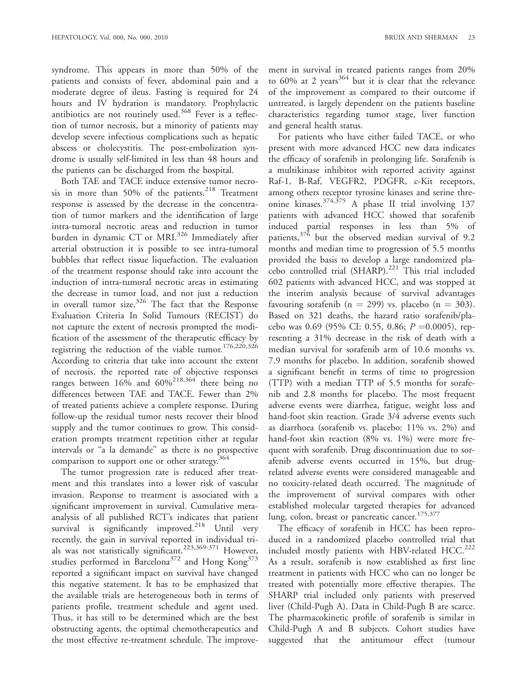syndrome. This appears in more than 50% of the patients and consists of fever, abdominal pain and a moderate degree of ileus. Fasting is required for 24 hours and IV hydration is mandatory. Prophylactic antibiotics are not routinely used.<sup>368</sup> Fever is a reflection of tumor necrosis, but a minority of patients may develop severe infectious complications such as hepatic abscess or cholecystitis. The post-embolization syndrome is usually self-limited in less than 48 hours and the patients can be discharged from the hospital.

Both TAE and TACE induce extensive tumor necrosis in more than 50% of the patients.<sup>218</sup> Treatment response is assessed by the decrease in the concentration of tumor markers and the identification of large intra-tumoral necrotic areas and reduction in tumor burden in dynamic CT or MRI.<sup>326</sup> Immediately after arterial obstruction it is possible to see intra-tumoral bubbles that reflect tissue liquefaction. The evaluation of the treatment response should take into account the induction of intra-tumoral necrotic areas in estimating the decrease in tumor load, and not just a reduction in overall tumor size.<sup>326</sup> The fact that the Response Evaluation Criteria In Solid Tumours (RECIST) do not capture the extent of necrosis prompted the modification of the assessment of the therapeutic efficacy by registring the reduction of the viable tumor.176,220,326 According to criteria that take into account the extent

of necrosis. the reported rate of objective responses ranges between  $16\%$  and  $60\%^{218,364}$  there being no differences between TAE and TACE. Fewer than 2% of treated patients achieve a complete response. During follow-up the residual tumor nests recover their blood supply and the tumor continues to grow. This consideration prompts treatment repetition either at regular intervals or ''a la demande'' as there is no prospective comparison to support one or other strategy.<sup>364</sup>

The tumor progression rate is reduced after treatment and this translates into a lower risk of vascular invasion. Response to treatment is associated with a significant improvement in survival. Cumulative metaanalysis of all published RCT's indicates that patient survival is significantly improved.<sup>218</sup> Until very recently, the gain in survival reported in individual trials was not statistically significant.223,369-371 However, studies performed in Barcelona<sup>372</sup> and Hong Kong<sup>373</sup> reported a significant impact on survival have changed this negative statement. It has to be emphasized that the available trials are heterogeneous both in terms of patients profile, treatment schedule and agent used. Thus, it has still to be determined which are the best obstructing agents, the optimal chemotherapeutics and the most effective re-treatment schedule. The improvement in survival in treated patients ranges from 20% to  $60\%$  at 2 years<sup>364</sup> but it is clear that the relevance of the improvement as compared to their outcome if untreated, is largely dependent on the patients baseline characteristics regarding tumor stage, liver function and general health status.

For patients who have either failed TACE, or who present with more advanced HCC new data indicates the efficacy of sorafenib in prolonging life. Sorafenib is a multikinase inhibitor with reported activity against Raf-1, B-Raf, VEGFR2, PDGFR, c-Kit receptors, among others receptor tyrosine kinases and serine threonine kinases.  $374,375$  A phase II trial involving 137 patients with advanced HCC showed that sorafenib induced partial responses in less than 5% of patients,  $376$  but the observed median survival of 9.2 months and median time to progression of 5.5 months provided the basis to develop a large randomized placebo controlled trial (SHARP). $^{221}$  This trial included 602 patients with advanced HCC, and was stopped at the interim analysis because of survival advantages favouring sorafenib (n = 299) vs. placebo (n = 303). Based on 321 deaths, the hazard ratio sorafenib/placebo was 0.69 (95% CI: 0.55, 0.86;  $P = 0.0005$ ), representing a 31% decrease in the risk of death with a median survival for sorafenib arm of 10.6 months vs. 7.9 months for placebo. In addition, sorafenib showed a significant benefit in terms of time to progression (TTP) with a median TTP of 5.5 months for sorafenib and 2.8 months for placebo. The most frequent adverse events were diarrhea, fatigue, weight loss and hand-foot skin reaction. Grade 3/4 adverse events such as diarrhoea (sorafenib vs. placebo: 11% vs. 2%) and hand-foot skin reaction (8% vs. 1%) were more frequent with sorafenib. Drug discontinuation due to sorafenib adverse events occurred in 15%, but drugrelated adverse events were considered manageable and no toxicity-related death occurred. The magnitude of the improvement of survival compares with other established molecular targeted therapies for advanced lung, colon, breast or pancreatic cancer.<sup>175,377</sup>

The efficacy of sorafenib in HCC has been reproduced in a randomized placebo controlled trial that included mostly patients with HBV-related HCC.<sup>222</sup> As a result, sorafenib is now established as first line treatment in patients with HCC who can no longer be treated with potentially more effective therapies. The SHARP trial included only patients with preserved liver (Child-Pugh A). Data in Child-Pugh B are scarce. The pharmacokinetic profile of sorafenib is similar in Child-Pugh A and B subjects. Cohort studies have suggested that the antitumour effect (tumour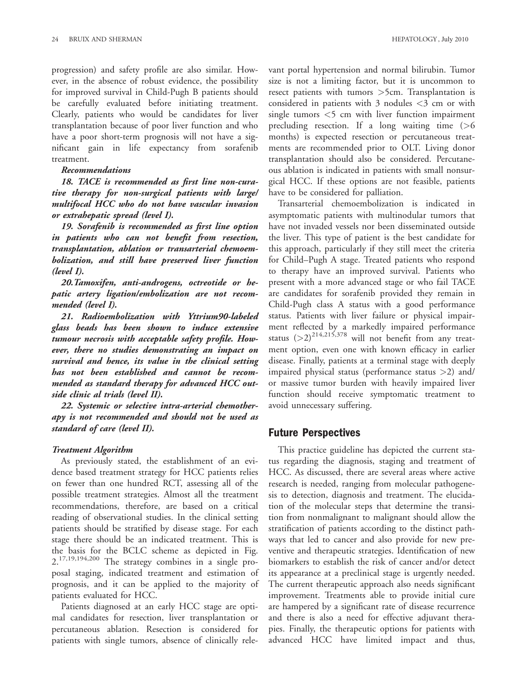progression) and safety profile are also similar. However, in the absence of robust evidence, the possibility for improved survival in Child-Pugh B patients should be carefully evaluated before initiating treatment. Clearly, patients who would be candidates for liver transplantation because of poor liver function and who have a poor short-term prognosis will not have a significant gain in life expectancy from sorafenib treatment.

#### Recommendations

18. TACE is recommended as first line non-curative therapy for non-surgical patients with large/ multifocal HCC who do not have vascular invasion or extrahepatic spread (level I).

19. Sorafenib is recommended as first line option in patients who can not benefit from resection, transplantation, ablation or transarterial chemoembolization, and still have preserved liver function (level I).

20.Tamoxifen, anti-androgens, octreotide or hepatic artery ligation/embolization are not recommended (level I).

21. Radioembolization with Yttrium90-labeled glass beads has been shown to induce extensive tumour necrosis with acceptable safety profile. However, there no studies demonstrating an impact on survival and hence, its value in the clinical setting has not been established and cannot be recommended as standard therapy for advanced HCC outside clinic al trials (level II).

22. Systemic or selective intra-arterial chemotherapy is not recommended and should not be used as standard of care (level II).

# Treatment Algorithm

As previously stated, the establishment of an evidence based treatment strategy for HCC patients relies on fewer than one hundred RCT, assessing all of the possible treatment strategies. Almost all the treatment recommendations, therefore, are based on a critical reading of observational studies. In the clinical setting patients should be stratified by disease stage. For each stage there should be an indicated treatment. This is the basis for the BCLC scheme as depicted in Fig. 2.17,19,194,200 The strategy combines in a single proposal staging, indicated treatment and estimation of prognosis, and it can be applied to the majority of patients evaluated for HCC.

Patients diagnosed at an early HCC stage are optimal candidates for resection, liver transplantation or percutaneous ablation. Resection is considered for patients with single tumors, absence of clinically relevant portal hypertension and normal bilirubin. Tumor size is not a limiting factor, but it is uncommon to resect patients with tumors >5cm. Transplantation is considered in patients with 3 nodules <3 cm or with single tumors  $<$  5 cm with liver function impairment precluding resection. If a long waiting time  $(>6$ months) is expected resection or percutaneous treatments are recommended prior to OLT. Living donor transplantation should also be considered. Percutaneous ablation is indicated in patients with small nonsurgical HCC. If these options are not feasible, patients have to be considered for palliation.

Transarterial chemoembolization is indicated in asymptomatic patients with multinodular tumors that have not invaded vessels nor been disseminated outside the liver. This type of patient is the best candidate for this approach, particularly if they still meet the criteria for Child–Pugh A stage. Treated patients who respond to therapy have an improved survival. Patients who present with a more advanced stage or who fail TACE are candidates for sorafenib provided they remain in Child-Pugh class A status with a good performance status. Patients with liver failure or physical impairment reflected by a markedly impaired performance status  $(>2)^{214,215,378}$  will not benefit from any treatment option, even one with known efficacy in earlier disease. Finally, patients at a terminal stage with deeply impaired physical status (performance status  $>2$ ) and/ or massive tumor burden with heavily impaired liver function should receive symptomatic treatment to avoid unnecessary suffering.

# Future Perspectives

This practice guideline has depicted the current status regarding the diagnosis, staging and treatment of HCC. As discussed, there are several areas where active research is needed, ranging from molecular pathogenesis to detection, diagnosis and treatment. The elucidation of the molecular steps that determine the transition from nonmalignant to malignant should allow the stratification of patients according to the distinct pathways that led to cancer and also provide for new preventive and therapeutic strategies. Identification of new biomarkers to establish the risk of cancer and/or detect its appearance at a preclinical stage is urgently needed. The current therapeutic approach also needs significant improvement. Treatments able to provide initial cure are hampered by a significant rate of disease recurrence and there is also a need for effective adjuvant therapies. Finally, the therapeutic options for patients with advanced HCC have limited impact and thus,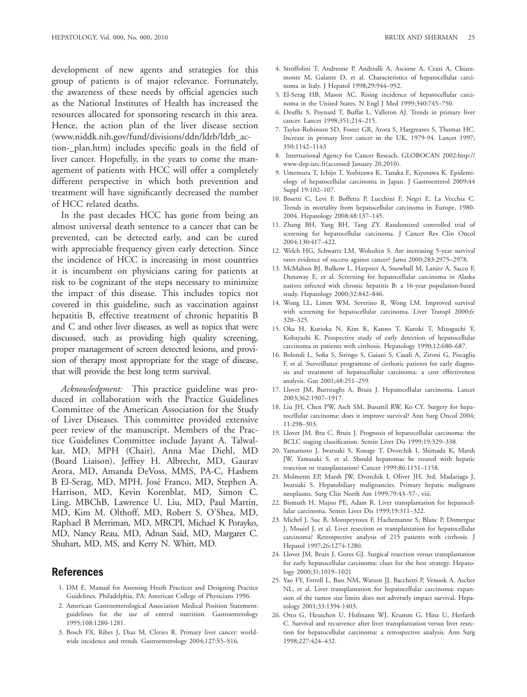development of new agents and strategies for this group of patients is of major relevance. Fortunately, the awareness of these needs by official agencies such as the National Institutes of Health has increased the resources allocated for sponsoring research in this area. Hence, the action plan of the liver disease section (www.niddk.nih.gov/fund/divisions/ddn/ldrb/ldrb\_action-\_plan.htm) includes specific goals in the field of liver cancer. Hopefully, in the years to come the management of patients with HCC will offer a completely different perspective in which both prevention and treatment will have significantly decreased the number of HCC related deaths.

In the past decades HCC has gone from being an almost universal death sentence to a cancer that can be prevented, can be detected early, and can be cured with appreciable frequency given early detection. Since the incidence of HCC is increasing in most countries it is incumbent on physicians caring for patients at risk to be cognizant of the steps necessary to minimize the impact of this disease. This includes topics not covered in this guideline, such as vaccination against hepatitis B, effective treatment of chronic hepatitis B and C and other liver diseases, as well as topics that were discussed, such as providing high quality screening, proper management of screen detected lesions, and provision of therapy most appropriate for the stage of disease, that will provide the best long term survival.

Acknowledgment: This practice guideline was produced in collaboration with the Practice Guidelines Committee of the American Association for the Study of Liver Diseases. This committee provided extensive peer review of the manuscript. Members of the Practice Guidelines Committee include Jayant A. Talwalkar, MD, MPH (Chair), Anna Mae Diehl, MD (Board Liaison), Jeffrey H. Albrecht, MD, Gaurav Arora, MD, Amanda DeVoss, MMS, PA-C, Hashem B El-Serag, MD, MPH, José Franco, MD, Stephen A. Harrison, MD, Kevin Korenblat, MD, Simon C. Ling, MBChB, Lawrence U. Liu, MD, Paul Martin, MD, Kim M. Olthoff, MD, Robert S. O'Shea, MD, Raphael B Merriman, MD, MRCPI, Michael K Porayko, MD, Nancy Reau, MD, Adnan Said, MD, Margaret C. Shuhart, MD, MS, and Kerry N. Whitt, MD.

# References

- 1. DM E. Manual for Assessing Heath Practices and Designing Practice Guidelines. Philadelphia, PA: American College of Physicians 1996.
- 2. American Gastroenterological Association Medical Position Statement: guidelines for the use of enteral nutrition. Gastroenterology 1995;108:1280-1281.
- 3. Bosch FX, Ribes J, Diaz M, Cleries R. Primary liver cancer: worldwide incidence and trends. Gastroenterology 2004;127:S5–S16.
- 4. Stroffolini T, Andreone P, Andriulli A, Ascione A, Craxi A, Chiaramonte M, Galante D, et al. Characteristics of hepatocellular carcinoma in Italy. J Hepatol 1998;29:944–952.
- 5. El-Serag HB, Mason AC. Rising incidence of hepatocellular carcinoma in the United States. N Engl J Med 1999;340:745–750.
- 6. Deuffic S, Poynard T, Buffat L, Valleron AJ. Trends in primary liver cancer. Lancet 1998;351:214–215.
- 7. Taylor-Robinson SD, Foster GR, Arora S, Hargreaves S, Thomas HC. Increase in primary liver cancer in the UK, 1979-94. Lancet 1997; 350:1142–1143
- 8. International Agency for Cancer Reseach. GLOBOCAN 2002:http:// www-dep.iarc.fr(accessed January 20,2010).
- 9. Umemura T, Ichijo T, Yoshizawa K, Tanaka E, Kiyosawa K. Epidemiology of hepatocellular carcinoma in Japan. J Gastroenterol 2009;44 Suppl 19:102–107.
- 10. Bosetti C, Levi F, Boffetta P, Lucchini F, Negri E, La Vecchia C. Trends in mortality from hepatocellular carcinoma in Europe, 1980- 2004. Hepatology 2008;48:137–145.
- 11. Zhang BH, Yang BH, Tang ZY. Randomized controlled trial of screening for hepatocellular carcinoma. J Cancer Res Clin Oncol 2004;130:417–422.
- 12. Welch HG, Schwartz LM, Woloshin S. Are increasing 5-year survival rates evidence of success against cancer? Jama 2000;283:2975–2978.
- 13. McMahon BJ, Bulkow L, Harpster A, Snowball M, Lanier A, Sacco F, Dunaway E, et al. Screening for hepatocellular carcinoma in Alaska natives infected with chronic hepatitis B: a 16-year population-based study. Hepatology 2000;32:842–846.
- 14. Wong LL, Limm WM, Severino R, Wong LM. Improved survival with screening for hepatocellular carcinoma. Liver Transpl 2000;6: 320–325.
- 15. Oka H, Kurioka N, Kim K, Kanno T, Kuroki T, Mizoguchi Y, Kobayashi K. Prospective study of early detection of hepatocellular carcinoma in patients with cirrhosis. Hepatology 1990;12:680–687.
- 16. Bolondi L, Sofia S, Siringo S, Gaiani S, Casali A, Zironi G, Piscaglia F, et al. Surveillance programme of cirrhotic patients for early diagnosis and treatment of hepatocellular carcinoma: a cost effectiveness analysis. Gut 2001;48:251–259.
- 17. Llovet JM, Burroughs A, Bruix J. Hepatocellular carcinoma. Lancet 2003;362:1907–1917.
- 18. Liu JH, Chen PW, Asch SM, Busuttil RW, Ko CY. Surgery for hepatocellular carcinoma: does it improve survival? Ann Surg Oncol 2004; 11:298–303.
- 19. Llovet JM, Bru C, Bruix J. Prognosis of hepatocellular carcinoma: the BCLC staging classification. Semin Liver Dis 1999;19:329–338.
- 20. Yamamoto J, Iwatsuki S, Kosuge T, Dvorchik I, Shimada K, Marsh JW, Yamasaki S, et al. Should hepatomas be treated with hepatic resection or transplantation? Cancer 1999;86:1151–1158.
- 21. Molmenti EP, Marsh JW, Dvorchik I, Oliver JH, 3rd, Madariaga J, Iwatsuki S. Hepatobiliary malignancies. Primary hepatic malignant neoplasms. Surg Clin North Am 1999;79:43–57-, viii.
- 22. Bismuth H, Majno PE, Adam R. Liver transplantation for hepatocellular carcinoma. Semin Liver Dis 1999;19:311–322.
- 23. Michel J, Suc B, Montpeyroux F, Hachemanne S, Blanc P, Domergue J, Mouiel J, et al. Liver resection or transplantation for hepatocellular carcinoma? Retrospective analysis of 215 patients with cirrhosis. J Hepatol 1997;26:1274-1280.
- 24. Llovet JM, Bruix J, Gores GJ. Surgical resection versus transplantation for early hepatocellular carcinoma: clues for the best strategy. Hepatology 2000;31:1019–1021
- 25. Yao FY, Ferrell L, Bass NM, Watson JJ, Bacchetti P, Venook A, Ascher NL, et al. Liver transplantation for hepatocellular carcinoma: expansion of the tumor size limits does not adversely impact survival. Hepatology 2001;33:1394-1403.
- 26. Otto G, Heuschen U, Hofmann WJ, Krumm G, Hinz U, Herfarth C. Survival and recurrence after liver transplantation versus liver resection for hepatocellular carcinoma: a retrospective analysis. Ann Surg 1998;227:424–432.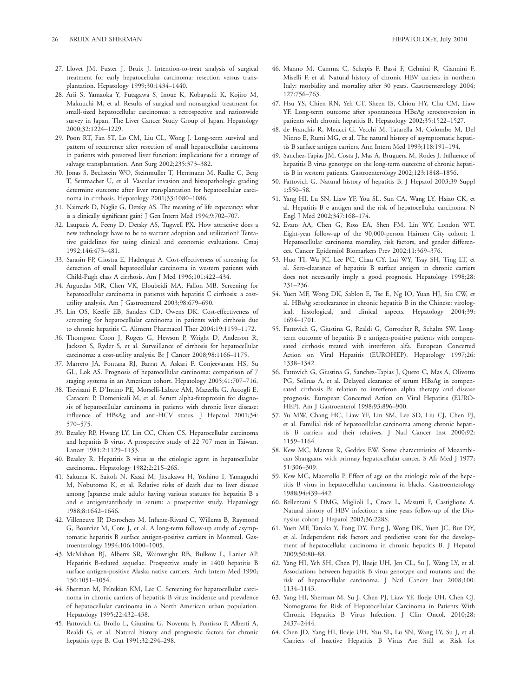- 27. Llovet JM, Fuster J, Bruix J. Intention-to-treat analysis of surgical treatment for early hepatocellular carcinoma: resection versus transplantation. Hepatology 1999;30:1434–1440.
- 28. Arii S, Yamaoka Y, Futagawa S, Inoue K, Kobayashi K, Kojiro M, Makuuchi M, et al. Results of surgical and nonsurgical treatment for small-sized hepatocellular carcinomas: a retrospective and nationwide survey in Japan. The Liver Cancer Study Group of Japan. Hepatology 2000;32:1224–1229.
- 29. Poon RT, Fan ST, Lo CM, Liu CL, Wong J. Long-term survival and pattern of recurrence after resection of small hepatocellular carcinoma in patients with preserved liver function: implications for a strategy of salvage transplantation. Ann Surg 2002;235:373–382.
- 30. Jonas S, Bechstein WO, Steinmuller T, Herrmann M, Radke C, Berg T, Settmacher U, et al. Vascular invasion and histopathologic grading determine outcome after liver transplantation for hepatocellular carcinoma in cirrhosis. Hepatology 2001;33:1080–1086.
- 31. Naimark D, Naglie G, Detsky AS. The meaning of life expectancy: what is a clinically significant gain? J Gen Intern Med 1994;9:702–707.
- 32. Laupacis A, Feeny D, Detsky AS, Tugwell PX. How attractive does a new technology have to be to warrant adoption and utilization? Tentative guidelines for using clinical and economic evaluations. Cmaj 1992;146:473–481.
- 33. Sarasin FP, Giostra E, Hadengue A. Cost-effectiveness of screening for detection of small hepatocellular carcinoma in western patients with Child-Pugh class A cirrhosis. Am J Med 1996;101:422–434.
- 34. Arguedas MR, Chen VK, Eloubeidi MA, Fallon MB. Screening for hepatocellular carcinoma in patients with hepatitis C cirrhosis: a costutility analysis. Am J Gastroenterol 2003;98:679–690.
- 35. Lin OS, Keeffe EB, Sanders GD, Owens DK. Cost-effectiveness of screening for hepatocellular carcinoma in patients with cirrhosis due to chronic hepatitis C. Aliment Pharmacol Ther 2004;19:1159–1172.
- 36. Thompson Coon J, Rogers G, Hewson P, Wright D, Anderson R, Jackson S, Ryder S, et al. Surveillance of cirrhosis for hepatocellular carcinoma: a cost-utility analysis. Br J Cancer 2008;98:1166–1175.
- 37. Marrero JA, Fontana RJ, Barrat A, Askari F, Conjeevaram HS, Su GL, Lok AS. Prognosis of hepatocellular carcinoma: comparison of 7 staging systems in an American cohort. Hepatology 2005;41:707–716.
- 38. Trevisani F, D'Intino PE, Morselli-Labate AM, Mazzella G, Accogli E, Caraceni P, Domenicali M, et al. Serum alpha-fetoprotein for diagnosis of hepatocellular carcinoma in patients with chronic liver disease: influence of HBsAg and anti-HCV status. J Hepatol 2001;34: 570–575.
- 39. Beasley RP, Hwang LY, Lin CC, Chien CS. Hepatocellular carcinoma and hepatitis B virus. A prospective study of 22 707 men in Taiwan. Lancet 1981;2:1129–1133.
- 40. Beasley R. Hepatitis B virus as the etiologic agent in hepatocellular carcinoma.. Hepatology 1982;2:21S–26S.
- 41. Sakuma K, Saitoh N, Kasai M, Jitsukawa H, Yoshino I, Yamaguchi M, Nobutomo K, et al. Relative risks of death due to liver disease among Japanese male adults having various statuses for hepatitis B s and e antigen/antibody in serum: a prospective study. Hepatology 1988;8:1642–1646.
- 42. Villeneuve JP, Desrochers M, Infante-Rivard C, Willems B, Raymond G, Bourcier M, Cote J, et al. A long-term follow-up study of asymptomatic hepatitis B surface antigen-positive carriers in Montreal. Gastroenterology 1994;106:1000–1005.
- 43. McMahon BJ, Alberts SR, Wainwright RB, Bulkow L, Lanier AP. Hepatitis B-related sequelae. Prospective study in 1400 hepatitis B surface antigen-positive Alaska native carriers. Arch Intern Med 1990; 150:1051–1054.
- 44. Sherman M, Peltekian KM, Lee C. Screening for hepatocellular carcinoma in chronic carriers of hepatitis B virus: incidence and prevalence of hepatocellular carcinoma in a North American urban population. Hepatology 1995;22:432–438.
- 45. Fattovich G, Brollo L, Giustina G, Noventa F, Pontisso P, Alberti A, Realdi G, et al. Natural history and prognostic factors for chronic hepatitis type B. Gut 1991;32:294–298.
- 46. Manno M, Camma C, Schepis F, Bassi F, Gelmini R, Giannini F, Miselli F, et al. Natural history of chronic HBV carriers in northern Italy: morbidity and mortality after 30 years. Gastroenterology 2004; 127:756–763.
- 47. Hsu YS, Chien RN, Yeh CT, Sheen IS, Chiou HY, Chu CM, Liaw YF. Long-term outcome after spontaneous HBeAg seroconversion in patients with chronic hepatitis B. Hepatology 2002;35:1522–1527.
- 48. de Franchis R, Meucci G, Vecchi M, Tatarella M, Colombo M, Del Ninno E, Rumi MG, et al. The natural history of asymptomatic hepatitis B surface antigen carriers. Ann Intern Med 1993;118:191–194.
- 49. Sanchez-Tapias JM, Costa J, Mas A, Bruguera M, Rodes J. Influence of hepatitis B virus genotype on the long-term outcome of chronic hepatitis B in western patients. Gastroenterology 2002;123:1848–1856.
- 50. Fattovich G. Natural history of hepatitis B. J Hepatol 2003;39 Suppl 1:S50–58.
- 51. Yang HI, Lu SN, Liaw YF, You SL, Sun CA, Wang LY, Hsiao CK, et al. Hepatitis B e antigen and the risk of hepatocellular carcinoma. N Engl J Med 2002;347:168–174.
- 52. Evans AA, Chen G, Ross EA, Shen FM, Lin WY, London WT. Eight-year follow-up of the 90,000-person Haimen City cohort: I. Hepatocellular carcinoma mortality, risk factors, and gender differences. Cancer Epidemiol Biomarkers Prev 2002;11:369–376.
- 53. Huo TI, Wu JC, Lee PC, Chau GY, Lui WY, Tsay SH, Ting LT, et al. Sero-clearance of hepatitis B surface antigen in chronic carriers does not necessarily imply a good prognosis. Hepatology 1998;28: 231–236.
- 54. Yuen MF, Wong DK, Sablon E, Tse E, Ng IO, Yuan HJ, Siu CW, et al. HBsAg seroclearance in chronic hepatitis B in the Chinese: virological, histological, and clinical aspects. Hepatology 2004;39: 1694–1701.
- 55. Fattovich G, Giustina G, Realdi G, Corrocher R, Schalm SW. Longterm outcome of hepatitis B e antigen-positive patients with compensated cirrhosis treated with interferon alfa. European Concerted Action on Viral Hepatitis (EUROHEP). Hepatology 1997;26: 1338–1342.
- 56. Fattovich G, Giustina G, Sanchez-Tapias J, Quero C, Mas A, Olivotto PG, Solinas A, et al. Delayed clearance of serum HBsAg in compensated cirrhosis B: relation to interferon alpha therapy and disease prognosis. European Concerted Action on Viral Hepatitis (EURO-HEP). Am J Gastroenterol 1998;93:896–900.
- 57. Yu MW, Chang HC, Liaw YF, Lin SM, Lee SD, Liu CJ, Chen PJ, et al. Familial risk of hepatocellular carcinoma among chronic hepatitis B carriers and their relatives. J Natl Cancer Inst 2000;92: 1159–1164.
- 58. Kew MC, Marcus R, Geddes EW. Some characteristics of Mozambican Shangaans with primary hepatocellular cancer. S Afr Med J 1977; 51:306–309.
- 59. Kew MC, Macerollo P. Effect of age on the etiologic role of the hepatitis B virus in hepatocellular carcinoma in blacks. Gastroenterology 1988;94:439–442.
- 60. Bellentani S DMG, Miglioli L, Croce L, Masutti F, Castiglione A. Natural history of HBV infection: a nine years follow-up of the Dionysius cohort J Hepatol 2002;36:228S.
- 61. Yuen MF, Tanaka Y, Fong DY, Fung J, Wong DK, Yuen JC, But DY, et al. Independent risk factors and predictive score for the development of hepatocellular carcinoma in chronic hepatitis B. J Hepatol 2009;50:80–88.
- 62. Yang HI, Yeh SH, Chen PJ, Iloeje UH, Jen CL, Su J, Wang LY, et al. Associations between hepatitis B virus genotype and mutants and the risk of hepatocellular carcinoma. J Natl Cancer Inst 2008;100: 1134–1143.
- 63. Yang HI, Sherman M, Su J, Chen PJ, Liaw YF, Iloeje UH, Chen CJ. Nomograms for Risk of Hepatocellular Carcinoma in Patients With Chronic Hepatitis B Virus Infection. J Clin Oncol. 2010;28: 2437–2444.
- 64. Chen JD, Yang HI, Iloeje UH, You SL, Lu SN, Wang LY, Su J, et al. Carriers of Inactive Hepatitis B Virus Are Still at Risk for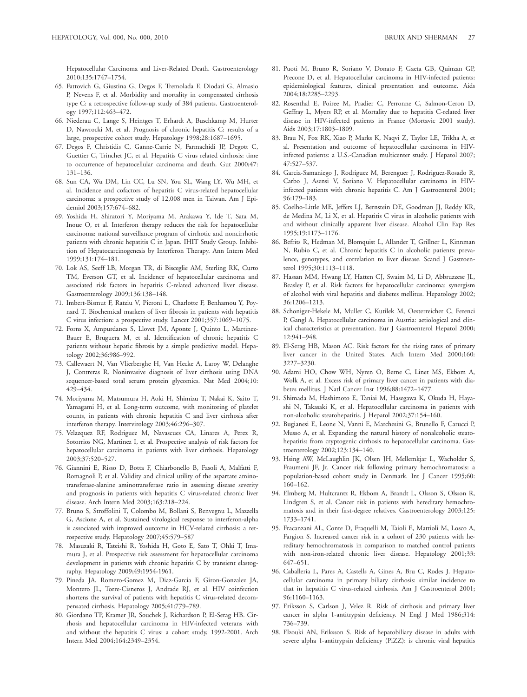Hepatocellular Carcinoma and Liver-Related Death. Gastroenterology 2010;135:1747–1754.

- 65. Fattovich G, Giustina G, Degos F, Tremolada F, Diodati G, Almasio P, Nevens F, et al. Morbidity and mortality in compensated cirrhosis type C: a retrospective follow-up study of 384 patients. Gastroenterology 1997;112:463–472.
- 66. Niederau C, Lange S, Heintges T, Erhardt A, Buschkamp M, Hurter D, Nawrocki M, et al. Prognosis of chronic hepatitis C: results of a large, prospective cohort study. Hepatology 1998;28:1687–1695.
- 67. Degos F, Christidis C, Ganne-Carrie N, Farmachidi JP, Degott C, Guettier C, Trinchet JC, et al. Hepatitis C virus related cirrhosis: time to occurrence of hepatocellular carcinoma and death. Gut 2000;47: 131–136.
- 68. Sun CA, Wu DM, Lin CC, Lu SN, You SL, Wang LY, Wu MH, et al. Incidence and cofactors of hepatitis C virus-related hepatocellular carcinoma: a prospective study of 12,008 men in Taiwan. Am J Epidemiol 2003;157:674–682.
- 69. Yoshida H, Shiratori Y, Moriyama M, Arakawa Y, Ide T, Sata M, Inoue O, et al. Interferon therapy reduces the risk for hepatocellular carcinoma: national surveillance program of cirrhotic and noncirrhotic patients with chronic hepatitis C in Japan. IHIT Study Group. Inhibition of Hepatocarcinogenesis by Interferon Therapy. Ann Intern Med 1999;131:174–181.
- 70. Lok AS, Seeff LB, Morgan TR, di Bisceglie AM, Sterling RK, Curto TM, Everson GT, et al. Incidence of hepatocellular carcinoma and associated risk factors in hepatitis C-related advanced liver disease. Gastroenterology 2009;136:138–148.
- 71. Imbert-Bismut F, Ratziu V, Pieroni L, Charlotte F, Benhamou Y, Poynard T. Biochemical markers of liver fibrosis in patients with hepatitis C virus infection: a prospective study. Lancet 2001;357:1069–1075.
- 72. Forns X, Ampurdanes S, Llovet JM, Aponte J, Quinto L, Martinez-Bauer E, Bruguera M, et al. Identification of chronic hepatitis C patients without hepatic fibrosis by a simple predictive model. Hepatology 2002;36:986–992.
- 73. Callewaert N, Van Vlierberghe H, Van Hecke A, Laroy W, Delanghe J, Contreras R. Noninvasive diagnosis of liver cirrhosis using DNA sequencer-based total serum protein glycomics. Nat Med 2004;10: 429–434.
- 74. Moriyama M, Matsumura H, Aoki H, Shimizu T, Nakai K, Saito T, Yamagami H, et al. Long-term outcome, with monitoring of platelet counts, in patients with chronic hepatitis C and liver cirrhosis after interferon therapy. Intervirology 2003;46:296–307.
- 75. Velazquez RF, Rodriguez M, Navascues CA, Linares A, Perez R, Sotorrios NG, Martinez I, et al. Prospective analysis of risk factors for hepatocellular carcinoma in patients with liver cirrhosis. Hepatology 2003;37:520–527.
- 76. Giannini E, Risso D, Botta F, Chiarbonello B, Fasoli A, Malfatti F, Romagnoli P, et al. Validity and clinical utility of the aspartate aminotransferase-alanine aminotransferase ratio in assessing disease severity and prognosis in patients with hepatitis C virus-related chronic liver disease. Arch Intern Med 2003;163:218–224.
- 77. Bruno S, Stroffolini T, Colombo M, Bollani S, Benvegnu L, Mazzella G, Ascione A, et al. Sustained virological response to interferon-alpha is associated with improved outcome in HCV-related cirrhosis: a retrospective study. Hepatology 2007;45:579–587
- 78. Masuzaki R, Tateishi R, Yoshida H, Goto E, Sato T, Ohki T, Imamura J, et al. Prospective risk assessment for hepatocellular carcinoma development in patients with chronic hepatitis C by transient elastography. Hepatology 2009;49:1954-1961.
- 79. Pineda JA, Romero-Gomez M, Diaz-Garcia F, Giron-Gonzalez JA, Montero JL, Torre-Cisneros J, Andrade RJ, et al. HIV coinfection shortens the survival of patients with hepatitis C virus-related decompensated cirrhosis. Hepatology 2005;41:779–789.
- 80. Giordano TP, Kramer JR, Souchek J, Richardson P, El-Serag HB. Cirrhosis and hepatocellular carcinoma in HIV-infected veterans with and without the hepatitis C virus: a cohort study, 1992-2001. Arch Intern Med 2004;164:2349–2354.
- 81. Puoti M, Bruno R, Soriano V, Donato F, Gaeta GB, Quinzan GP, Precone D, et al. Hepatocellular carcinoma in HIV-infected patients: epidemiological features, clinical presentation and outcome. Aids 2004;18:2285–2293.
- 82. Rosenthal E, Poiree M, Pradier C, Perronne C, Salmon-Ceron D, Geffray L, Myers RP, et al. Mortality due to hepatitis C-related liver disease in HIV-infected patients in France (Mortavic 2001 study). Aids 2003;17:1803–1809.
- 83. Brau N, Fox RK, Xiao P, Marks K, Naqvi Z, Taylor LE, Trikha A, et al. Presentation and outcome of hepatocellular carcinoma in HIVinfected patients: a U.S.-Canadian multicenter study. J Hepatol 2007; 47:527–537.
- 84. Garcia-Samaniego J, Rodriguez M, Berenguer J, Rodriguez-Rosado R, Carbo J, Asensi V, Soriano V. Hepatocellular carcinoma in HIVinfected patients with chronic hepatitis C. Am J Gastroenterol 2001; 96:179–183.
- 85. Coelho-Little ME, Jeffers LJ, Bernstein DE, Goodman JJ, Reddy KR, de Medina M, Li X, et al. Hepatitis C virus in alcoholic patients with and without clinically apparent liver disease. Alcohol Clin Exp Res 1995;19:1173–1176.
- 86. Befrits R, Hedman M, Blomquist L, Allander T, Grillner L, Kinnman N, Rubio C, et al. Chronic hepatitis C in alcoholic patients: prevalence, genotypes, and correlation to liver disease. Scand J Gastroenterol 1995;30:1113–1118.
- 87. Hassan MM, Hwang LY, Hatten CJ, Swaim M, Li D, Abbruzzese JL, Beasley P, et al. Risk factors for hepatocellular carcinoma: synergism of alcohol with viral hepatitis and diabetes mellitus. Hepatology 2002; 36:1206–1213.
- 88. Schoniger-Hekele M, Muller C, Kutilek M, Oesterreicher C, Ferenci P, Gangl A. Hepatocellular carcinoma in Austria: aetiological and clinical characteristics at presentation. Eur J Gastroenterol Hepatol 2000; 12:941–948.
- 89. El-Serag HB, Mason AC. Risk factors for the rising rates of primary liver cancer in the United States. Arch Intern Med 2000;160: 3227–3230.
- 90. Adami HO, Chow WH, Nyren O, Berne C, Linet MS, Ekbom A, Wolk A, et al. Excess risk of primary liver cancer in patients with diabetes mellitus. J Natl Cancer Inst 1996;88:1472–1477.
- 91. Shimada M, Hashimoto E, Taniai M, Hasegawa K, Okuda H, Hayashi N, Takasaki K, et al. Hepatocellular carcinoma in patients with non-alcoholic steatohepatitis. J Hepatol 2002;37:154–160.
- 92. Bugianesi E, Leone N, Vanni E, Marchesini G, Brunello F, Carucci P, Musso A, et al. Expanding the natural history of nonalcoholic steatohepatitis: from cryptogenic cirrhosis to hepatocellular carcinoma. Gastroenterology 2002;123:134–140.
- 93. Hsing AW, McLaughlin JK, Olsen JH, Mellemkjar L, Wacholder S, Fraumeni JF, Jr. Cancer risk following primary hemochromatosis: a population-based cohort study in Denmark. Int J Cancer 1995;60: 160–162.
- 94. Elmberg M, Hultcrantz R, Ekbom A, Brandt L, Olsson S, Olsson R, Lindgren S, et al. Cancer risk in patients with hereditary hemochromatosis and in their first-degree relatives. Gastroenterology 2003;125: 1733–1741.
- 95. Fracanzani AL, Conte D, Fraquelli M, Taioli E, Mattioli M, Losco A, Fargion S. Increased cancer risk in a cohort of 230 patients with hereditary hemochromatosis in comparison to matched control patients with non-iron-related chronic liver disease. Hepatology 2001;33: 647–651.
- 96. Caballeria L, Pares A, Castells A, Gines A, Bru C, Rodes J. Hepatocellular carcinoma in primary biliary cirrhosis: similar incidence to that in hepatitis C virus-related cirrhosis. Am J Gastroenterol 2001; 96:1160–1163.
- 97. Eriksson S, Carlson J, Velez R. Risk of cirrhosis and primary liver cancer in alpha 1-antitrypsin deficiency. N Engl J Med 1986;314: 736–739.
- 98. Elzouki AN, Eriksson S. Risk of hepatobiliary disease in adults with severe alpha 1-antitrypsin deficiency (PiZZ): is chronic viral hepatitis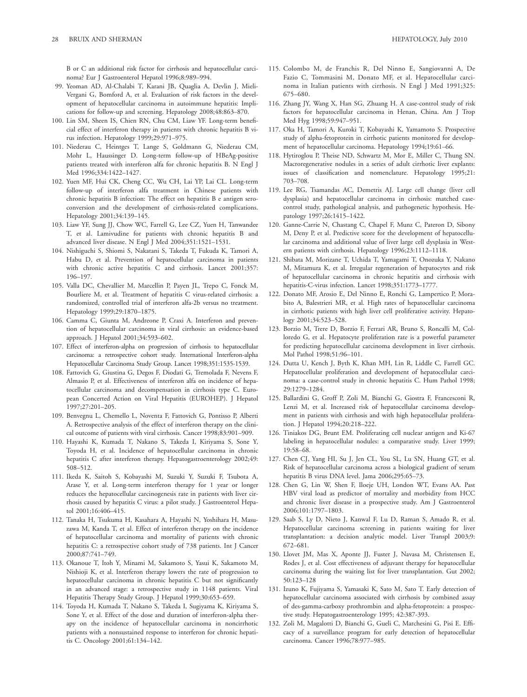B or C an additional risk factor for cirrhosis and hepatocellular carcinoma? Eur J Gastroenterol Hepatol 1996;8:989–994.

- 99. Yeoman AD, Al-Chalabi T, Karani JB, Quaglia A, Devlin J, Mieli-Vergani G, Bomford A, et al. Evaluation of risk factors in the development of hepatocellular carcinoma in autoimmune hepatitis: Implications for follow-up and screening. Hepatology 2008;48:863–870.
- 100. Lin SM, Sheen IS, Chien RN, Chu CM, Liaw YF. Long-term beneficial effect of interferon therapy in patients with chronic hepatitis B virus infection. Hepatology 1999;29:971–975.
- 101. Niederau C, Heintges T, Lange S, Goldmann G, Niederau CM, Mohr L, Haussinger D. Long-term follow-up of HBeAg-positive patients treated with interferon alfa for chronic hepatitis B. N Engl J Med 1996;334:1422–1427.
- 102. Yuen MF, Hui CK, Cheng CC, Wu CH, Lai YP, Lai CL. Long-term follow-up of interferon alfa treatment in Chinese patients with chronic hepatitis B infection: The effect on hepatitis B e antigen seroconversion and the development of cirrhosis-related complications. Hepatology 2001;34:139–145.
- 103. Liaw YF, Sung JJ, Chow WC, Farrell G, Lee CZ, Yuen H, Tanwandee T, et al. Lamivudine for patients with chronic hepatitis B and advanced liver disease. N Engl J Med 2004;351:1521–1531.
- 104. Nishiguchi S, Shiomi S, Nakatani S, Takeda T, Fukuda K, Tamori A, Habu D, et al. Prevention of hepatocellular carcinoma in patients with chronic active hepatitis C and cirrhosis. Lancet 2001;357: 196–197.
- 105. Valla DC, Chevallier M, Marcellin P, Payen JL, Trepo C, Fonck M, Bourliere M, et al. Treatment of hepatitis C virus-related cirrhosis: a randomized, controlled trial of interferon alfa-2b versus no treatment. Hepatology 1999;29:1870–1875.
- 106. Camma C, Giunta M, Andreone P, Craxi A. Interferon and prevention of hepatocellular carcinoma in viral cirrhosis: an evidence-based approach. J Hepatol 2001;34:593–602.
- 107. Effect of interferon-alpha on progression of cirrhosis to hepatocellular carcinoma: a retrospective cohort study. International Interferon-alpha Hepatocellular Carcinoma Study Group. Lancet 1998;351:1535-1539.
- 108. Fattovich G, Giustina G, Degos F, Diodati G, Tremolada F, Nevens F, Almasio P, et al. Effectiveness of interferon alfa on incidence of hepatocellular carcinoma and decompensation in cirrhosis type C. European Concerted Action on Viral Hepatitis (EUROHEP). J Hepatol 1997;27:201–205.
- 109. Benvegnu L, Chemello L, Noventa F, Fattovich G, Pontisso P, Alberti A. Retrospective analysis of the effect of interferon therapy on the clinical outcome of patients with viral cirrhosis. Cancer 1998;83:901–909.
- 110. Hayashi K, Kumada T, Nakano S, Takeda I, Kiriyama S, Sone Y, Toyoda H, et al. Incidence of hepatocellular carcinoma in chronic hepatitis C after interferon therapy. Hepatogastroenterology 2002;49: 508–512.
- 111. Ikeda K, Saitoh S, Kobayashi M, Suzuki Y, Suzuki F, Tsubota A, Arase Y, et al. Long-term interferon therapy for 1 year or longer reduces the hepatocellular carcinogenesis rate in patients with liver cirrhosis caused by hepatitis C virus: a pilot study. J Gastroenterol Hepatol 2001;16:406–415.
- 112. Tanaka H, Tsukuma H, Kasahara A, Hayashi N, Yoshihara H, Masuzawa M, Kanda T, et al. Effect of interferon therapy on the incidence of hepatocellular carcinoma and mortality of patients with chronic hepatitis C: a retrospective cohort study of 738 patients. Int J Cancer 2000;87:741–749.
- 113. Okanoue T, Itoh Y, Minami M, Sakamoto S, Yasui K, Sakamoto M, Nishioji K, et al. Interferon therapy lowers the rate of progression to hepatocellular carcinoma in chronic hepatitis C but not significantly in an advanced stage: a retrospective study in 1148 patients. Viral Hepatitis Therapy Study Group. J Hepatol 1999;30:653–659.
- 114. Toyoda H, Kumada T, Nakano S, Takeda I, Sugiyama K, Kiriyama S, Sone Y, et al. Effect of the dose and duration of interferon-alpha therapy on the incidence of hepatocellular carcinoma in noncirrhotic patients with a nonsustained response to interferon for chronic hepatitis C. Oncology 2001;61:134–142.
- 115. Colombo M, de Franchis R, Del Ninno E, Sangiovanni A, De Fazio C, Tommasini M, Donato MF, et al. Hepatocellular carcinoma in Italian patients with cirrhosis. N Engl J Med 1991;325: 675–680.
- 116. Zhang JY, Wang X, Han SG, Zhuang H. A case-control study of risk factors for hepatocellular carcinoma in Henan, China. Am J Trop Med Hyg 1998;59:947–951.
- 117. Oka H, Tamori A, Kuroki T, Kobayashi K, Yamamoto S. Prospective study of alpha-fetoprotein in cirrhotic patients monitored for development of hepatocellular carcinoma. Hepatology 1994;19:61–66.
- 118. Hytiroglou P, Theise ND, Schwartz M, Mor E, Miller C, Thung SN. Macroregenerative nodules in a series of adult cirrhotic liver explants: issues of classification and nomenclature. Hepatology 1995;21: 703–708.
- 119. Lee RG, Tsamandas AC, Demetris AJ. Large cell change (liver cell dysplasia) and hepatocellular carcinoma in cirrhosis: matched casecontrol study, pathological analysis, and pathogenetic hypothesis. Hepatology 1997;26:1415–1422.
- 120. Ganne-Carrie N, Chastang C, Chapel F, Munz C, Pateron D, Sibony M, Deny P, et al. Predictive score for the development of hepatocellular carcinoma and additional value of liver large cell dysplasia in Western patients with cirrhosis. Hepatology 1996;23:1112–1118.
- 121. Shibata M, Morizane T, Uchida T, Yamagami T, Onozuka Y, Nakano M, Mitamura K, et al. Irregular regeneration of hepatocytes and risk of hepatocellular carcinoma in chronic hepatitis and cirrhosis with hepatitis-C-virus infection. Lancet 1998;351:1773–1777.
- 122. Donato MF, Arosio E, Del Ninno E, Ronchi G, Lampertico P, Morabito A, Balestrieri MR, et al. High rates of hepatocellular carcinoma in cirrhotic patients with high liver cell proliferative activity. Hepatology 2001;34:523–528.
- 123. Borzio M, Trere D, Borzio F, Ferrari AR, Bruno S, Roncalli M, Colloredo G, et al. Hepatocyte proliferation rate is a powerful parameter for predicting hepatocellular carcinoma development in liver cirrhosis. Mol Pathol 1998;51:96–101.
- 124. Dutta U, Kench J, Byth K, Khan MH, Lin R, Liddle C, Farrell GC. Hepatocellular proliferation and development of hepatocellular carcinoma: a case-control study in chronic hepatitis C. Hum Pathol 1998; 29:1279–1284.
- 125. Ballardini G, Groff P, Zoli M, Bianchi G, Giostra F, Francesconi R, Lenzi M, et al. Increased risk of hepatocellular carcinoma development in patients with cirrhosis and with high hepatocellular proliferation. J Hepatol 1994;20:218–222.
- 126. Tiniakos DG, Brunt EM. Proliferating cell nuclear antigen and Ki-67 labeling in hepatocellular nodules: a comparative study. Liver 1999; 19:58–68.
- 127. Chen CJ, Yang HI, Su J, Jen CL, You SL, Lu SN, Huang GT, et al. Risk of hepatocellular carcinoma across a biological gradient of serum hepatitis B virus DNA level. Jama 2006;295:65–73.
- 128. Chen G, Lin W, Shen F, Iloeje UH, London WT, Evans AA. Past HBV viral load as predictor of mortality and morbidity from HCC and chronic liver disease in a prospective study. Am J Gastroenterol 2006;101:1797–1803.
- 129. Saab S, Ly D, Nieto J, Kanwal F, Lu D, Raman S, Amado R, et al. Hepatocellular carcinoma screening in patients waiting for liver transplantation: a decision analytic model. Liver Transpl 2003;9: 672–681.
- 130. Llovet JM, Mas X, Aponte JJ, Fuster J, Navasa M, Christensen E, Rodes J, et al. Cost effectiveness of adjuvant therapy for hepatocellular carcinoma during the waiting list for liver transplantation. Gut 2002; 50:123–128
- 131. Izuno K, Fujiyama S, Yamasaki K, Sato M, Sato T. Early detection of hepatocellular carcinoma associated with cirrhosis by combined assay of des-gamma-carboxy prothrombin and alpha-fetoprotein: a prospective study. Hepatogastroenterology 1995; 42:387-393.
- 132. Zoli M, Magalotti D, Bianchi G, Gueli C, Marchesini G, Pisi E. Efficacy of a surveillance program for early detection of hepatocellular carcinoma. Cancer 1996;78:977–985.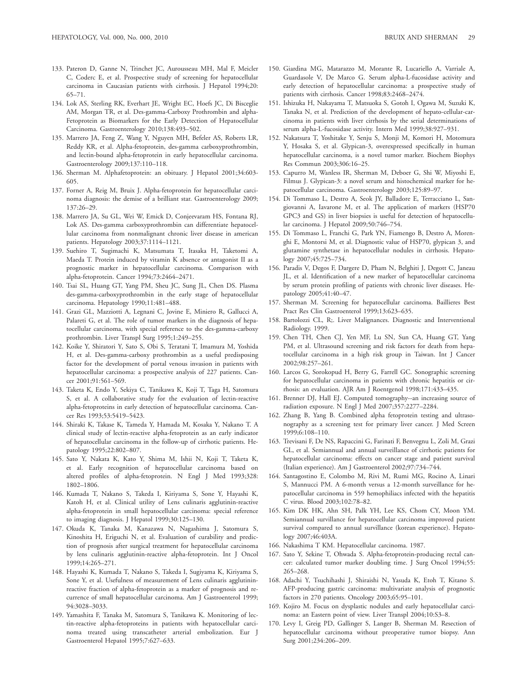- 133. Pateron D, Ganne N, Trinchet JC, Aurousseau MH, Mal F, Meicler C, Coderc E, et al. Prospective study of screening for hepatocellular carcinoma in Caucasian patients with cirrhosis. J Hepatol 1994;20: 65–71.
- 134. Lok AS, Sterling RK, Everhart JE, Wright EC, Hoefs JC, Di Bisceglie AM, Morgan TR, et al. Des-gamma-Carboxy Prothrombin and alpha-Fetoprotein as Biomarkers for the Early Detection of Hepatocellular Carcinoma. Gastroenterology 2010;138:493–502.
- 135. Marrero JA, Feng Z, Wang Y, Nguyen MH, Befeler AS, Roberts LR, Reddy KR, et al. Alpha-fetoprotein, des-gamma carboxyprothrombin, and lectin-bound alpha-fetoprotein in early hepatocellular carcinoma. Gastroenterology 2009;137:110–118.
- 136. Sherman M. Alphafetoprotein: an obituary. J Hepatol 2001;34:603- 605.
- 137. Forner A, Reig M, Bruix J. Alpha-fetoprotein for hepatocellular carcinoma diagnosis: the demise of a brilliant star. Gastroenterology 2009; 137:26–29.
- 138. Marrero JA, Su GL, Wei W, Emick D, Conjeevaram HS, Fontana RJ, Lok AS. Des-gamma carboxyprothrombin can differentiate hepatocellular carcinoma from nonmalignant chronic liver disease in american patients. Hepatology 2003;37:1114–1121.
- 139. Suehiro T, Sugimachi K, Matsumata T, Itasaka H, Taketomi A, Maeda T. Protein induced by vitamin K absence or antagonist II as a prognostic marker in hepatocellular carcinoma. Comparison with alpha-fetoprotein. Cancer 1994;73:2464–2471.
- 140. Tsai SL, Huang GT, Yang PM, Sheu JC, Sung JL, Chen DS. Plasma des-gamma-carboxyprothrombin in the early stage of hepatocellular carcinoma. Hepatology 1990;11:481–488.
- 141. Grazi GL, Mazziotti A, Legnani C, Jovine E, Miniero R, Gallucci A, Palareti G, et al. The role of tumor markers in the diagnosis of hepatocellular carcinoma, with special reference to the des-gamma-carboxy prothrombin. Liver Transpl Surg 1995;1:249–255.
- 142. Koike Y, Shiratori Y, Sato S, Obi S, Teratani T, Imamura M, Yoshida H, et al. Des-gamma-carboxy prothrombin as a useful predisposing factor for the development of portal venous invasion in patients with hepatocellular carcinoma: a prospective analysis of 227 patients. Cancer 2001;91:561–569.
- 143. Taketa K, Endo Y, Sekiya C, Tanikawa K, Koji T, Taga H, Satomura S, et al. A collaborative study for the evaluation of lectin-reactive alpha-fetoproteins in early detection of hepatocellular carcinoma. Cancer Res 1993;53:5419–5423.
- 144. Shiraki K, Takase K, Tameda Y, Hamada M, Kosaka Y, Nakano T. A clinical study of lectin-reactive alpha-fetoprotein as an early indicator of hepatocellular carcinoma in the follow-up of cirrhotic patients. Hepatology 1995;22:802–807.
- 145. Sato Y, Nakata K, Kato Y, Shima M, Ishii N, Koji T, Taketa K, et al. Early recognition of hepatocellular carcinoma based on altered profiles of alpha-fetoprotein. N Engl J Med 1993;328: 1802–1806.
- 146. Kumada T, Nakano S, Takeda I, Kiriyama S, Sone Y, Hayashi K, Katoh H, et al. Clinical utility of Lens culinaris agglutinin-reactive alpha-fetoprotein in small hepatocellular carcinoma: special reference to imaging diagnosis. J Hepatol 1999;30:125–130.
- 147. Okuda K, Tanaka M, Kanazawa N, Nagashima J, Satomura S, Kinoshita H, Eriguchi N, et al. Evaluation of curability and prediction of prognosis after surgical treatment for hepatocellular carcinoma by lens culinaris agglutinin-reactive alpha-fetoprotein. Int J Oncol 1999;14:265–271.
- 148. Hayashi K, Kumada T, Nakano S, Takeda I, Sugiyama K, Kiriyama S, Sone Y, et al. Usefulness of measurement of Lens culinaris agglutininreactive fraction of alpha-fetoprotein as a marker of prognosis and recurrence of small hepatocellular carcinoma. Am J Gastroenterol 1999; 94:3028–3033.
- 149. Yamashita F, Tanaka M, Satomura S, Tanikawa K. Monitoring of lectin-reactive alpha-fetoproteins in patients with hepatocellular carcinoma treated using transcatheter arterial embolization. Eur J Gastroenterol Hepatol 1995;7:627–633.
- 150. Giardina MG, Matarazzo M, Morante R, Lucariello A, Varriale A, Guardasole V, De Marco G. Serum alpha-L-fucosidase activity and early detection of hepatocellular carcinoma: a prospective study of patients with cirrhosis. Cancer 1998;83:2468–2474.
- 151. Ishizuka H, Nakayama T, Matsuoka S, Gotoh I, Ogawa M, Suzuki K, Tanaka N, et al. Prediction of the development of hepato-cellular-carcinoma in patients with liver cirrhosis by the serial determinations of serum alpha-L-fucosidase activity. Intern Med 1999;38:927–931.
- 152. Nakatsura T, Yoshitake Y, Senju S, Monji M, Komori H, Motomura Y, Hosaka S, et al. Glypican-3, overexpressed specifically in human hepatocellular carcinoma, is a novel tumor marker. Biochem Biophys Res Commun 2003;306:16–25.
- 153. Capurro M, Wanless IR, Sherman M, Deboer G, Shi W, Miyoshi E, Filmus J. Glypican-3: a novel serum and histochemical marker for hepatocellular carcinoma. Gastroenterology 2003;125:89–97.
- 154. Di Tommaso L, Destro A, Seok JY, Balladore E, Terracciano L, Sangiovanni A, Iavarone M, et al. The application of markers (HSP70 GPC3 and GS) in liver biopsies is useful for detection of hepatocellular carcinoma. J Hepatol 2009;50:746–754.
- 155. Di Tommaso L, Franchi G, Park YN, Fiamengo B, Destro A, Morenghi E, Montorsi M, et al. Diagnostic value of HSP70, glypican 3, and glutamine synthetase in hepatocellular nodules in cirrhosis. Hepatology 2007;45:725–734.
- 156. Paradis V, Degos F, Dargere D, Pham N, Belghiti J, Degott C, Janeau JL, et al. Identification of a new marker of hepatocellular carcinoma by serum protein profiling of patients with chronic liver diseases. Hepatology 2005;41:40–47.
- 157. Sherman M. Screening for hepatocellular carcinoma. Baillieres Best Pract Res Clin Gastroenterol 1999;13:623–635.
- 158. Bartolozzi CL, R;. Liver Malignances. Diagnostic and Interventional Radiology. 1999.
- 159. Chen TH, Chen CJ, Yen MF, Lu SN, Sun CA, Huang GT, Yang PM, et al. Ultrasound screening and risk factors for death from hepatocellular carcinoma in a high risk group in Taiwan. Int J Cancer 2002;98:257–261.
- 160. Larcos G, Sorokopud H, Berry G, Farrell GC. Sonographic screening for hepatocellular carcinoma in patients with chronic hepatitis or cirrhosis: an evaluation. AJR Am J Roentgenol 1998;171:433–435.
- 161. Brenner DJ, Hall EJ. Computed tomography--an increasing source of radiation exposure. N Engl J Med 2007;357:2277–2284.
- 162. Zhang B, Yang B. Combined alpha fetoprotein testing and ultrasonography as a screening test for primary liver cancer. J Med Screen 1999;6:108–110.
- 163. Trevisani F, De NS, Rapaccini G, Farinati F, Benvegnu L, Zoli M, Grazi GL, et al. Semiannual and annual surveillance of cirrhotic patients for hepatocellular carcinoma: effects on cancer stage and patient survival (Italian experience). Am J Gastroenterol 2002;97:734–744.
- 164. Santagostino E, Colombo M, Rivi M, Rumi MG, Rocino A, Linari S, Mannucci PM. A 6-month versus a 12-month surveillance for hepatocellular carcinoma in 559 hemophiliacs infected with the hepatitis C virus. Blood 2003;102:78–82.
- 165. Kim DK HK, Ahn SH, Palk YH, Lee KS, Chom CY, Moon YM. Semiannual survillance for hepatocellular carcinoma improved patient survival compared to annual survillance (korean experience). Hepatology 2007;46:403A.
- 166. Nakashima T KM. Hepatocellular carcinoma. 1987.
- 167. Sato Y, Sekine T, Ohwada S. Alpha-fetoprotein-producing rectal cancer: calculated tumor marker doubling time. J Surg Oncol 1994;55: 265–268.
- 168. Adachi Y, Tsuchihashi J, Shiraishi N, Yasuda K, Etoh T, Kitano S. AFP-producing gastric carcinoma: multivariate analysis of prognostic factors in 270 patients. Oncology 2003;65:95–101.
- 169. Kojiro M. Focus on dysplastic nodules and early hepatocellular carcinoma: an Eastern point of view. Liver Transpl 2004;10:S3–8.
- 170. Levy I, Greig PD, Gallinger S, Langer B, Sherman M. Resection of hepatocellular carcinoma without preoperative tumor biopsy. Ann Surg 2001;234:206–209.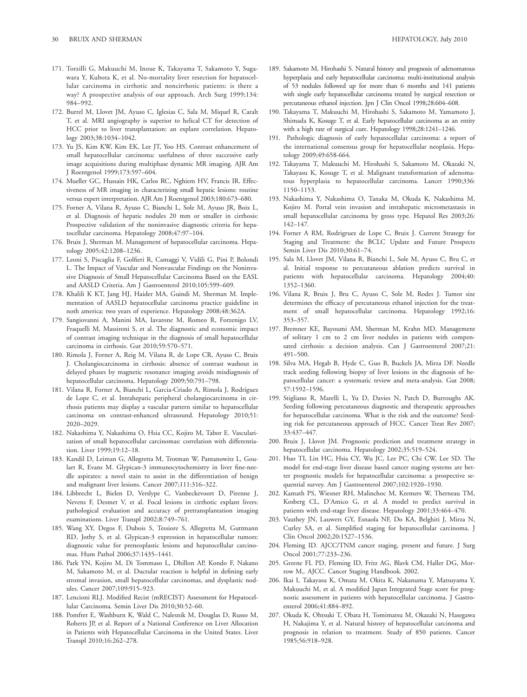- 171. Torzilli G, Makuuchi M, Inoue K, Takayama T, Sakamoto Y, Sugawara Y, Kubota K, et al. No-mortality liver resection for hepatocellular carcinoma in cirrhotic and noncirrhotic patients: is there a way? A prospective analysis of our approach. Arch Surg 1999;134: 984–992.
- 172. Burrel M, Llovet JM, Ayuso C, Iglesias C, Sala M, Miquel R, Caralt T, et al. MRI angiography is superior to helical CT for detection of HCC prior to liver transplantation: an explant correlation. Hepatology 2003;38:1034–1042.
- 173. Yu JS, Kim KW, Kim EK, Lee JT, Yoo HS. Contrast enhancement of small hepatocellular carcinoma: usefulness of three successive early image acquisitions during multiphase dynamic MR imaging. AJR Am J Roentgenol 1999;173:597–604.
- 174. Mueller GC, Hussain HK, Carlos RC, Nghiem HV, Francis IR. Effectiveness of MR imaging in characterizing small hepatic lesions: routine versus expert interpretation. AJR Am J Roentgenol 2003;180:673–680.
- 175. Forner A, Vilana R, Ayuso C, Bianchi L, Sole M, Ayuso JR, Boix L, et al. Diagnosis of hepatic nodules 20 mm or smaller in cirrhosis: Prospective validation of the noninvasive diagnostic criteria for hepatocellular carcinoma. Hepatology 2008;47:97–104.
- 176. Bruix J, Sherman M. Management of hepatocellular carcinoma. Hepatology 2005;42:1208–1236.
- 177. Leoni S, Piscaglia F, Golfieri R, Camaggi V, Vidili G, Pini P, Bolondi L. The Impact of Vascular and Nonvascular Findings on the Noninvasive Diagnosis of Small Hepatocellular Carcinoma Based on the EASL and AASLD Criteria. Am J Gastroenterol 2010;105:599–609.
- 178. Khalili K KT, Jang HJ, Haider MA, Guindi M, Sherman M. Implementation of AASLD hepatocellular carcinoma practice guideline in noth america: two years of experience. Hepatology 2008;48:362A.
- 179. Sangiovanni A, Manini MA, Iavarone M, Romeo R, Forzenigo LV, Fraquelli M, Massironi S, et al. The diagnostic and economic impact of contrast imaging technique in the diagnosis of small hepatocellular carcinoma in cirrhosis. Gut 2010;59:570–571.
- 180. Rimola J, Forner A, Reig M, Vilana R, de Lope CR, Ayuso C, Bruix J. Cholangiocarcinoma in cirrhosis: absence of contrast washout in delayed phases by magnetic resonance imaging avoids misdiagnosis of hepatocellular carcinoma. Hepatology 2009;50:791–798.
- 181. Vilana R, Forner A, Bianchi L, Garcia-Criado A, Rimola J, Rodríguez de Lope C, et al. Intrahepatic peripheral cholangiocarcinoma in cirrhosis patients may display a vascular pattern similar to hepatocellular carcinoma on contrast-enhanced ultrasound. Hepatology 2010;51: 2020–2029.
- 182. Nakashima Y, Nakashima O, Hsia CC, Kojiro M, Tabor E. Vascularization of small hepatocellular carcinomas: correlation with differentiation. Liver 1999;19:12–18.
- 183. Kandil D, Leiman G, Allegretta M, Trotman W, Pantanowitz L, Goulart R, Evans M. Glypican-3 immunocytochemistry in liver fine-needle aspirates: a novel stain to assist in the differentiation of benign and malignant liver lesions. Cancer 2007;111:316–322.
- 184. Libbrecht L, Bielen D, Verslype C, Vanbeckevoort D, Pirenne J, Nevens F, Desmet V, et al. Focal lesions in cirrhotic explant livers: pathological evaluation and accuracy of pretransplantation imaging examinations. Liver Transpl 2002;8:749–761.
- 185. Wang XY, Degos F, Dubois S, Tessiore S, Allegretta M, Guttmann RD, Jothy S, et al. Glypican-3 expression in hepatocellular tumors: diagnostic value for preneoplastic lesions and hepatocellular carcinomas. Hum Pathol 2006;37:1435–1441.
- 186. Park YN, Kojiro M, Di Tommaso L, Dhillon AP, Kondo F, Nakano M, Sakamoto M, et al. Ductular reaction is helpful in defining early stromal invasion, small hepatocellular carcinomas, and dysplastic nodules. Cancer 2007;109:915–923.
- 187. Lencioni RLJ. Modified Recist (mRECIST) Assessment for Hepatocellular Carcinoma. Semin Liver Dis 2010;30:52–60.
- 188. Pomfret E, Washburn K, Wald C, Nalesnik M, Douglas D, Russo M, Roberts JP, et al. Report of a National Conference on Liver Allocation in Patients with Hepatocellular Carcinoma in the United States. Liver Transpl 2010;16:262–278.
- 189. Sakamoto M, Hirohashi S. Natural history and prognosis of adenomatous hyperplasia and early hepatocellular carcinoma: multi-institutional analysis of 53 nodules followed up for more than 6 months and 141 patients with single early hepatocellular carcinoma treated by surgical resection or percutaneous ethanol injection. Jpn J Clin Oncol 1998;28:604–608.
- 190. Takayama T, Makuuchi M, Hirohashi S, Sakamoto M, Yamamoto J, Shimada K, Kosuge T, et al. Early hepatocellular carcinoma as an entity with a high rate of surgical cure. Hepatology 1998;28:1241–1246.
- 191. Pathologic diagnosis of early hepatocellular carcinoma: a report of the international consensus group for hepatocellular neoplasia. Hepatology 2009;49:658-664.
- 192. Takayama T, Makuuchi M, Hirohashi S, Sakamoto M, Okazaki N, Takayasu K, Kosuge T, et al. Malignant transformation of adenomatous hyperplasia to hepatocellular carcinoma. Lancet 1990;336: 1150–1153.
- 193. Nakashima Y, Nakashima O, Tanaka M, Okuda K, Nakashima M, Kojiro M. Portal vein invasion and intrahepatic micrometastasis in small hepatocellular carcinoma by gross type. Hepatol Res 2003;26: 142–147.
- 194. Forner A RM, Rodrigruez de Lope C, Bruix J. Current Strategy for Staging and Treatment: the BCLC Update and Future Prospects Semin Liver Dis 2010;30:61–74.
- 195. Sala M, Llovet JM, Vilana R, Bianchi L, Sole M, Ayuso C, Bru C, et al. Initial response to percutaneous ablation predicts survival in patients with hepatocellular carcinoma. Hepatology 2004;40: 1352–1360.
- 196. Vilana R, Bruix J, Bru C, Ayuso C, Sole M, Rodes J. Tumor size determines the efficacy of percutaneous ethanol injection for the treatment of small hepatocellular carcinoma. Hepatology 1992;16: 353–357.
- 197. Bremner KE, Bayoumi AM, Sherman M, Krahn MD. Management of solitary 1 cm to 2 cm liver nodules in patients with compensated cirrhosis: a decision analysis. Can J Gastroenterol 2007;21: 491–500.
- 198. Silva MA, Hegab B, Hyde C, Guo B, Buckels JA, Mirza DF. Needle track seeding following biopsy of liver lesions in the diagnosis of hepatocellular cancer: a systematic review and meta-analysis. Gut 2008; 57:1592–1596.
- 199. Stigliano R, Marelli L, Yu D, Davies N, Patch D, Burroughs AK. Seeding following percutaneous diagnostic and therapeutic approaches for hepatocellular carcinoma. What is the risk and the outcome? Seeding risk for percutaneous approach of HCC. Cancer Treat Rev 2007; 33:437–447.
- 200. Bruix J, Llovet JM. Prognostic prediction and treatment strategy in hepatocellular carcinoma. Hepatology 2002;35:519–524.
- 201. Huo TI, Lin HC, Hsia CY, Wu JC, Lee PC, Chi CW, Lee SD. The model for end-stage liver disease based cancer staging systems are better prognostic models for hepatocellular carcinoma: a prospective sequential survey. Am J Gastroenterol 2007;102:1920–1930.
- 202. Kamath PS, Wiesner RH, Malinchoc M, Kremers W, Therneau TM, Kosberg CL, D'Amico G, et al. A model to predict survival in patients with end-stage liver disease. Hepatology 2001;33:464–470.
- 203. Vauthey JN, Lauwers GY, Esnaola NF, Do KA, Belghiti J, Mirza N, Curley SA, et al. Simplified staging for hepatocellular carcinoma. J Clin Oncol 2002;20:1527–1536.
- 204. Fleming ID. AJCC/TNM cancer staging, present and future. J Surg Oncol 2001;77:233–236.
- 205. Greene FL PD, Fleming ID, Fritz AG, Blavk CM, Haller DG, Morrow M,. AJCC. Cancer Staging Handbook. 2002.
- 206. Ikai I, Takayasu K, Omata M, Okita K, Nakanuma Y, Matsuyama Y, Makuuchi M, et al. A modified Japan Integrated Stage score for prognostic assessment in patients with hepatocellular carcinoma. J Gastroenterol 2006;41:884–892.
- 207. Okuda K, Ohtsuki T, Obata H, Tomimatsu M, Okazaki N, Hasegawa H, Nakajima Y, et al. Natural history of hepatocellular carcinoma and prognosis in relation to treatment. Study of 850 patients. Cancer 1985;56:918–928.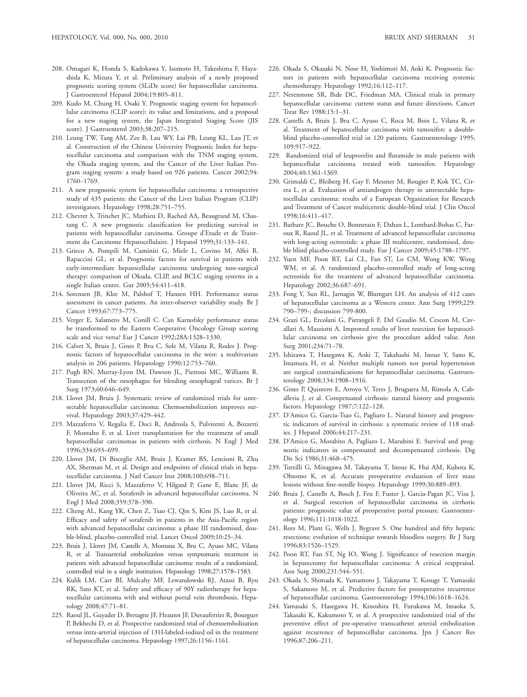- 208. Omagari K, Honda S, Kadokawa Y, Isomoto H, Takeshima F, Hayashida K, Mizuta Y, et al. Preliminary analysis of a newly proposed prognostic scoring system (SLiDe score) for hepatocellular carcinoma. J Gastroenterol Hepatol 2004;19:805–811.
- 209. Kudo M, Chung H, Osaki Y. Prognostic staging system for hepatocellular carcinoma (CLIP score): its value and limitations, and a proposal for a new staging system, the Japan Integrated Staging Score (JIS score). J Gastroenterol 2003;38:207–215.
- 210. Leung TW, Tang AM, Zee B, Lau WY, Lai PB, Leung KL, Lau JT, et al. Construction of the Chinese University Prognostic Index for hepatocellular carcinoma and comparison with the TNM staging system, the Okuda staging system, and the Cancer of the Liver Italian Program staging system: a study based on 926 patients. Cancer 2002;94: 1760–1769.
- 211. A new prognostic system for hepatocellular carcinoma: a retrospective study of 435 patients: the Cancer of the Liver Italian Program (CLIP) investigators. Hepatology 1998;28:751–755.
- 212. Chevret S, Trinchet JC, Mathieu D, Rached AA, Beaugrand M, Chastang C. A new prognostic classification for predicting survival in patients with hepatocellular carcinoma. Groupe d'Etude et de Traitement du Carcinome Hepatocellulaire. J Hepatol 1999;31:133–141.
- 213. Grieco A, Pompili M, Caminiti G, Miele L, Covino M, Alfei B, Rapaccini GL, et al. Prognostic factors for survival in patients with early-intermediate hepatocellular carcinoma undergoing non-surgical therapy: comparison of Okuda, CLIP, and BCLC staging systems in a single Italian centre. Gut 2005;54:411–418.
- 214. Sorensen JB, Klee M, Palshof T, Hansen HH. Performance status assessment in cancer patients. An inter-observer variability study. Br J Cancer 1993;67:773–775.
- 215. Verger E, Salamero M, Conill C. Can Karnofsky performance status be transformed to the Eastern Cooperative Oncology Group scoring scale and vice versa? Eur J Cancer 1992;28A:1328–1330.
- 216. Calvet X, Bruix J, Gines P, Bru C, Sole M, Vilana R, Rodes J. Prognostic factors of hepatocellular carcinoma in the west: a multivariate analysis in 206 patients. Hepatology 1990;12:753–760.
- 217. Pugh RN, Murray-Lyon IM, Dawson JL, Pietroni MC, Williams R. Transection of the oesophagus for bleeding oesophageal varices. Br J Surg 1973;60:646–649.
- 218. Llovet JM, Bruix J. Systematic review of randomized trials for unresectable hepatocellular carcinoma: Chemoembolization improves survival. Hepatology 2003;37:429–442.
- 219. Mazzaferro V, Regalia E, Doci R, Andreola S, Pulvirenti A, Bozzetti F, Montalto F, et al. Liver transplantation for the treatment of small hepatocellular carcinomas in patients with cirrhosis. N Engl J Med 1996;334:693–699.
- 220. Llovet JM, Di Bisceglie AM, Bruix J, Kramer BS, Lencioni R, Zhu AX, Sherman M, et al. Design and endpoints of clinical trials in hepatocellular carcinoma. J Natl Cancer Inst 2008;100:698–711.
- 221. Llovet JM, Ricci S, Mazzaferro V, Hilgard P, Gane E, Blanc JF, de Oliveira AC, et al. Sorafenib in advanced hepatocellular carcinoma. N Engl J Med 2008;359:378–390.
- 222. Cheng AL, Kang YK, Chen Z, Tsao CJ, Qin S, Kim JS, Luo R, et al. Efficacy and safety of sorafenib in patients in the Asia-Pacific region with advanced hepatocellular carcinoma: a phase III randomised, double-blind, placebo-controlled trial. Lancet Oncol 2009;10:25–34.
- 223. Bruix J, Llovet JM, Castells A, Montana X, Bru C, Ayuso MC, Vilana R, et al. Transarterial embolization versus symptomatic treatment in patients with advanced hepatocellular carcinoma: results of a randomized, controlled trial in a single institution. Hepatology 1998;27:1578–1583.
- 224. Kulik LM, Carr BI, Mulcahy MF, Lewandowski RJ, Atassi B, Ryu RK, Sato KT, et al. Safety and efficacy of 90Y radiotherapy for hepatocellular carcinoma with and without portal vein thrombosis. Hepatology 2008;47:71–81.
- 225. Raoul JL, Guyader D, Bretagne JF, Heautot JF, Duvauferrier R, Bourguet P, Bekhechi D, et al. Prospective randomized trial of chemoembolization versus intra-arterial injection of 131I-labeled-iodized oil in the treatment of hepatocellular carcinoma. Hepatology 1997;26:1156–1161.
- 226. Okada S, Okazaki N, Nose H, Yoshimori M, Aoki K. Prognostic factors in patients with hepatocellular carcinoma receiving systemic chemotherapy. Hepatology 1992;16:112–117.
- 227. Nerenstone SR, Ihde DC, Friedman MA. Clinical trials in primary hepatocellular carcinoma: current status and future directions. Cancer Treat Rev 1988;15:1–31.
- 228. Castells A, Bruix J, Bru C, Ayuso C, Roca M, Boix L, Vilana R, et al. Treatment of hepatocellular carcinoma with tamoxifen: a doubleblind placebo-controlled trial in 120 patients. Gastroenterology 1995; 109:917–922.
- 229. Randomized trial of leuprorelin and flutamide in male patients with hepatocellular carcinoma treated with tamoxifen. Hepatology 2004;40:1361-1369.
- 230. Grimaldi C, Bleiberg H, Gay F, Messner M, Rougier P, Kok TC, Cirera L, et al. Evaluation of antiandrogen therapy in unresectable hepatocellular carcinoma: results of a European Organization for Research and Treatment of Cancer multicentric double-blind trial. J Clin Oncol 1998;16:411–417.
- 231. Barbare JC, Bouche O, Bonnetain F, Dahan L, Lombard-Bohas C, Faroux R, Raoul JL, et al. Treatment of advanced hepatocellular carcinoma with long-acting octreotide: a phase III multicentre, randomised, double blind placebo-controlled study. Eur J Cancer 2009;45:1788–1797.
- 232. Yuen MF, Poon RT, Lai CL, Fan ST, Lo CM, Wong KW, Wong WM, et al. A randomized placebo-controlled study of long-acting octreotide for the treatment of advanced hepatocellular carcinoma. Hepatology 2002;36:687–691.
- 233. Fong Y, Sun RL, Jarnagin W, Blumgart LH. An analysis of 412 cases of hepatocellular carcinoma at a Western center. Ann Surg 1999;229: 790–799-; discussion 799-800.
- 234. Grazi GL, Ercolani G, Pierangeli F, Del Gaudio M, Cescon M, Cavallari A, Mazziotti A. Improved results of liver resection for hepatocellular carcinoma on cirrhosis give the procedure added value. Ann Surg 2001;234:71–78.
- 235. Ishizawa T, Hasegawa K, Aoki T, Takahashi M, Inoue Y, Sano K, Imamura H, et al. Neither multiple tumors nor portal hypertension are surgical contraindications for hepatocellular carcinoma. Gastroenterology 2008;134:1908–1916.
- 236. Gines P, Quintero E, Arroyo V, Teres J, Bruguera M, Rimola A, Caballeria J, et al. Compensated cirrhosis: natural history and prognostic factors. Hepatology 1987;7:122–128.
- 237. D'Amico G, Garcia-Tsao G, Pagliaro L. Natural history and prognostic indicators of survival in cirrhosis: a systematic review of 118 studies. J Hepatol 2006;44:217–231.
- 238. D'Amico G, Morabito A, Pagliaro L, Marubini E. Survival and prognostic indicators in compensated and decompensated cirrhosis. Dig Dis Sci 1986;31:468–475.
- 239. Torzilli G, Minagawa M, Takayama T, Inoue K, Hui AM, Kubota K, Ohtomo K, et al. Accurate preoperative evaluation of liver mass lesions without fine-needle biopsy. Hepatology 1999;30:889–893.
- 240. Bruix J, Castells A, Bosch J, Feu F, Fuster J, Garcia-Pagan JC, Visa J, et al. Surgical resection of hepatocellular carcinoma in cirrhotic patients: prognostic value of preoperative portal pressure. Gastroenterology 1996;111:1018-1022.
- 241. Rees M, Plant G, Wells J, Bygrave S. One hundred and fifty hepatic resections: evolution of technique towards bloodless surgery. Br J Surg 1996;83:1526–1529.
- 242. Poon RT, Fan ST, Ng IO, Wong J. Significance of resection margin in hepatectomy for hepatocellular carcinoma: A critical reappraisal. Ann Surg 2000;231:544–551.
- 243. Okada S, Shimada K, Yamamoto J, Takayama T, Kosuge T, Yamasaki S, Sakamoto M, et al. Predictive factors for postoperative recurrence of hepatocellular carcinoma. Gastroenterology 1994;106:1618–1624.
- 244. Yamasaki S, Hasegawa H, Kinoshita H, Furukawa M, Imaoka S, Takasaki K, Kakumoto Y, et al. A prospective randomized trial of the preventive effect of pre-operative transcatheter arterial embolization against recurrence of hepatocellular carcinoma. Jpn J Cancer Res 1996;87:206–211.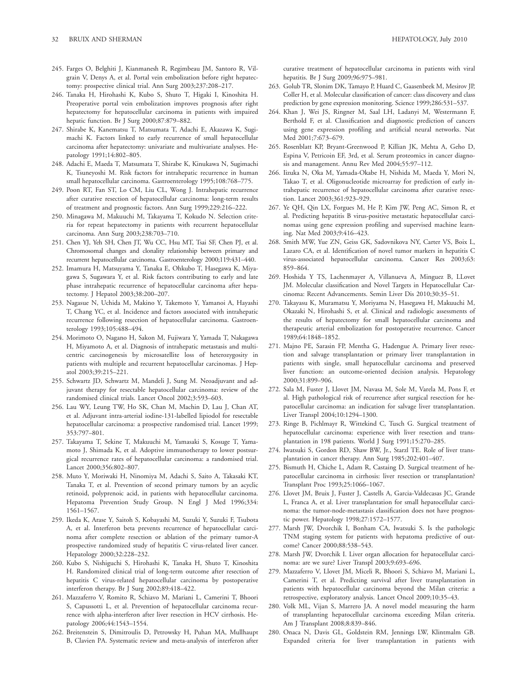- 245. Farges O, Belghiti J, Kianmanesh R, Regimbeau JM, Santoro R, Vilgrain V, Denys A, et al. Portal vein embolization before right hepatectomy: prospective clinical trial. Ann Surg 2003;237:208–217.
- 246. Tanaka H, Hirohashi K, Kubo S, Shuto T, Higaki I, Kinoshita H. Preoperative portal vein embolization improves prognosis after right hepatectomy for hepatocellular carcinoma in patients with impaired hepatic function. Br J Surg 2000;87:879–882.
- 247. Shirabe K, Kanematsu T, Matsumata T, Adachi E, Akazawa K, Sugimachi K. Factors linked to early recurrence of small hepatocellular carcinoma after hepatectomy: univariate and multivariate analyses. Hepatology 1991;14:802–805.
- 248. Adachi E, Maeda T, Matsumata T, Shirabe K, Kinukawa N, Sugimachi K, Tsuneyoshi M. Risk factors for intrahepatic recurrence in human small hepatocellular carcinoma. Gastroenterology 1995;108:768–775.
- 249. Poon RT, Fan ST, Lo CM, Liu CL, Wong J. Intrahepatic recurrence after curative resection of hepatocellular carcinoma: long-term results of treatment and prognostic factors. Ann Surg 1999;229:216–222.
- 250. Minagawa M, Makuuchi M, Takayama T, Kokudo N. Selection criteria for repeat hepatectomy in patients with recurrent hepatocellular carcinoma. Ann Surg 2003;238:703–710.
- 251. Chen YJ, Yeh SH, Chen JT, Wu CC, Hsu MT, Tsai SF, Chen PJ, et al. Chromosomal changes and clonality relationship between primary and recurrent hepatocellular carcinoma. Gastroenterology 2000;119:431–440.
- 252. Imamura H, Matsuyama Y, Tanaka E, Ohkubo T, Hasegawa K, Miyagawa S, Sugawara Y, et al. Risk factors contributing to early and late phase intrahepatic recurrence of hepatocellular carcinoma after hepatectomy. J Hepatol 2003;38:200–207.
- 253. Nagasue N, Uchida M, Makino Y, Takemoto Y, Yamanoi A, Hayashi T, Chang YC, et al. Incidence and factors associated with intrahepatic recurrence following resection of hepatocellular carcinoma. Gastroenterology 1993;105:488–494.
- 254. Morimoto O, Nagano H, Sakon M, Fujiwara Y, Yamada T, Nakagawa H, Miyamoto A, et al. Diagnosis of intrahepatic metastasis and multicentric carcinogenesis by microsatellite loss of heterozygosity in patients with multiple and recurrent hepatocellular carcinomas. J Hepatol 2003;39:215–221.
- 255. Schwartz JD, Schwartz M, Mandeli J, Sung M. Neoadjuvant and adjuvant therapy for resectable hepatocellular carcinoma: review of the randomised clinical trials. Lancet Oncol 2002;3:593–603.
- 256. Lau WY, Leung TW, Ho SK, Chan M, Machin D, Lau J, Chan AT, et al. Adjuvant intra-arterial iodine-131-labelled lipiodol for resectable hepatocellular carcinoma: a prospective randomised trial. Lancet 1999; 353:797–801.
- 257. Takayama T, Sekine T, Makuuchi M, Yamasaki S, Kosuge T, Yamamoto J, Shimada K, et al. Adoptive immunotherapy to lower postsurgical recurrence rates of hepatocellular carcinoma: a randomised trial. Lancet 2000;356:802–807.
- 258. Muto Y, Moriwaki H, Ninomiya M, Adachi S, Saito A, Takasaki KT, Tanaka T, et al. Prevention of second primary tumors by an acyclic retinoid, polyprenoic acid, in patients with hepatocellular carcinoma. Hepatoma Prevention Study Group. N Engl J Med 1996;334: 1561–1567.
- 259. Ikeda K, Arase Y, Saitoh S, Kobayashi M, Suzuki Y, Suzuki F, Tsubota A, et al. Interferon beta prevents recurrence of hepatocellular carcinoma after complete resection or ablation of the primary tumor-A prospective randomized study of hepatitis C virus-related liver cancer. Hepatology 2000;32:228–232.
- 260. Kubo S, Nishiguchi S, Hirohashi K, Tanaka H, Shuto T, Kinoshita H. Randomized clinical trial of long-term outcome after resection of hepatitis C virus-related hepatocellular carcinoma by postoperative interferon therapy. Br J Surg 2002;89:418–422.
- 261. Mazzaferro V, Romito R, Schiavo M, Mariani L, Camerini T, Bhoori S, Capussotti L, et al. Prevention of hepatocellular carcinoma recurrence with alpha-interferon after liver resection in HCV cirrhosis. Hepatology 2006;44:1543–1554.
- 262. Breitenstein S, Dimitroulis D, Petrowsky H, Puhan MA, Mullhaupt B, Clavien PA. Systematic review and meta-analysis of interferon after

curative treatment of hepatocellular carcinoma in patients with viral hepatitis. Br J Surg 2009;96:975–981.

- 263. Golub TR, Slonim DK, Tamayo P, Huard C, Gaasenbeek M, Mesirov JP, Coller H, et al. Molecular classification of cancer: class discovery and class prediction by gene expression monitoring. Science 1999;286:531–537.
- 264. Khan J, Wei JS, Ringner M, Saal LH, Ladanyi M, Westermann F, Berthold F, et al. Classification and diagnostic prediction of cancers using gene expression profiling and artificial neural networks. Nat Med 2001;7:673–679.
- 265. Rosenblatt KP, Bryant-Greenwood P, Killian JK, Mehta A, Geho D, Espina V, Petricoin EF, 3rd, et al. Serum proteomics in cancer diagnosis and management. Annu Rev Med 2004;55:97–112.
- 266. Iizuka N, Oka M, Yamada-Okabe H, Nishida M, Maeda Y, Mori N, Takao T, et al. Oligonucleotide microarray for prediction of early intrahepatic recurrence of hepatocellular carcinoma after curative resection. Lancet 2003;361:923–929.
- 267. Ye QH, Qin LX, Forgues M, He P, Kim JW, Peng AC, Simon R, et al. Predicting hepatitis B virus-positive metastatic hepatocellular carcinomas using gene expression profiling and supervised machine learning. Nat Med 2003;9:416–423.
- 268. Smith MW, Yue ZN, Geiss GK, Sadovnikova NY, Carter VS, Boix L, Lazaro CA, et al. Identification of novel tumor markers in hepatitis C virus-associated hepatocellular carcinoma. Cancer Res 2003;63: 859–864.
- 269. Hoshida Y TS, Lachenmayer A, Villanueva A, Minguez B, LLovet JM. Molecular classification and Novel Targets in Hepatocellular Carcinoma: Recent Advancements. Semin Liver Dis 2010;30:35–51.
- 270. Takayasu K, Muramatsu Y, Moriyama N, Hasegawa H, Makuuchi M, Okazaki N, Hirohashi S, et al. Clinical and radiologic assessments of the results of hepatectomy for small hepatocellular carcinoma and therapeutic arterial embolization for postoperative recurrence. Cancer 1989;64:1848–1852.
- 271. Majno PE, Sarasin FP, Mentha G, Hadengue A. Primary liver resection and salvage transplantation or primary liver transplantation in patients with single, small hepatocellular carcinoma and preserved liver function: an outcome-oriented decision analysis. Hepatology 2000;31:899–906.
- 272. Sala M, Fuster J, Llovet JM, Navasa M, Sole M, Varela M, Pons F, et al. High pathological risk of recurrence after surgical resection for hepatocellular carcinoma: an indication for salvage liver transplantation. Liver Transpl 2004;10:1294–1300.
- 273. Ringe B, Pichlmayr R, Wittekind C, Tusch G. Surgical treatment of hepatocellular carcinoma: experience with liver resection and transplantation in 198 patients. World J Surg 1991;15:270–285.
- 274. Iwatsuki S, Gordon RD, Shaw BW, Jr., Starzl TE. Role of liver transplantation in cancer therapy. Ann Surg 1985;202:401–407.
- 275. Bismuth H, Chiche L, Adam R, Castaing D. Surgical treatment of hepatocellular carcinoma in cirrhosis: liver resection or transplantation? Transplant Proc 1993;25:1066–1067.
- 276. Llovet JM, Bruix J, Fuster J, Castells A, Garcia-Valdecasas JC, Grande L, Franca A, et al. Liver transplantation for small hepatocellular carcinoma: the tumor-node-metastasis classification does not have prognostic power. Hepatology 1998;27:1572–1577.
- 277. Marsh JW, Dvorchik I, Bonham CA, Iwatsuki S. Is the pathologic TNM staging system for patients with hepatoma predictive of outcome? Cancer 2000;88:538–543.
- 278. Marsh JW, Dvorchik I. Liver organ allocation for hepatocellular carcinoma: are we sure? Liver Transpl 2003;9:693–696.
- 279. Mazzaferro V, Llovet JM, Miceli R, Bhoori S, Schiavo M, Mariani L, Camerini T, et al. Predicting survival after liver transplantation in patients with hepatocellular carcinoma beyond the Milan criteria: a retrospective, exploratory analysis. Lancet Oncol 2009;10:35–43.
- 280. Volk ML, Vijan S, Marrero JA. A novel model measuring the harm of transplanting hepatocellular carcinoma exceeding Milan criteria. Am J Transplant 2008;8:839–846.
- 280. Onaca N, Davis GL, Goldstein RM, Jennings LW, Klintmalm GB. Expanded criteria for liver transplantation in patients with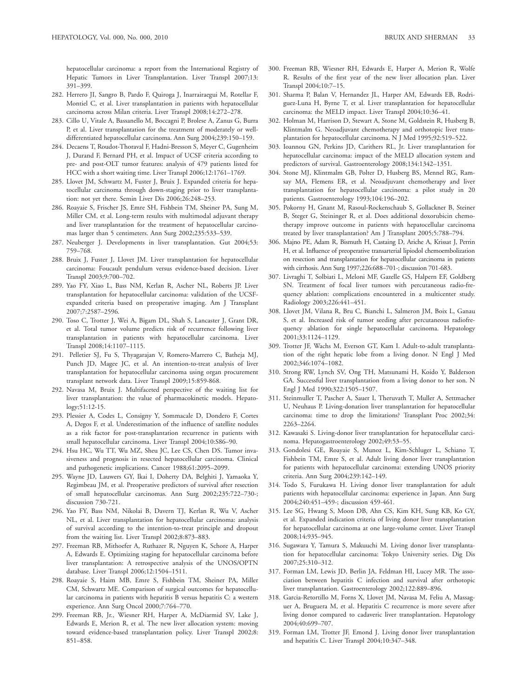hepatocellular carcinoma: a report from the International Registry of Hepatic Tumors in Liver Transplantation. Liver Transpl 2007;13: 391–399.

- 282. Herrero JI, Sangro B, Pardo F, Quiroga J, Inarrairaegui M, Rotellar F, Montiel C, et al. Liver transplantation in patients with hepatocellular carcinoma across Milan criteria. Liver Transpl 2008;14:272–278.
- 283. Cillo U, Vitale A, Bassanello M, Boccagni P, Brolese A, Zanus G, Burra P, et al. Liver transplantation for the treatment of moderately or welldifferentiated hepatocellular carcinoma. Ann Surg 2004;239:150–159.
- 284. Decaens T, Roudot-Thoraval F, Hadni-Bresson S, Meyer C, Gugenheim J, Durand F, Bernard PH, et al. Impact of UCSF criteria according to pre- and post-OLT tumor features: analysis of 479 patients listed for HCC with a short waiting time. Liver Transpl 2006;12:1761–1769.
- 285. Llovet JM, Schwartz M, Fuster J, Bruix J. Expanded criteria for hepatocellular carcinoma through down-staging prior to liver transplantation: not yet there. Semin Liver Dis 2006;26:248–253.
- 286. Roayaie S, Frischer JS, Emre SH, Fishbein TM, Sheiner PA, Sung M, Miller CM, et al. Long-term results with multimodal adjuvant therapy and liver transplantation for the treatment of hepatocellular carcinomas larger than 5 centimeters. Ann Surg 2002;235:533–539.
- 287. Neuberger J. Developments in liver transplantation. Gut 2004;53: 759–768.
- 288. Bruix J, Fuster J, Llovet JM. Liver transplantation for hepatocellular carcinoma: Foucault pendulum versus evidence-based decision. Liver Transpl 2003;9:700–702.
- 289. Yao FY, Xiao L, Bass NM, Kerlan R, Ascher NL, Roberts JP. Liver transplantation for hepatocellular carcinoma: validation of the UCSFexpanded criteria based on preoperative imaging. Am J Transplant 2007;7:2587–2596.
- 290. Toso C, Trotter J, Wei A, Bigam DL, Shah S, Lancaster J, Grant DR, et al. Total tumor volume predicts risk of recurrence following liver transplantation in patients with hepatocellular carcinoma. Liver Transpl 2008;14:1107–1115.
- 291. Pelletier SJ, Fu S, Thyagarajan V, Romero-Marrero C, Batheja MJ, Punch JD, Magee JC, et al. An intention-to-treat analysis of liver transplantation for hepatocellular carcinoma using organ procurement transplant network data. Liver Transpl 2009;15:859-868.
- 292. Navasa M, Bruix J. Multifaceted perspective of the waiting list for liver transplantation: the value of pharmacokinetic models. Hepatology;51:12-15.
- 293. Plessier A, Codes L, Consigny Y, Sommacale D, Dondero F, Cortes A, Degos F, et al. Underestimation of the influence of satellite nodules as a risk factor for post-transplantation recurrence in patients with small hepatocellular carcinoma. Liver Transpl 2004;10:S86–90.
- 294. Hsu HC, Wu TT, Wu MZ, Sheu JC, Lee CS, Chen DS. Tumor invasiveness and prognosis in resected hepatocellular carcinoma. Clinical and pathogenetic implications. Cancer 1988;61:2095–2099.
- 295. Wayne JD, Lauwers GY, Ikai I, Doherty DA, Belghiti J, Yamaoka Y, Regimbeau JM, et al. Preoperative predictors of survival after resection of small hepatocellular carcinomas. Ann Surg 2002;235:722–730-; discussion 730-721.
- 296. Yao FY, Bass NM, Nikolai B, Davern TJ, Kerlan R, Wu V, Ascher NL, et al. Liver transplantation for hepatocellular carcinoma: analysis of survival according to the intention-to-treat principle and dropout from the waiting list. Liver Transpl 2002;8:873–883.
- 297. Freeman RB, Mithoefer A, Ruthazer R, Nguyen K, Schore A, Harper A, Edwards E. Optimizing staging for hepatocellular carcinoma before liver transplantation: A retrospective analysis of the UNOS/OPTN database. Liver Transpl 2006;12:1504–1511.
- 298. Roayaie S, Haim MB, Emre S, Fishbein TM, Sheiner PA, Miller CM, Schwartz ME. Comparison of surgical outcomes for hepatocellular carcinoma in patients with hepatitis B versus hepatitis C: a western experience. Ann Surg Oncol 2000;7:764–770.
- 299. Freeman RB, Jr., Wiesner RH, Harper A, McDiarmid SV, Lake J, Edwards E, Merion R, et al. The new liver allocation system: moving toward evidence-based transplantation policy. Liver Transpl 2002;8: 851–858.
- 300. Freeman RB, Wiesner RH, Edwards E, Harper A, Merion R, Wolfe R. Results of the first year of the new liver allocation plan. Liver Transpl 2004;10:7–15.
- 301. Sharma P, Balan V, Hernandez JL, Harper AM, Edwards EB, Rodriguez-Luna H, Byrne T, et al. Liver transplantation for hepatocellular carcinoma: the MELD impact. Liver Transpl 2004;10:36–41.
- 302. Holman M, Harrison D, Stewart A, Stone M, Goldstein R, Husberg B, Klintmalm G. Neoadjuvant chemotherapy and orthotopic liver transplantation for hepatocellular carcinoma. N J Med 1995;92:519–522.
- 303. Ioannou GN, Perkins JD, Carithers RL, Jr. Liver transplantation for hepatocellular carcinoma: impact of the MELD allocation system and predictors of survival. Gastroenterology 2008;134:1342–1351.
- 304. Stone MJ, Klintmalm GB, Polter D, Husberg BS, Mennel RG, Ramsay MA, Flemens ER, et al. Neoadjuvant chemotherapy and liver transplantation for hepatocellular carcinoma: a pilot study in 20 patients. Gastroenterology 1993;104:196–202.
- 305. Pokorny H, Gnant M, Rasoul-Rockenschaub S, Gollackner B, Steiner B, Steger G, Steininger R, et al. Does additional doxorubicin chemotherapy improve outcome in patients with hepatocellular carcinoma treated by liver transplantation? Am J Transplant 2005;5:788–794.
- 306. Majno PE, Adam R, Bismuth H, Castaing D, Ariche A, Krissat J, Perrin H, et al. Influence of preoperative transarterial lipiodol chemoembolization on resection and transplantation for hepatocellular carcinoma in patients with cirrhosis. Ann Surg 1997;226:688–701-; discussion 701-683.
- 307. Livraghi T, Solbiati L, Meloni MF, Gazelle GS, Halpern EF, Goldberg SN. Treatment of focal liver tumors with percutaneous radio-frequency ablation: complications encountered in a multicenter study. Radiology 2003;226:441–451.
- 308. Llovet JM, Vilana R, Bru C, Bianchi L, Salmeron JM, Boix L, Ganau S, et al. Increased risk of tumor seeding after percutaneous radiofrequency ablation for single hepatocellular carcinoma. Hepatology 2001;33:1124–1129.
- 309. Trotter JF, Wachs M, Everson GT, Kam I. Adult-to-adult transplantation of the right hepatic lobe from a living donor. N Engl J Med 2002;346:1074–1082.
- 310. Strong RW, Lynch SV, Ong TH, Matsunami H, Koido Y, Balderson GA. Successful liver transplantation from a living donor to her son. N Engl J Med 1990;322:1505–1507.
- 311. Steinmuller T, Pascher A, Sauer I, Theruvath T, Muller A, Settmacher U, Neuhaus P. Living-donation liver transplantation for hepatocellular carcinoma: time to drop the limitations? Transplant Proc 2002;34: 2263–2264.
- 312. Kawasaki S. Living-donor liver transplantation for hepatocellular carcinoma. Hepatogastroenterology 2002;49:53–55.
- 313. Gondolesi GE, Roayaie S, Munoz L, Kim-Schluger L, Schiano T, Fishbein TM, Emre S, et al. Adult living donor liver transplantation for patients with hepatocellular carcinoma: extending UNOS priority criteria. Ann Surg 2004;239:142–149.
- 314. Todo S, Furukawa H. Living donor liver transplantation for adult patients with hepatocellular carcinoma: experience in Japan. Ann Surg 2004;240:451–459-; discussion 459-461.
- 315. Lee SG, Hwang S, Moon DB, Ahn CS, Kim KH, Sung KB, Ko GY, et al. Expanded indication criteria of living donor liver transplantation for hepatocellular carcinoma at one large-volume center. Liver Transpl 2008;14:935–945.
- 316. Sugawara Y, Tamura S, Makuuchi M. Living donor liver transplantation for hepatocellular carcinoma: Tokyo University series. Dig Dis 2007;25:310–312.
- 317. Forman LM, Lewis JD, Berlin JA, Feldman HI, Lucey MR. The association between hepatitis C infection and survival after orthotopic liver transplantation. Gastroenterology 2002;122:889–896.
- 318. Garcia-Retortillo M, Forns X, Llovet JM, Navasa M, Feliu A, Massaguer A, Bruguera M, et al. Hepatitis C recurrence is more severe after living donor compared to cadaveric liver transplantation. Hepatology 2004;40:699–707.
- 319. Forman LM, Trotter JF, Emond J. Living donor liver transplantation and hepatitis C. Liver Transpl 2004;10:347–348.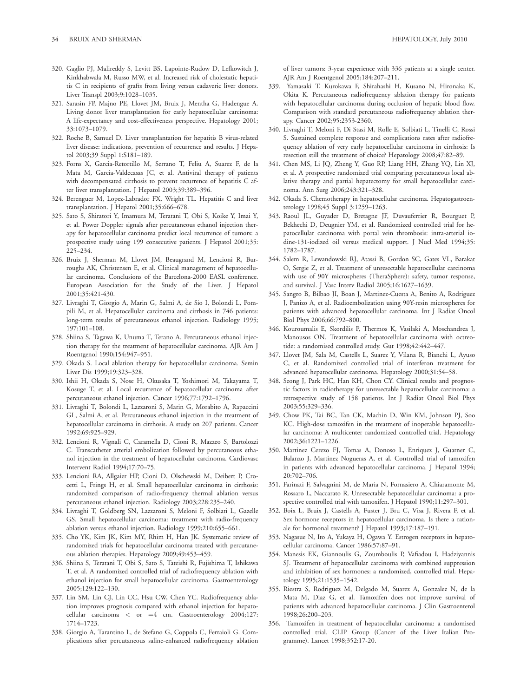- 320. Gaglio PJ, Malireddy S, Levitt BS, Lapointe-Rudow D, Lefkowitch J, Kinkhabwala M, Russo MW, et al. Increased risk of cholestatic hepatitis C in recipients of grafts from living versus cadaveric liver donors. Liver Transpl 2003;9:1028–1035.
- 321. Sarasin FP, Majno PE, Llovet JM, Bruix J, Mentha G, Hadengue A. Living donor liver transplantation for early hepatocellular carcinoma: A life-expectancy and cost-effectiveness perspective. Hepatology 2001; 33:1073–1079.
- 322. Roche B, Samuel D. Liver transplantation for hepatitis B virus-related liver disease: indications, prevention of recurrence and results. J Hepatol 2003;39 Suppl 1:S181–189.
- 323. Forns X, Garcia-Retortillo M, Serrano T, Feliu A, Suarez F, de la Mata M, Garcia-Valdecasas JC, et al. Antiviral therapy of patients with decompensated cirrhosis to prevent recurrence of hepatitis C after liver transplantation. J Hepatol 2003;39:389–396.
- 324. Berenguer M, Lopez-Labrador FX, Wright TL. Hepatitis C and liver transplantation. J Hepatol 2001;35:666–678.
- 325. Sato S, Shiratori Y, Imamura M, Teratani T, Obi S, Koike Y, Imai Y, et al. Power Doppler signals after percutaneous ethanol injection therapy for hepatocellular carcinoma predict local recurrence of tumors: a prospective study using 199 consecutive patients. J Hepatol 2001;35: 225–234.
- 326. Bruix J, Sherman M, Llovet JM, Beaugrand M, Lencioni R, Burroughs AK, Christensen E, et al. Clinical management of hepatocellular carcinoma. Conclusions of the Barcelona-2000 EASL conference. European Association for the Study of the Liver. J Hepatol 2001;35:421-430.
- 327. Livraghi T, Giorgio A, Marin G, Salmi A, de Sio I, Bolondi L, Pompili M, et al. Hepatocellular carcinoma and cirrhosis in 746 patients: long-term results of percutaneous ethanol injection. Radiology 1995; 197:101–108.
- 328. Shiina S, Tagawa K, Unuma T, Terano A. Percutaneous ethanol injection therapy for the treatment of hepatocellular carcinoma. AJR Am J Roentgenol 1990;154:947–951.
- 329. Okada S. Local ablation therapy for hepatocellular carcinoma. Semin Liver Dis 1999;19:323–328.
- 330. Ishii H, Okada S, Nose H, Okusaka T, Yoshimori M, Takayama T, Kosuge T, et al. Local recurrence of hepatocellular carcinoma after percutaneous ethanol injection. Cancer 1996;77:1792–1796.
- 331. Livraghi T, Bolondi L, Lazzaroni S, Marin G, Morabito A, Rapaccini GL, Salmi A, et al. Percutaneous ethanol injection in the treatment of hepatocellular carcinoma in cirrhosis. A study on 207 patients. Cancer 1992;69:925–929.
- 332. Lencioni R, Vignali C, Caramella D, Cioni R, Mazzeo S, Bartolozzi C. Transcatheter arterial embolization followed by percutaneous ethanol injection in the treatment of hepatocellular carcinoma. Cardiovasc Intervent Radiol 1994;17:70–75.
- 333. Lencioni RA, Allgaier HP, Cioni D, Olschewski M, Deibert P, Crocetti L, Frings H, et al. Small hepatocellular carcinoma in cirrhosis: randomized comparison of radio-frequency thermal ablation versus percutaneous ethanol injection. Radiology 2003;228:235–240.
- 334. Livraghi T, Goldberg SN, Lazzaroni S, Meloni F, Solbiati L, Gazelle GS. Small hepatocellular carcinoma: treatment with radio-frequency ablation versus ethanol injection. Radiology 1999;210:655–661.
- 335. Cho YK, Kim JK, Kim MY, Rhim H, Han JK. Systematic review of randomized trials for hepatocellular carcinoma treated with percutaneous ablation therapies. Hepatology 2009;49:453–459.
- 336. Shiina S, Teratani T, Obi S, Sato S, Tateishi R, Fujishima T, Ishikawa T, et al. A randomized controlled trial of radiofrequency ablation with ethanol injection for small hepatocellular carcinoma. Gastroenterology 2005;129:122–130.
- 337. Lin SM, Lin CJ, Lin CC, Hsu CW, Chen YC. Radiofrequency ablation improves prognosis compared with ethanol injection for hepatocellular carcinoma  $\langle$  or  $=4$  cm. Gastroenterology 2004;127: 1714–1723.
- 338. Giorgio A, Tarantino L, de Stefano G, Coppola C, Ferraioli G. Complications after percutaneous saline-enhanced radiofrequency ablation

of liver tumors: 3-year experience with 336 patients at a single center. AJR Am J Roentgenol 2005;184:207–211.

- 339. Yamasaki T, Kurokawa F, Shirahashi H, Kusano N, Hironaka K, Okita K. Percutaneous radiofrequency ablation therapy for patients with hepatocellular carcinoma during occlusion of hepatic blood flow. Comparison with standard percutaneous radiofrequency ablation therapy. Cancer 2002;95:2353-2360.
- 340. Livraghi T, Meloni F, Di Stasi M, Rolle E, Solbiati L, Tinelli C, Rossi S. Sustained complete response and complications rates after radiofrequency ablation of very early hepatocellular carcinoma in cirrhosis: Is resection still the treatment of choice? Hepatology 2008;47:82–89.
- 341. Chen MS, Li JQ, Zheng Y, Guo RP, Liang HH, Zhang YQ, Lin XJ, et al. A prospective randomized trial comparing percutaneous local ablative therapy and partial hepatectomy for small hepatocellular carcinoma. Ann Surg 2006;243:321–328.
- 342. Okada S. Chemotherapy in hepatocellular carcinoma. Hepatogastroenterology 1998;45 Suppl 3:1259–1263.
- 343. Raoul JL, Guyader D, Bretagne JF, Duvauferrier R, Bourguet P, Bekhechi D, Deugnier YM, et al. Randomized controlled trial for hepatocellular carcinoma with portal vein thrombosis: intra-arterial iodine-131-iodized oil versus medical support. J Nucl Med 1994;35: 1782–1787.
- 344. Salem R, Lewandowski RJ, Atassi B, Gordon SC, Gates VL, Barakat O, Sergie Z, et al. Treatment of unresectable hepatocellular carcinoma with use of 90Y microspheres (TheraSphere): safety, tumor response, and survival. J Vasc Interv Radiol 2005;16:1627–1639.
- 345. Sangro B, Bilbao JI, Boan J, Martinez-Cuesta A, Benito A, Rodriguez J, Panizo A, et al. Radioembolization using 90Y-resin microspheres for patients with advanced hepatocellular carcinoma. Int J Radiat Oncol Biol Phys 2006;66:792–800.
- 346. Kouroumalis E, Skordilis P, Thermos K, Vasilaki A, Moschandrea J, Manousos ON. Treatment of hepatocellular carcinoma with octreotide: a randomised controlled study. Gut 1998;42:442–447.
- 347. Llovet JM, Sala M, Castells L, Suarez Y, Vilana R, Bianchi L, Ayuso C, et al. Randomized controlled trial of interferon treatment for advanced hepatocellular carcinoma. Hepatology 2000;31:54–58.
- 348. Seong J, Park HC, Han KH, Chon CY. Clinical results and prognostic factors in radiotherapy for unresectable hepatocellular carcinoma: a retrospective study of 158 patients. Int J Radiat Oncol Biol Phys 2003;55:329–336.
- 349. Chow PK, Tai BC, Tan CK, Machin D, Win KM, Johnson PJ, Soo KC. High-dose tamoxifen in the treatment of inoperable hepatocellular carcinoma: A multicenter randomized controlled trial. Hepatology 2002;36:1221–1226.
- 350. Martinez Cerezo FJ, Tomas A, Donoso L, Enriquez J, Guarner C, Balanzo J, Martinez Nogueras A, et al. Controlled trial of tamoxifen in patients with advanced hepatocellular carcinoma. J Hepatol 1994; 20:702–706.
- 351. Farinati F, Salvagnini M, de Maria N, Fornasiero A, Chiaramonte M, Rossaro L, Naccarato R. Unresectable hepatocellular carcinoma: a prospective controlled trial with tamoxifen. J Hepatol 1990;11:297–301.
- 352. Boix L, Bruix J, Castells A, Fuster J, Bru C, Visa J, Rivera F, et al. Sex hormone receptors in hepatocellular carcinoma. Is there a rationale for hormonal treatment? J Hepatol 1993;17:187–191.
- 353. Nagasue N, Ito A, Yukaya H, Ogawa Y. Estrogen receptors in hepatocellular carcinoma. Cancer 1986;57:87–91.
- 354. Manesis EK, Giannoulis G, Zoumboulis P, Vafiadou I, Hadziyannis SJ. Treatment of hepatocellular carcinoma with combined suppression and inhibition of sex hormones: a randomized, controlled trial. Hepatology 1995;21:1535–1542.
- 355. Riestra S, Rodriguez M, Delgado M, Suarez A, Gonzalez N, de la Mata M, Diaz G, et al. Tamoxifen does not improve survival of patients with advanced hepatocellular carcinoma. J Clin Gastroenterol 1998;26:200–203.
- 356. Tamoxifen in treatment of hepatocellular carcinoma: a randomised controlled trial. CLIP Group (Cancer of the Liver Italian Programme). Lancet 1998;352:17-20.